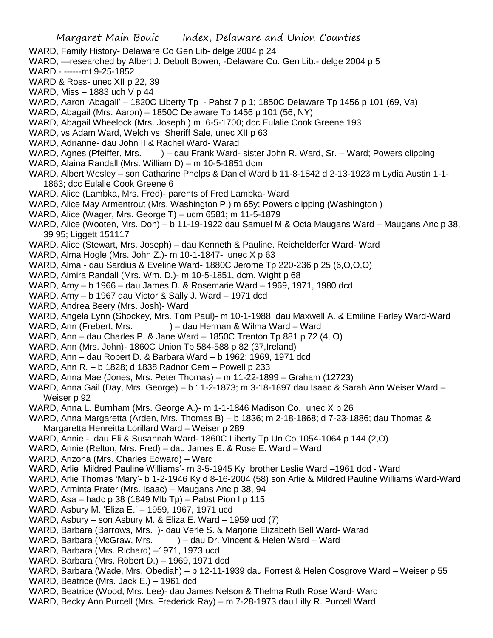- WARD, Family History- Delaware Co Gen Lib- delge 2004 p 24
- WARD, —researched by Albert J. Debolt Bowen, -Delaware Co. Gen Lib.- delge 2004 p 5
- WARD ------mt 9-25-1852
- WARD & Ross- unec XII p 22, 39
- WARD, Miss 1883 uch V p 44
- WARD, Aaron 'Abagail' 1820C Liberty Tp Pabst 7 p 1; 1850C Delaware Tp 1456 p 101 (69, Va)
- WARD, Abagail (Mrs. Aaron) 1850C Delaware Tp 1456 p 101 (56, NY)
- WARD, Abagail Wheelock (Mrs. Joseph ) m 6-5-1700; dcc Eulalie Cook Greene 193
- WARD, vs Adam Ward, Welch vs; Sheriff Sale, unec XII p 63
- WARD, Adrianne- dau John II & Rachel Ward- Warad
- WARD, Agnes (Pfeiffer, Mrs. ) dau Frank Ward- sister John R. Ward, Sr. Ward; Powers clipping
- WARD, Alaina Randall (Mrs. William D) m 10-5-1851 dcm
- WARD, Albert Wesley son Catharine Phelps & Daniel Ward b 11-8-1842 d 2-13-1923 m Lydia Austin 1-1- 1863; dcc Eulalie Cook Greene 6
- WARD. Alice (Lambka, Mrs. Fred)- parents of Fred Lambka- Ward
- WARD, Alice May Armentrout (Mrs. Washington P.) m 65y; Powers clipping (Washington )
- WARD, Alice (Wager, Mrs. George T) ucm 6581; m 11-5-1879
- WARD, Alice (Wooten, Mrs. Don) b 11-19-1922 dau Samuel M & Octa Maugans Ward Maugans Anc p 38, 39 95; Liggett 151117
- WARD, Alice (Stewart, Mrs. Joseph) dau Kenneth & Pauline. Reichelderfer Ward- Ward
- WARD, Alma Hogle (Mrs. John Z.)- m 10-1-1847- unec X p 63
- WARD, Alma dau Sardius & Eveline Ward- 1880C Jerome Tp 220-236 p 25 (6,O,O,O)
- WARD, Almira Randall (Mrs. Wm. D.)- m 10-5-1851, dcm, Wight p 68
- WARD, Amy b 1966 dau James D. & Rosemarie Ward 1969, 1971, 1980 dcd
- WARD, Amy b 1967 dau Victor & Sally J. Ward 1971 dcd
- WARD, Andrea Beery (Mrs. Josh)- Ward
- WARD, Angela Lynn (Shockey, Mrs. Tom Paul)- m 10-1-1988 dau Maxwell A. & Emiline Farley Ward-Ward
- WARD, Ann (Frebert, Mrs. ) dau Herman & Wilma Ward Ward
- WARD, Ann dau Charles P. & Jane Ward 1850C Trenton Tp 881 p 72 (4, O)
- WARD, Ann (Mrs. John)- 1860C Union Tp 584-588 p 82 (37,Ireland)
- WARD, Ann dau Robert D. & Barbara Ward b 1962; 1969, 1971 dcd
- WARD, Ann R. b 1828; d 1838 Radnor Cem Powell p 233
- WARD, Anna Mae (Jones, Mrs. Peter Thomas) m 11-22-1899 Graham (12723)
- WARD, Anna Gail (Day, Mrs. George) b 11-2-1873; m 3-18-1897 dau Isaac & Sarah Ann Weiser Ward Weiser p 92
- WARD, Anna L. Burnham (Mrs. George A.)- m 1-1-1846 Madison Co, unec X p 26
- WARD, Anna Margaretta (Arden, Mrs. Thomas B) b 1836; m 2-18-1868; d 7-23-1886; dau Thomas & Margaretta Henreitta Lorillard Ward – Weiser p 289
- WARD, Annie dau Eli & Susannah Ward- 1860C Liberty Tp Un Co 1054-1064 p 144 (2,O)
- WARD, Annie (Relton, Mrs. Fred) dau James E. & Rose E. Ward Ward
- WARD, Arizona (Mrs. Charles Edward) Ward
- WARD, Arlie 'Mildred Pauline Williams'- m 3-5-1945 Ky brother Leslie Ward –1961 dcd Ward
- WARD, Arlie Thomas 'Mary'- b 1-2-1946 Ky d 8-16-2004 (58) son Arlie & Mildred Pauline Williams Ward-Ward
- WARD, Arminta Prater (Mrs. Isaac) Maugans Anc p 38, 94
- WARD, Asa hadc p 38 (1849 Mlb Tp) Pabst Pion I p 115
- WARD, Asbury M. 'Eliza E.' 1959, 1967, 1971 ucd
- WARD, Asbury son Asbury M. & Eliza E. Ward 1959 ucd (7)
- WARD, Barbara (Barrows, Mrs. )- dau Verle S. & Marjorie Elizabeth Bell Ward- Warad
- WARD, Barbara (McGraw, Mrs. ) dau Dr. Vincent & Helen Ward Ward
- WARD, Barbara (Mrs. Richard) –1971, 1973 ucd
- WARD, Barbara (Mrs. Robert D.) 1969, 1971 dcd
- WARD, Barbara (Wade, Mrs. Obediah) b 12-11-1939 dau Forrest & Helen Cosgrove Ward Weiser p 55
- WARD, Beatrice (Mrs. Jack E.) 1961 dcd
- WARD, Beatrice (Wood, Mrs. Lee)- dau James Nelson & Thelma Ruth Rose Ward- Ward
- WARD, Becky Ann Purcell (Mrs. Frederick Ray) m 7-28-1973 dau Lilly R. Purcell Ward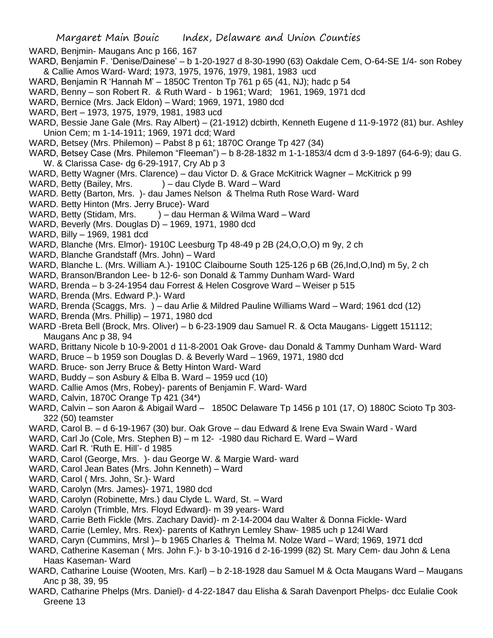- WARD, Benjmin- Maugans Anc p 166, 167
- WARD, Benjamin F. 'Denise/Dainese' b 1-20-1927 d 8-30-1990 (63) Oakdale Cem, O-64-SE 1/4- son Robey & Callie Amos Ward- Ward; 1973, 1975, 1976, 1979, 1981, 1983 ucd
- WARD, Benjamin R 'Hannah M' 1850C Trenton Tp 761 p 65 (41, NJ); hadc p 54
- WARD, Benny son Robert R. & Ruth Ward b 1961; Ward; 1961, 1969, 1971 dcd
- WARD, Bernice (Mrs. Jack Eldon) Ward; 1969, 1971, 1980 dcd
- WARD, Bert 1973, 1975, 1979, 1981, 1983 ucd
- WARD, Bessie Jane Gale (Mrs. Ray Albert) (21-1912) dcbirth, Kenneth Eugene d 11-9-1972 (81) bur. Ashley Union Cem; m 1-14-1911; 1969, 1971 dcd; Ward
- WARD, Betsey (Mrs. Philemon) Pabst 8 p 61; 1870C Orange Tp 427 (34)
- WARD, Betsey Case (Mrs. Philemon "Fleeman") b 8-28-1832 m 1-1-1853/4 dcm d 3-9-1897 (64-6-9); dau G. W. & Clarissa Case- dg 6-29-1917, Cry Ab p 3
- WARD, Betty Wagner (Mrs. Clarence) dau Victor D. & Grace McKitrick Wagner McKitrick p 99
- WARD, Betty (Bailey, Mrs. ) dau Clyde B. Ward Ward
- WARD. Betty (Barton, Mrs. )- dau James Nelson & Thelma Ruth Rose Ward- Ward
- WARD. Betty Hinton (Mrs. Jerry Bruce)- Ward
- WARD, Betty (Stidam, Mrs. ) dau Herman & Wilma Ward Ward
- WARD, Beverly (Mrs. Douglas D) 1969, 1971, 1980 dcd
- WARD, Billy 1969, 1981 dcd
- WARD, Blanche (Mrs. Elmor)- 1910C Leesburg Tp 48-49 p 2B (24,O,O,O) m 9y, 2 ch
- WARD, Blanche Grandstaff (Mrs. John) Ward
- WARD, Blanche L. (Mrs. William A.)- 1910C Claibourne South 125-126 p 6B (26,Ind,O,Ind) m 5y, 2 ch
- WARD, Branson/Brandon Lee- b 12-6- son Donald & Tammy Dunham Ward- Ward
- WARD, Brenda b 3-24-1954 dau Forrest & Helen Cosgrove Ward Weiser p 515
- WARD, Brenda (Mrs. Edward P.)- Ward
- WARD, Brenda (Scaggs, Mrs. ) dau Arlie & Mildred Pauline Williams Ward Ward; 1961 dcd (12)
- WARD, Brenda (Mrs. Phillip) 1971, 1980 dcd
- WARD -Breta Bell (Brock, Mrs. Oliver) b 6-23-1909 dau Samuel R. & Octa Maugans- Liggett 151112; Maugans Anc p 38, 94
- WARD, Brittany Nicole b 10-9-2001 d 11-8-2001 Oak Grove- dau Donald & Tammy Dunham Ward- Ward
- WARD, Bruce b 1959 son Douglas D. & Beverly Ward 1969, 1971, 1980 dcd
- WARD. Bruce- son Jerry Bruce & Betty Hinton Ward- Ward
- WARD, Buddy son Asbury & Elba B. Ward 1959 ucd (10)
- WARD. Callie Amos (Mrs, Robey)- parents of Benjamin F. Ward- Ward
- WARD, Calvin, 1870C Orange Tp 421 (34\*)
- WARD, Calvin son Aaron & Abigail Ward 1850C Delaware Tp 1456 p 101 (17, O) 1880C Scioto Tp 303- 322 (50) teamster
- WARD, Carol B. d 6-19-1967 (30) bur. Oak Grove dau Edward & Irene Eva Swain Ward Ward
- WARD, Carl Jo (Cole, Mrs. Stephen B) m 12- -1980 dau Richard E. Ward Ward
- WARD. Carl R. 'Ruth E. Hill'- d 1985
- WARD, Carol (George, Mrs. )- dau George W. & Margie Ward- ward
- WARD, Carol Jean Bates (Mrs. John Kenneth) Ward
- WARD, Carol ( Mrs. John, Sr.)- Ward
- WARD, Carolyn (Mrs. James)- 1971, 1980 dcd
- WARD, Carolyn (Robinette, Mrs.) dau Clyde L. Ward, St. Ward
- WARD. Carolyn (Trimble, Mrs. Floyd Edward)- m 39 years- Ward
- WARD, Carrie Beth Fickle (Mrs. Zachary David)- m 2-14-2004 dau Walter & Donna Fickle- Ward
- WARD, Carrie (Lemley, Mrs. Rex)- parents of Kathryn Lemley Shaw- 1985 uch p 124l Ward
- WARD, Caryn (Cummins, Mrsl )– b 1965 Charles & Thelma M. Nolze Ward Ward; 1969, 1971 dcd
- WARD, Catherine Kaseman ( Mrs. John F.)- b 3-10-1916 d 2-16-1999 (82) St. Mary Cem- dau John & Lena Haas Kaseman- Ward
- WARD, Catharine Louise (Wooten, Mrs. Karl) b 2-18-1928 dau Samuel M & Octa Maugans Ward Maugans Anc p 38, 39, 95
- WARD, Catharine Phelps (Mrs. Daniel)- d 4-22-1847 dau Elisha & Sarah Davenport Phelps- dcc Eulalie Cook Greene 13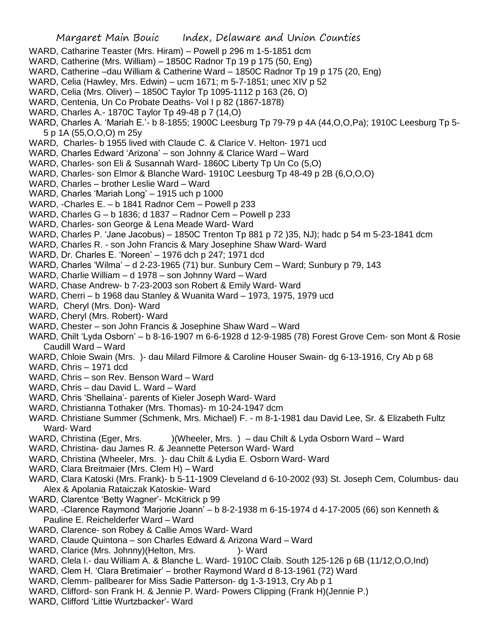- WARD, Catharine Teaster (Mrs. Hiram) Powell p 296 m 1-5-1851 dcm
- WARD, Catherine (Mrs. William) 1850C Radnor Tp 19 p 175 (50, Eng)
- WARD, Catherine –dau William & Catherine Ward 1850C Radnor Tp 19 p 175 (20, Eng)
- WARD, Celia (Hawley, Mrs. Edwin) ucm 1671; m 5-7-1851; unec XIV p 52
- WARD, Celia (Mrs. Oliver) 1850C Taylor Tp 1095-1112 p 163 (26, O)
- WARD, Centenia, Un Co Probate Deaths- Vol I p 82 (1867-1878)
- WARD, Charles A.- 1870C Taylor Tp 49-48 p 7 (14,O)
- WARD, Charles A. 'Mariah E.'- b 8-1855; 1900C Leesburg Tp 79-79 p 4A (44,O,O,Pa); 1910C Leesburg Tp 5- 5 p 1A (55,O,O,O) m 25y
- WARD, Charles- b 1955 lived with Claude C. & Clarice V. Helton- 1971 ucd
- WARD, Charles Edward 'Arizona' son Johnny & Clarice Ward Ward
- WARD, Charles- son Eli & Susannah Ward- 1860C Liberty Tp Un Co (5,O)
- WARD, Charles- son Elmor & Blanche Ward- 1910C Leesburg Tp 48-49 p 2B (6,O,O,O)
- WARD, Charles brother Leslie Ward Ward
- WARD, Charles 'Mariah Long' 1915 uch p 1000
- WARD, -Charles E. b 1841 Radnor Cem Powell p 233
- WARD, Charles G b 1836; d 1837 Radnor Cem Powell p 233
- WARD, Charles- son George & Lena Meade Ward- Ward
- WARD, Charles P. 'Jane Jacobus) 1850C Trenton Tp 881 p 72 )35, NJ); hadc p 54 m 5-23-1841 dcm
- WARD, Charles R. son John Francis & Mary Josephine Shaw Ward- Ward
- WARD, Dr. Charles E. 'Noreen' 1976 dch p 247; 1971 dcd
- WARD, Charles 'Wilma' d 2-23-1965 (71) bur. Sunbury Cem Ward; Sunbury p 79, 143
- WARD, Charlie William d 1978 son Johnny Ward Ward
- WARD, Chase Andrew- b 7-23-2003 son Robert & Emily Ward- Ward
- WARD, Cherri b 1968 dau Stanley & Wuanita Ward 1973, 1975, 1979 ucd
- WARD, Cheryl (Mrs. Don)- Ward
- WARD, Cheryl (Mrs. Robert)- Ward
- WARD, Chester son John Francis & Josephine Shaw Ward Ward
- WARD, Chilt 'Lyda Osborn' b 8-16-1907 m 6-6-1928 d 12-9-1985 (78) Forest Grove Cem- son Mont & Rosie Caudill Ward – Ward
- WARD, Chloie Swain (Mrs. )- dau Milard Filmore & Caroline Houser Swain- dg 6-13-1916, Cry Ab p 68
- WARD, Chris 1971 dcd
- WARD, Chris son Rev. Benson Ward Ward
- WARD, Chris dau David L. Ward Ward
- WARD, Chris 'Shellaina'- parents of Kieler Joseph Ward- Ward
- WARD, Christianna Tothaker (Mrs. Thomas)- m 10-24-1947 dcm
- WARD. Christiane Summer (Schmenk, Mrs. Michael) F. m 8-1-1981 dau David Lee, Sr. & Elizabeth Fultz Ward- Ward
- WARD, Christina (Eger, Mrs. )(Wheeler, Mrs. ) dau Chilt & Lyda Osborn Ward Ward
- WARD, Christina- dau James R. & Jeannette Peterson Ward- Ward
- WARD, Christina (Wheeler, Mrs. )- dau Chilt & Lydia E. Osborn Ward- Ward
- WARD, Clara Breitmaier (Mrs. Clem H) Ward
- WARD, Clara Katoski (Mrs. Frank)- b 5-11-1909 Cleveland d 6-10-2002 (93) St. Joseph Cem, Columbus- dau Alex & Apolania Rataiczak Katoskie- Ward
- WARD, Clarentce 'Betty Wagner'- McKitrick p 99
- WARD, -Clarence Raymond 'Marjorie Joann' b 8-2-1938 m 6-15-1974 d 4-17-2005 (66) son Kenneth & Pauline E. Reichelderfer Ward – Ward
- WARD, Clarence- son Robey & Callie Amos Ward- Ward
- WARD, Claude Quintona son Charles Edward & Arizona Ward Ward
- WARD, Clarice (Mrs. Johnny) (Helton, Mrs.  $\qquad \qquad$ ) Ward
- WARD, Clela I.- dau William A. & Blanche L. Ward- 1910C Claib. South 125-126 p 6B (11/12,O,O,Ind)
- WARD, Clem H. 'Clara Bretimaier' brother Raymond Ward d 8-13-1961 (72) Ward
- WARD, Clemm- pallbearer for Miss Sadie Patterson- dg 1-3-1913, Cry Ab p 1
- WARD, Clifford- son Frank H. & Jennie P. Ward- Powers Clipping (Frank H)(Jennie P.)
- WARD, Clifford 'Littie Wurtzbacker'- Ward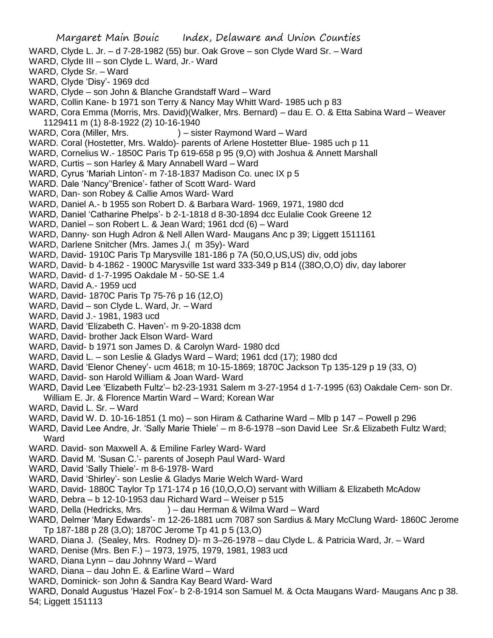Margaret Main Bouic Index, Delaware and Union Counties WARD, Clyde L. Jr. – d 7-28-1982 (55) bur. Oak Grove – son Clyde Ward Sr. – Ward WARD, Clyde III – son Clyde L. Ward, Jr.- Ward WARD, Clyde Sr. – Ward WARD, Clyde 'Disy'- 1969 dcd WARD, Clyde – son John & Blanche Grandstaff Ward – Ward WARD, Collin Kane- b 1971 son Terry & Nancy May Whitt Ward- 1985 uch p 83 WARD, Cora Emma (Morris, Mrs. David)(Walker, Mrs. Bernard) – dau E. O. & Etta Sabina Ward – Weaver 1129411 m (1) 8-8-1922 (2) 10-16-1940 WARD, Cora (Miller, Mrs. ) – sister Raymond Ward – Ward WARD. Coral (Hostetter, Mrs. Waldo)- parents of Arlene Hostetter Blue- 1985 uch p 11 WARD, Cornelius W.- 1850C Paris Tp 619-658 p 95 (9,O) with Joshua & Annett Marshall WARD, Curtis – son Harley & Mary Annabell Ward – Ward WARD, Cyrus 'Mariah Linton'- m 7-18-1837 Madison Co. unec IX p 5 WARD. Dale 'Nancy''Brenice'- father of Scott Ward- Ward WARD, Dan- son Robey & Callie Amos Ward- Ward WARD, Daniel A.- b 1955 son Robert D. & Barbara Ward- 1969, 1971, 1980 dcd WARD, Daniel 'Catharine Phelps'- b 2-1-1818 d 8-30-1894 dcc Eulalie Cook Greene 12 WARD, Daniel – son Robert L. & Jean Ward; 1961 dcd (6) – Ward WARD, Danny- son Hugh Adron & Nell Allen Ward- Maugans Anc p 39; Liggett 1511161 WARD, Darlene Snitcher (Mrs. James J.( m 35y)- Ward WARD, David- 1910C Paris Tp Marysville 181-186 p 7A (50,O,US,US) div, odd jobs WARD, David- b 4-1862 - 1900C Marysville 1st ward 333-349 p B14 ((38O,O,O) div, day laborer WARD, David- d 1-7-1995 Oakdale M - 50-SE 1.4 WARD, David A.- 1959 ucd WARD, David- 1870C Paris Tp 75-76 p 16 (12,O) WARD, David – son Clyde L. Ward, Jr. – Ward WARD, David J.- 1981, 1983 ucd WARD, David 'Elizabeth C. Haven'- m 9-20-1838 dcm WARD, David- brother Jack Elson Ward- Ward WARD, David- b 1971 son James D. & Carolyn Ward- 1980 dcd WARD, David L. – son Leslie & Gladys Ward – Ward; 1961 dcd (17); 1980 dcd WARD, David 'Elenor Cheney'- ucm 4618; m 10-15-1869; 1870C Jackson Tp 135-129 p 19 (33, O) WARD, David- son Harold William & Joan Ward- Ward WARD, David Lee 'Elizabeth Fultz'– b2-23-1931 Salem m 3-27-1954 d 1-7-1995 (63) Oakdale Cem- son Dr. William E. Jr. & Florence Martin Ward – Ward; Korean War WARD, David L. Sr. – Ward WARD, David W. D. 10-16-1851 (1 mo) – son Hiram & Catharine Ward – Mlb p 147 – Powell p 296 WARD, David Lee Andre, Jr. 'Sally Marie Thiele' – m 8-6-1978 –son David Lee Sr.& Elizabeth Fultz Ward; **Ward** WARD. David- son Maxwell A. & Emiline Farley Ward- Ward WARD. David M. 'Susan C.'- parents of Joseph Paul Ward- Ward WARD, David 'Sally Thiele'- m 8-6-1978- Ward WARD, David 'Shirley'- son Leslie & Gladys Marie Welch Ward- Ward WARD, David- 1880C Taylor Tp 171-174 p 16 (10,O,O,O) servant with William & Elizabeth McAdow WARD, Debra – b 12-10-1953 dau Richard Ward – Weiser p 515 WARD, Della (Hedricks, Mrs. ) – dau Herman & Wilma Ward – Ward WARD, Delmer 'Mary Edwards'- m 12-26-1881 ucm 7087 son Sardius & Mary McClung Ward- 1860C Jerome Tp 187-188 p 28 (3,O); 1870C Jerome Tp 41 p 5 (13,O) WARD, Diana J. (Sealey, Mrs. Rodney D)- m 3–26-1978 – dau Clyde L. & Patricia Ward, Jr. – Ward

- WARD, Denise (Mrs. Ben F.) 1973, 1975, 1979, 1981, 1983 ucd
- WARD, Diana Lynn dau Johnny Ward Ward
- WARD, Diana dau John E. & Earline Ward Ward
- WARD, Dominick- son John & Sandra Kay Beard Ward- Ward

WARD, Donald Augustus 'Hazel Fox'- b 2-8-1914 son Samuel M. & Octa Maugans Ward- Maugans Anc p 38. 54; Liggett 151113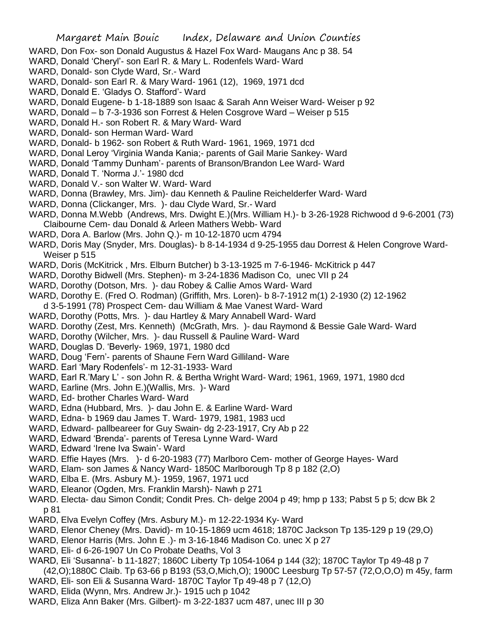- WARD, Don Fox- son Donald Augustus & Hazel Fox Ward- Maugans Anc p 38. 54
- WARD, Donald 'Cheryl'- son Earl R. & Mary L. Rodenfels Ward- Ward
- WARD, Donald- son Clyde Ward, Sr.- Ward
- WARD, Donald- son Earl R. & Mary Ward- 1961 (12), 1969, 1971 dcd
- WARD, Donald E. 'Gladys O. Stafford'- Ward
- WARD, Donald Eugene- b 1-18-1889 son Isaac & Sarah Ann Weiser Ward- Weiser p 92
- WARD, Donald b 7-3-1936 son Forrest & Helen Cosgrove Ward Weiser p 515
- WARD, Donald H.- son Robert R. & Mary Ward- Ward
- WARD, Donald- son Herman Ward- Ward
- WARD, Donald- b 1962- son Robert & Ruth Ward- 1961, 1969, 1971 dcd
- WARD, Donal Leroy 'Virginia Wanda Kania;- parents of Gail Marie Sankey- Ward
- WARD, Donald 'Tammy Dunham'- parents of Branson/Brandon Lee Ward- Ward
- WARD, Donald T. 'Norma J.'- 1980 dcd
- WARD, Donald V.- son Walter W. Ward- Ward
- WARD, Donna (Brawley, Mrs. Jim)- dau Kenneth & Pauline Reichelderfer Ward- Ward
- WARD, Donna (Clickanger, Mrs. )- dau Clyde Ward, Sr.- Ward
- WARD, Donna M.Webb (Andrews, Mrs. Dwight E.)(Mrs. William H.)- b 3-26-1928 Richwood d 9-6-2001 (73) Claibourne Cem- dau Donald & Arleen Mathers Webb- Ward
- WARD, Dora A. Barlow (Mrs. John Q.)- m 10-12-1870 ucm 4794
- WARD, Doris May (Snyder, Mrs. Douglas)- b 8-14-1934 d 9-25-1955 dau Dorrest & Helen Congrove Ward-Weiser p 515
- WARD, Doris (McKitrick , Mrs. Elburn Butcher) b 3-13-1925 m 7-6-1946- McKitrick p 447
- WARD, Dorothy Bidwell (Mrs. Stephen)- m 3-24-1836 Madison Co, unec VII p 24
- WARD, Dorothy (Dotson, Mrs. )- dau Robey & Callie Amos Ward- Ward
- WARD, Dorothy E. (Fred O. Rodman) (Griffith, Mrs. Loren)- b 8-7-1912 m(1) 2-1930 (2) 12-1962 d 3-5-1991 (78) Prospect Cem- dau William & Mae Vanest Ward- Ward
- WARD, Dorothy (Potts, Mrs. )- dau Hartley & Mary Annabell Ward- Ward
- WARD. Dorothy (Zest, Mrs. Kenneth) (McGrath, Mrs. )- dau Raymond & Bessie Gale Ward- Ward
- WARD, Dorothy (Wilcher, Mrs. )- dau Russell & Pauline Ward- Ward
- WARD, Douglas D. 'Beverly- 1969, 1971, 1980 dcd
- WARD, Doug 'Fern'- parents of Shaune Fern Ward Gilliland- Ware
- WARD. Earl 'Mary Rodenfels'- m 12-31-1933- Ward
- WARD, Earl R.'Mary L' son John R. & Bertha Wright Ward- Ward; 1961, 1969, 1971, 1980 dcd
- WARD, Earline (Mrs. John E.)(Wallis, Mrs. )- Ward
- WARD, Ed- brother Charles Ward- Ward
- WARD, Edna (Hubbard, Mrs. )- dau John E. & Earline Ward- Ward
- WARD, Edna- b 1969 dau James T. Ward- 1979, 1981, 1983 ucd
- WARD, Edward- pallbeareer for Guy Swain- dg 2-23-1917, Cry Ab p 22
- WARD, Edward 'Brenda'- parents of Teresa Lynne Ward- Ward
- WARD, Edward 'Irene Iva Swain'- Ward
- WARD. Effie Hayes (Mrs. )- d 6-20-1983 (77) Marlboro Cem- mother of George Hayes- Ward
- WARD, Elam- son James & Nancy Ward- 1850C Marlborough Tp 8 p 182 (2,O)
- WARD, Elba E. (Mrs. Asbury M.)- 1959, 1967, 1971 ucd
- WARD, Eleanor (Ogden, Mrs. Franklin Marsh)- Nawh p 271
- WARD. Electa- dau Simon Condit; Condit Pres. Ch- delge 2004 p 49; hmp p 133; Pabst 5 p 5; dcw Bk 2 p 81
- WARD, Elva Evelyn Coffey (Mrs. Asbury M.)- m 12-22-1934 Ky- Ward
- WARD, Elenor Cheney (Mrs. David)- m 10-15-1869 ucm 4618; 1870C Jackson Tp 135-129 p 19 (29,O)
- WARD, Elenor Harris (Mrs. John E .)- m 3-16-1846 Madison Co. unec X p 27
- WARD, Eli- d 6-26-1907 Un Co Probate Deaths, Vol 3
- WARD, Eli 'Susanna'- b 11-1827; 1860C Liberty Tp 1054-1064 p 144 (32); 1870C Taylor Tp 49-48 p 7 (42,O);1880C Claib. Tp 63-66 p B193 (53,O,Mich,O); 1900C Leesburg Tp 57-57 (72,O,O,O) m 45y, farm
- WARD, Eli- son Eli & Susanna Ward- 1870C Taylor Tp 49-48 p 7 (12,O)
- WARD, Elida (Wynn, Mrs. Andrew Jr.)- 1915 uch p 1042
- WARD, Eliza Ann Baker (Mrs. Gilbert)- m 3-22-1837 ucm 487, unec III p 30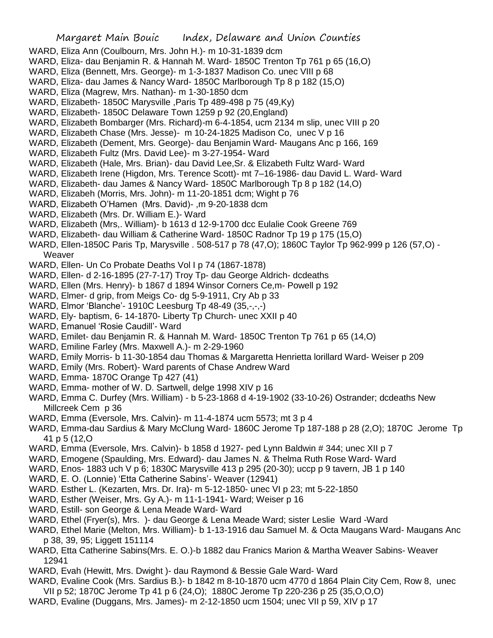- WARD, Eliza Ann (Coulbourn, Mrs. John H.)- m 10-31-1839 dcm
- WARD, Eliza- dau Benjamin R. & Hannah M. Ward- 1850C Trenton Tp 761 p 65 (16,O)
- WARD, Eliza (Bennett, Mrs. George)- m 1-3-1837 Madison Co. unec VIII p 68
- WARD, Eliza- dau James & Nancy Ward- 1850C Marlborough Tp 8 p 182 (15,O)
- WARD, Eliza (Magrew, Mrs. Nathan)- m 1-30-1850 dcm
- WARD, Elizabeth- 1850C Marysville ,Paris Tp 489-498 p 75 (49,Ky)
- WARD, Elizabeth- 1850C Delaware Town 1259 p 92 (20,England)
- WARD, Elizabeth Bombarger (Mrs. Richard)-m 6-4-1854, ucm 2134 m slip, unec VIII p 20
- WARD, Elizabeth Chase (Mrs. Jesse)- m 10-24-1825 Madison Co, unec V p 16
- WARD, Elizabeth (Dement, Mrs. George)- dau Benjamin Ward- Maugans Anc p 166, 169
- WARD, Elizabeth Fultz (Mrs. David Lee)- m 3-27-1954- Ward
- WARD, Elizabeth (Hale, Mrs. Brian)- dau David Lee,Sr. & Elizabeth Fultz Ward- Ward
- WARD, Elizabeth Irene (Higdon, Mrs. Terence Scott)- mt 7–16-1986- dau David L. Ward- Ward
- WARD, Elizabeth- dau James & Nancy Ward- 1850C Marlborough Tp 8 p 182 (14,O)
- WARD, Elizabeh (Morris, Mrs. John)- m 11-20-1851 dcm; Wight p 76
- WARD, Elizabeth O'Hamen (Mrs. David)- ,m 9-20-1838 dcm
- WARD, Elizabeth (Mrs. Dr. William E.)- Ward
- WARD, Elizabeth (Mrs,. William)- b 1613 d 12-9-1700 dcc Eulalie Cook Greene 769
- WARD, Elizabeth- dau William & Catherine Ward- 1850C Radnor Tp 19 p 175 (15,O)
- WARD, Ellen-1850C Paris Tp, Marysville . 508-517 p 78 (47,O); 1860C Taylor Tp 962-999 p 126 (57,O) Weaver
- WARD, Ellen- Un Co Probate Deaths Vol I p 74 (1867-1878)
- WARD, Ellen- d 2-16-1895 (27-7-17) Troy Tp- dau George Aldrich- dcdeaths
- WARD, Ellen (Mrs. Henry)- b 1867 d 1894 Winsor Corners Ce,m- Powell p 192
- WARD, Elmer- d grip, from Meigs Co- dg 5-9-1911, Cry Ab p 33
- WARD, Elmor 'Blanche'- 1910C Leesburg Tp 48-49 (35,-,-,-)
- WARD, Ely- baptism, 6-14-1870- Liberty Tp Church- unec XXII p 40
- WARD, Emanuel 'Rosie Caudill'- Ward
- WARD, Emilet- dau Benjamin R. & Hannah M. Ward- 1850C Trenton Tp 761 p 65 (14,O)
- WARD, Emiline Farley (Mrs. Maxwell A.)- m 2-29-1960
- WARD, Emily Morris- b 11-30-1854 dau Thomas & Margaretta Henrietta lorillard Ward- Weiser p 209
- WARD, Emily (Mrs. Robert)- Ward parents of Chase Andrew Ward
- WARD, Emma- 1870C Orange Tp 427 (41)
- WARD, Emma- mother of W. D. Sartwell, delge 1998 XIV p 16
- WARD, Emma C. Durfey (Mrs. William) b 5-23-1868 d 4-19-1902 (33-10-26) Ostrander; dcdeaths New Millcreek Cem p 36
- WARD, Emma (Eversole, Mrs. Calvin)- m 11-4-1874 ucm 5573; mt 3 p 4
- WARD, Emma-dau Sardius & Mary McClung Ward- 1860C Jerome Tp 187-188 p 28 (2,O); 1870C Jerome Tp 41 p 5 (12,O
- WARD, Emma (Eversole, Mrs. Calvin)- b 1858 d 1927- ped Lynn Baldwin # 344; unec XII p 7
- WARD, Emogene (Spaulding, Mrs. Edward)- dau James N. & Thelma Ruth Rose Ward- Ward
- WARD, Enos- 1883 uch V p 6; 1830C Marysville 413 p 295 (20-30); uccp p 9 tavern, JB 1 p 140
- WARD, E. O. (Lonnie) 'Etta Catherine Sabins'- Weaver (12941)
- WARD. Esther L. (Kezarten, Mrs. Dr. Ira)- m 5-12-1850- unec VI p 23; mt 5-22-1850
- WARD, Esther (Weiser, Mrs. Gy A.)- m 11-1-1941- Ward; Weiser p 16
- WARD, Estill- son George & Lena Meade Ward- Ward
- WARD, Ethel (Fryer(s), Mrs. )- dau George & Lena Meade Ward; sister Leslie Ward -Ward
- WARD, Ethel Marie (Melton, Mrs. William)- b 1-13-1916 dau Samuel M. & Octa Maugans Ward- Maugans Anc p 38, 39, 95; Liggett 151114
- WARD, Etta Catherine Sabins(Mrs. E. O.)-b 1882 dau Franics Marion & Martha Weaver Sabins- Weaver 12941
- WARD, Evah (Hewitt, Mrs. Dwight )- dau Raymond & Bessie Gale Ward- Ward
- WARD, Evaline Cook (Mrs. Sardius B.)- b 1842 m 8-10-1870 ucm 4770 d 1864 Plain City Cem, Row 8, unec VII p 52; 1870C Jerome Tp 41 p 6 (24,O); 1880C Jerome Tp 220-236 p 25 (35,O,O,O)
- WARD, Evaline (Duggans, Mrs. James)- m 2-12-1850 ucm 1504; unec VII p 59, XIV p 17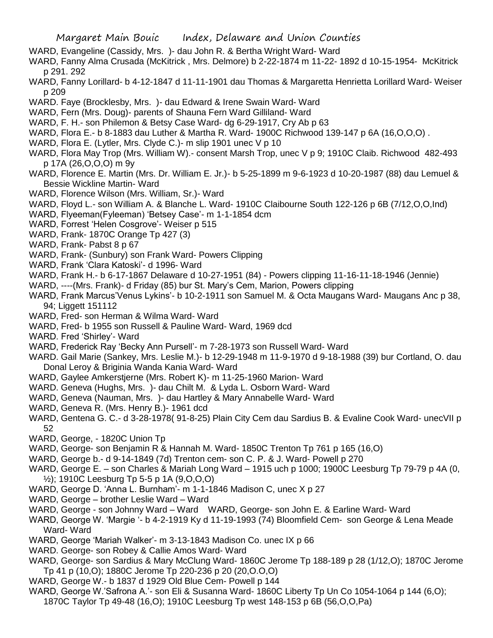- WARD, Evangeline (Cassidy, Mrs. )- dau John R. & Bertha Wright Ward- Ward
- WARD, Fanny Alma Crusada (McKitrick , Mrs. Delmore) b 2-22-1874 m 11-22- 1892 d 10-15-1954- McKitrick p 291. 292
- WARD, Fanny Lorillard- b 4-12-1847 d 11-11-1901 dau Thomas & Margaretta Henrietta Lorillard Ward- Weiser p 209
- WARD. Faye (Brocklesby, Mrs. )- dau Edward & Irene Swain Ward- Ward
- WARD, Fern (Mrs. Doug)- parents of Shauna Fern Ward Gilliland- Ward
- WARD, F. H.- son Philemon & Betsy Case Ward- dg 6-29-1917, Cry Ab p 63
- WARD, Flora E.- b 8-1883 dau Luther & Martha R. Ward- 1900C Richwood 139-147 p 6A (16,O,O,O) .
- WARD, Flora E. (Lytler, Mrs. Clyde C.)- m slip 1901 unec V p 10
- WARD, Flora May Trop (Mrs. William W).- consent Marsh Trop, unec V p 9; 1910C Claib. Richwood 482-493 p 17A (26,O,O,O) m 9y
- WARD, Florence E. Martin (Mrs. Dr. William E. Jr.)- b 5-25-1899 m 9-6-1923 d 10-20-1987 (88) dau Lemuel & Bessie Wickline Martin- Ward
- WARD, Florence Wilson (Mrs. William, Sr.)- Ward
- WARD, Floyd L.- son William A. & Blanche L. Ward- 1910C Claibourne South 122-126 p 6B (7/12,O,O,Ind)
- WARD, Flyeeman(Fyleeman) 'Betsey Case'- m 1-1-1854 dcm
- WARD, Forrest 'Helen Cosgrove'- Weiser p 515
- WARD, Frank- 1870C Orange Tp 427 (3)
- WARD, Frank- Pabst 8 p 67
- WARD, Frank- (Sunbury) son Frank Ward- Powers Clipping
- WARD, Frank 'Clara Katoski'- d 1996- Ward
- WARD, Frank H.- b 6-17-1867 Delaware d 10-27-1951 (84) Powers clipping 11-16-11-18-1946 (Jennie)
- WARD, ----(Mrs. Frank)- d Friday (85) bur St. Mary's Cem, Marion, Powers clipping
- WARD, Frank Marcus'Venus Lykins'- b 10-2-1911 son Samuel M. & Octa Maugans Ward- Maugans Anc p 38, 94; Liggett 151112
- WARD, Fred- son Herman & Wilma Ward- Ward
- WARD, Fred- b 1955 son Russell & Pauline Ward- Ward, 1969 dcd
- WARD. Fred 'Shirley'- Ward
- WARD, Frederick Ray 'Becky Ann Pursell'- m 7-28-1973 son Russell Ward- Ward
- WARD. Gail Marie (Sankey, Mrs. Leslie M.)- b 12-29-1948 m 11-9-1970 d 9-18-1988 (39) bur Cortland, O. dau Donal Leroy & Briginia Wanda Kania Ward- Ward
- WARD, Gaylee Amkerstjerne (Mrs. Robert K)- m 11-25-1960 Marion- Ward
- WARD. Geneva (Hughs, Mrs. )- dau Chilt M. & Lyda L. Osborn Ward- Ward
- WARD, Geneva (Nauman, Mrs. )- dau Hartley & Mary Annabelle Ward- Ward
- WARD, Geneva R. (Mrs. Henry B.)- 1961 dcd
- WARD, Gentena G. C.- d 3-28-1978( 91-8-25) Plain City Cem dau Sardius B. & Evaline Cook Ward- unecVII p 52
- WARD, George, 1820C Union Tp
- WARD, George- son Benjamin R & Hannah M. Ward- 1850C Trenton Tp 761 p 165 (16,O)
- WARD, George b.- d 9-14-1849 (7d) Trenton cem- son C. P. & J. Ward- Powell p 270
- WARD, George E. son Charles & Mariah Long Ward 1915 uch p 1000; 1900C Leesburg Tp 79-79 p 4A (0, ½); 1910C Leesburg Tp 5-5 p 1A (9,O,O,O)
- WARD, George D. 'Anna L. Burnham'- m 1-1-1846 Madison C, unec X p 27
- WARD, George brother Leslie Ward Ward
- WARD, George son Johnny Ward Ward WARD, George- son John E. & Earline Ward- Ward
- WARD, George W. 'Margie '- b 4-2-1919 Ky d 11-19-1993 (74) Bloomfield Cem- son George & Lena Meade Ward- Ward
- WARD, George 'Mariah Walker'- m 3-13-1843 Madison Co. unec IX p 66
- WARD. George- son Robey & Callie Amos Ward- Ward
- WARD, George- son Sardius & Mary McClung Ward- 1860C Jerome Tp 188-189 p 28 (1/12,O); 1870C Jerome Tp 41 p (10,O); 1880C Jerome Tp 220-236 p 20 (20,O.O,O)
- WARD, George W.- b 1837 d 1929 Old Blue Cem- Powell p 144
- WARD, George W.'Safrona A.'- son Eli & Susanna Ward- 1860C Liberty Tp Un Co 1054-1064 p 144 (6,O); 1870C Taylor Tp 49-48 (16,O); 1910C Leesburg Tp west 148-153 p 6B (56,O,O,Pa)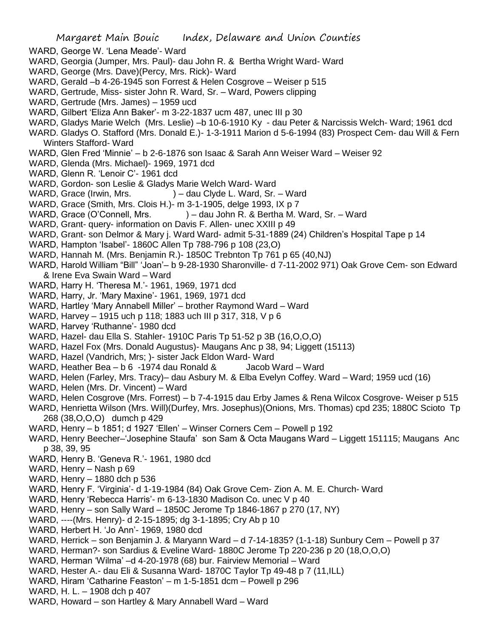- WARD, George W. 'Lena Meade'- Ward
- WARD, Georgia (Jumper, Mrs. Paul)- dau John R. & Bertha Wright Ward- Ward
- WARD, George (Mrs. Dave)(Percy, Mrs. Rick)- Ward
- WARD, Gerald –b 4-26-1945 son Forrest & Helen Cosgrove Weiser p 515
- WARD, Gertrude, Miss- sister John R. Ward, Sr. Ward, Powers clipping
- WARD, Gertrude (Mrs. James) 1959 ucd
- WARD, Gilbert 'Eliza Ann Baker'- m 3-22-1837 ucm 487, unec III p 30
- WARD, Gladys Marie Welch (Mrs. Leslie) –b 10-6-1910 Ky dau Peter & Narcissis Welch- Ward; 1961 dcd
- WARD. Gladys O. Stafford (Mrs. Donald E.)- 1-3-1911 Marion d 5-6-1994 (83) Prospect Cem- dau Will & Fern Winters Stafford- Ward
- WARD, Glen Fred 'Minnie' b 2-6-1876 son Isaac & Sarah Ann Weiser Ward Weiser 92
- WARD, Glenda (Mrs. Michael)- 1969, 1971 dcd
- WARD, Glenn R. 'Lenoir C'- 1961 dcd
- WARD, Gordon- son Leslie & Gladys Marie Welch Ward- Ward
- WARD, Grace (Irwin, Mrs. ) dau Clyde L. Ward, Sr. Ward
- WARD, Grace (Smith, Mrs. Clois H.)- m 3-1-1905, delge 1993, IX p 7
- WARD, Grace (O'Connell, Mrs. ) dau John R. & Bertha M. Ward, Sr. Ward
- WARD, Grant- query- information on Davis F. Allen- unec XXIII p 49
- WARD, Grant- son Delmor & Mary j. Ward Ward- admit 5-31-1889 (24) Children's Hospital Tape p 14
- WARD, Hampton 'Isabel'- 1860C Allen Tp 788-796 p 108 (23,O)
- WARD, Hannah M. (Mrs. Benjamin R.)- 1850C Trebnton Tp 761 p 65 (40,NJ)
- WARD, Harold William "Bill" 'Joan'– b 9-28-1930 Sharonville- d 7-11-2002 971) Oak Grove Cem- son Edward & Irene Eva Swain Ward – Ward
- WARD, Harry H. 'Theresa M.'- 1961, 1969, 1971 dcd
- WARD, Harry, Jr. 'Mary Maxine'- 1961, 1969, 1971 dcd
- WARD, Hartley 'Mary Annabell Miller' brother Raymond Ward Ward
- WARD, Harvey 1915 uch p 118; 1883 uch III p 317, 318, V p 6
- WARD, Harvey 'Ruthanne'- 1980 dcd
- WARD, Hazel- dau Ella S. Stahler- 1910C Paris Tp 51-52 p 3B (16,O,O,O)
- WARD, Hazel Fox (Mrs. Donald Augustus)- Maugans Anc p 38, 94; Liggett (15113)
- WARD, Hazel (Vandrich, Mrs; )- sister Jack Eldon Ward- Ward
- WARD, Heather Bea b 6 -1974 dau Ronald & Jacob Ward Ward
- WARD, Helen (Farley, Mrs. Tracy)– dau Asbury M. & Elba Evelyn Coffey. Ward Ward; 1959 ucd (16)
- WARD, Helen (Mrs. Dr. Vincent) Ward
- WARD, Helen Cosgrove (Mrs. Forrest) b 7-4-1915 dau Erby James & Rena Wilcox Cosgrove- Weiser p 515
- WARD, Henrietta Wilson (Mrs. Will)(Durfey, Mrs. Josephus)(Onions, Mrs. Thomas) cpd 235; 1880C Scioto Tp 268 (38,O,O,O) dumch p 429
- WARD, Henry b 1851; d 1927 'Ellen' Winser Corners Cem Powell p 192
- WARD, Henry Beecher–'Josephine Staufa' son Sam & Octa Maugans Ward Liggett 151115; Maugans Anc p 38, 39, 95
- WARD, Henry B. 'Geneva R.'- 1961, 1980 dcd
- WARD, Henry Nash p 69
- WARD, Henry 1880 dch p 536
- WARD, Henry F. 'Virginia'- d 1-19-1984 (84) Oak Grove Cem- Zion A. M. E. Church- Ward
- WARD, Henry 'Rebecca Harris'- m 6-13-1830 Madison Co. unec V p 40
- WARD, Henry son Sally Ward 1850C Jerome Tp 1846-1867 p 270 (17, NY)
- WARD, ----(Mrs. Henry)- d 2-15-1895; dg 3-1-1895; Cry Ab p 10
- WARD, Herbert H. 'Jo Ann'- 1969, 1980 dcd
- WARD, Herrick son Benjamin J. & Maryann Ward d 7-14-1835? (1-1-18) Sunbury Cem Powell p 37
- WARD, Herman?- son Sardius & Eveline Ward- 1880C Jerome Tp 220-236 p 20 (18,O,O,O)
- WARD, Herman 'Wilma' –d 4-20-1978 (68) bur. Fairview Memorial Ward
- WARD, Hester A.- dau Eli & Susanna Ward- 1870C Taylor Tp 49-48 p 7 (11,ILL)
- WARD, Hiram 'Catharine Feaston' m 1-5-1851 dcm Powell p 296
- WARD, H. L. 1908 dch p 407
- WARD, Howard son Hartley & Mary Annabell Ward Ward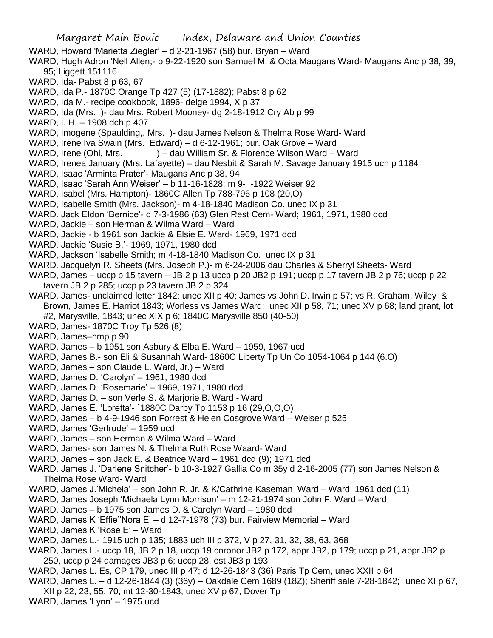- Margaret Main Bouic Index, Delaware and Union Counties WARD, Howard 'Marietta Ziegler' – d 2-21-1967 (58) bur. Bryan – Ward WARD, Hugh Adron 'Nell Allen;- b 9-22-1920 son Samuel M. & Octa Maugans Ward- Maugans Anc p 38, 39, 95; Liggett 151116 WARD, Ida- Pabst 8 p 63, 67 WARD, Ida P.- 1870C Orange Tp 427 (5) (17-1882); Pabst 8 p 62 WARD, Ida M.- recipe cookbook, 1896- delge 1994, X p 37 WARD, Ida (Mrs. )- dau Mrs. Robert Mooney- dg 2-18-1912 Cry Ab p 99 WARD, I. H. – 1908 dch p 407 WARD, Imogene (Spaulding,, Mrs. )- dau James Nelson & Thelma Rose Ward- Ward WARD, Irene Iva Swain (Mrs. Edward) – d 6-12-1961; bur. Oak Grove – Ward WARD, Irene (Ohl, Mrs. ) – dau William Sr. & Florence Wilson Ward – Ward WARD, Irenea January (Mrs. Lafayette) – dau Nesbit & Sarah M. Savage January 1915 uch p 1184 WARD, Isaac 'Arminta Prater'- Maugans Anc p 38, 94 WARD, Isaac 'Sarah Ann Weiser' – b 11-16-1828; m 9- -1922 Weiser 92 WARD, Isabel (Mrs. Hampton)- 1860C Allen Tp 788-796 p 108 (20,O) WARD, Isabelle Smith (Mrs. Jackson)- m 4-18-1840 Madison Co. unec IX p 31 WARD. Jack Eldon 'Bernice'- d 7-3-1986 (63) Glen Rest Cem- Ward; 1961, 1971, 1980 dcd WARD, Jackie – son Herman & Wilma Ward – Ward WARD, Jackie - b 1961 son Jackie & Elsie E. Ward- 1969, 1971 dcd WARD, Jackie 'Susie B.'- 1969, 1971, 1980 dcd WARD, Jackson 'Isabelle Smith; m 4-18-1840 Madison Co. unec IX p 31 WARD. Jacquelyn R. Sheets (Mrs. Joseph P.)- m 6-24-2006 dau Charles & Sherryl Sheets- Ward WARD, James – uccp p 15 tavern – JB 2 p 13 uccp p 20 JB2 p 191; uccp p 17 tavern JB 2 p 76; uccp p 22 tavern JB 2 p 285; uccp p 23 tavern JB 2 p 324 WARD, James- unclaimed letter 1842; unec XII p 40; James vs John D. Irwin p 57; vs R. Graham, Wiley & Brown, James E. Harriot 1843; Worless vs James Ward; unec XII p 58, 71; unec XV p 68; land grant, lot #2, Marysville, 1843; unec XIX p 6; 1840C Marysville 850 (40-50) WARD, James- 1870C Troy Tp 526 (8) WARD, James–hmp p 90 WARD, James – b 1951 son Asbury & Elba E. Ward – 1959, 1967 ucd WARD, James B.- son Eli & Susannah Ward- 1860C Liberty Tp Un Co 1054-1064 p 144 (6.O) WARD, James – son Claude L. Ward, Jr.) – Ward WARD, James D. 'Carolyn' – 1961, 1980 dcd WARD, James D. 'Rosemarie' – 1969, 1971, 1980 dcd WARD, James D. – son Verle S. & Marjorie B. Ward - Ward WARD, James E. 'Loretta'- `1880C Darby Tp 1153 p 16 (29,O,O,O) WARD, James – b 4-9-1946 son Forrest & Helen Cosgrove Ward – Weiser p 525 WARD, James 'Gertrude' – 1959 ucd WARD, James – son Herman & Wilma Ward – Ward WARD, James- son James N. & Thelma Ruth Rose Waard- Ward WARD, James – son Jack E. & Beatrice Ward – 1961 dcd (9); 1971 dcd WARD. James J. 'Darlene Snitcher'- b 10-3-1927 Gallia Co m 35y d 2-16-2005 (77) son James Nelson & Thelma Rose Ward- Ward WARD, James J.'Michela' – son John R. Jr. & K/Cathrine Kaseman Ward – Ward; 1961 dcd (11) WARD, James Joseph 'Michaela Lynn Morrison' – m 12-21-1974 son John F. Ward – Ward WARD, James – b 1975 son James D. & Carolyn Ward – 1980 dcd WARD, James K 'Effie''Nora E' – d 12-7-1978 (73) bur. Fairview Memorial – Ward WARD, James K 'Rose E' – Ward WARD, James L.- 1915 uch p 135; 1883 uch III p 372, V p 27, 31, 32, 38, 63, 368 WARD, James L.- uccp 18, JB 2 p 18, uccp 19 coronor JB2 p 172, appr JB2, p 179; uccp p 21, appr JB2 p 250, uccp p 24 damages JB3 p 6; uccp 28, est JB3 p 193 WARD, James L. Es, CP 179, unec III p 47; d 12-26-1843 (36) Paris Tp Cem, unec XXII p 64 WARD, James L. – d 12-26-1844 (3) (36y) – Oakdale Cem 1689 (18Z); Sheriff sale 7-28-1842; unec XI p 67, XII p 22, 23, 55, 70; mt 12-30-1843; unec XV p 67, Dover Tp
- WARD, James 'Lynn' 1975 ucd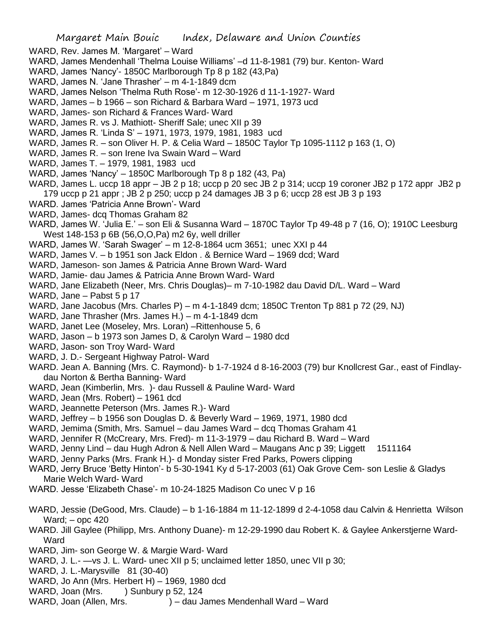- WARD, Rev. James M. 'Margaret' Ward
- WARD, James Mendenhall 'Thelma Louise Williams' –d 11-8-1981 (79) bur. Kenton- Ward
- WARD, James 'Nancy'- 1850C Marlborough Tp 8 p 182 (43,Pa)
- WARD, James N. 'Jane Thrasher' m 4-1-1849 dcm
- WARD, James Nelson 'Thelma Ruth Rose'- m 12-30-1926 d 11-1-1927- Ward
- WARD, James b 1966 son Richard & Barbara Ward 1971, 1973 ucd
- WARD, James- son Richard & Frances Ward- Ward
- WARD, James R. vs J. Mathiott- Sheriff Sale; unec XII p 39
- WARD, James R. 'Linda S' 1971, 1973, 1979, 1981, 1983 ucd
- WARD, James R. son Oliver H. P. & Celia Ward 1850C Taylor Tp 1095-1112 p 163 (1, O)
- WARD, James R. son Irene Iva Swain Ward Ward
- WARD, James T. 1979, 1981, 1983 ucd
- WARD, James 'Nancy' 1850C Marlborough Tp 8 p 182 (43, Pa)
- WARD, James L. uccp 18 appr JB 2 p 18; uccp p 20 sec JB 2 p 314; uccp 19 coroner JB2 p 172 appr JB2 p 179 uccp p 21 appr ; JB 2 p 250; uccp p 24 damages JB 3 p 6; uccp 28 est JB 3 p 193
- WARD. James 'Patricia Anne Brown'- Ward
- WARD, James- dcq Thomas Graham 82
- WARD, James W. 'Julia E.' son Eli & Susanna Ward 1870C Taylor Tp 49-48 p 7 (16, O); 1910C Leesburg West 148-153 p 6B (56,O,O,Pa) m2 6y, well driller
- WARD, James W. 'Sarah Swager' m 12-8-1864 ucm 3651; unec XXI p 44
- WARD, James V. b 1951 son Jack Eldon . & Bernice Ward 1969 dcd; Ward
- WARD, Jameson- son James & Patricia Anne Brown Ward- Ward
- WARD, Jamie- dau James & Patricia Anne Brown Ward- Ward
- WARD, Jane Elizabeth (Neer, Mrs. Chris Douglas)– m 7-10-1982 dau David D/L. Ward Ward
- WARD, Jane Pabst 5 p 17
- WARD, Jane Jacobus (Mrs. Charles P) m 4-1-1849 dcm; 1850C Trenton Tp 881 p 72 (29, NJ)
- WARD, Jane Thrasher (Mrs. James H.) m 4-1-1849 dcm
- WARD, Janet Lee (Moseley, Mrs. Loran) –Rittenhouse 5, 6
- WARD, Jason b 1973 son James D, & Carolyn Ward 1980 dcd
- WARD, Jason- son Troy Ward- Ward
- WARD, J. D.- Sergeant Highway Patrol- Ward
- WARD. Jean A. Banning (Mrs. C. Raymond)- b 1-7-1924 d 8-16-2003 (79) bur Knollcrest Gar., east of Findlaydau Norton & Bertha Banning- Ward
- WARD, Jean (Kimberlin, Mrs. )- dau Russell & Pauline Ward- Ward
- WARD, Jean (Mrs. Robert) 1961 dcd
- WARD, Jeannette Peterson (Mrs. James R.)- Ward
- WARD, Jeffrey b 1956 son Douglas D. & Beverly Ward 1969, 1971, 1980 dcd
- WARD, Jemima (Smith, Mrs. Samuel dau James Ward dcq Thomas Graham 41
- WARD, Jennifer R (McCreary, Mrs. Fred)- m 11-3-1979 dau Richard B. Ward Ward
- WARD, Jenny Lind dau Hugh Adron & Nell Allen Ward Maugans Anc p 39; Liggett 1511164
- WARD, Jenny Parks (Mrs. Frank H.)- d Monday sister Fred Parks, Powers clipping
- WARD, Jerry Bruce 'Betty Hinton'- b 5-30-1941 Ky d 5-17-2003 (61) Oak Grove Cem- son Leslie & Gladys Marie Welch Ward- Ward
- WARD. Jesse 'Elizabeth Chase'- m 10-24-1825 Madison Co unec V p 16
- WARD, Jessie (DeGood, Mrs. Claude) b 1-16-1884 m 11-12-1899 d 2-4-1058 dau Calvin & Henrietta Wilson Ward; – opc 420
- WARD. Jill Gaylee (Philipp, Mrs. Anthony Duane)- m 12-29-1990 dau Robert K. & Gaylee Ankerstjerne Ward-Ward
- WARD, Jim- son George W. & Margie Ward- Ward
- WARD, J. L.- —vs J. L. Ward- unec XII p 5; unclaimed letter 1850, unec VII p 30;
- WARD, J. L.-Marysville 81 (30-40)
- WARD, Jo Ann (Mrs. Herbert H) 1969, 1980 dcd
- WARD, Joan (Mrs. ) Sunbury p 52, 124
- WARD, Joan (Allen, Mrs. ) dau James Mendenhall Ward Ward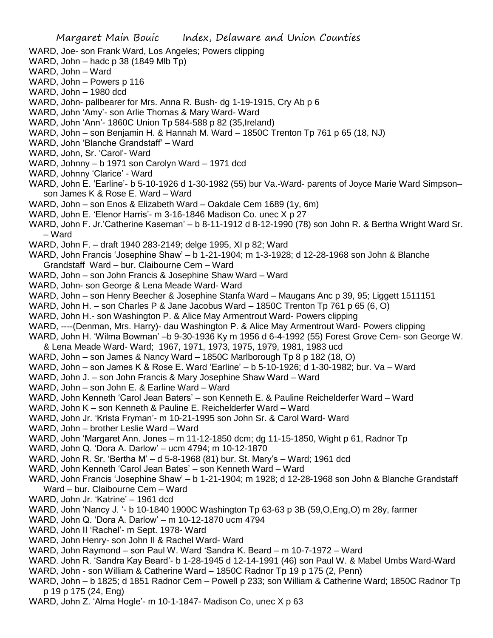- WARD, Joe- son Frank Ward, Los Angeles; Powers clipping
- WARD, John hadc p 38 (1849 Mlb Tp)
- WARD, John Ward
- WARD, John Powers p 116
- WARD, John 1980 dcd
- WARD, John- pallbearer for Mrs. Anna R. Bush- dg 1-19-1915, Cry Ab p 6
- WARD, John 'Amy'- son Arlie Thomas & Mary Ward- Ward
- WARD, John 'Ann'- 1860C Union Tp 584-588 p 82 (35,Ireland)
- WARD, John son Benjamin H. & Hannah M. Ward 1850C Trenton Tp 761 p 65 (18, NJ)
- WARD, John 'Blanche Grandstaff' Ward
- WARD, John, Sr. 'Carol'- Ward
- WARD, Johnny b 1971 son Carolyn Ward 1971 dcd
- WARD, Johnny 'Clarice' Ward
- WARD, John E. 'Earline'- b 5-10-1926 d 1-30-1982 (55) bur Va.-Ward- parents of Joyce Marie Ward Simpson– son James K & Rose E. Ward – Ward
- WARD, John son Enos & Elizabeth Ward Oakdale Cem 1689 (1y, 6m)
- WARD, John E. 'Elenor Harris'- m 3-16-1846 Madison Co. unec X p 27
- WARD, John F. Jr.'Catherine Kaseman' b 8-11-1912 d 8-12-1990 (78) son John R. & Bertha Wright Ward Sr. – Ward
- WARD, John F. draft 1940 283-2149; delge 1995, XI p 82; Ward
- WARD, John Francis 'Josephine Shaw' b 1-21-1904; m 1-3-1928; d 12-28-1968 son John & Blanche Grandstaff Ward – bur. Claibourne Cem – Ward
- WARD, John son John Francis & Josephine Shaw Ward Ward
- WARD, John- son George & Lena Meade Ward- Ward
- WARD, John son Henry Beecher & Josephine Stanfa Ward Maugans Anc p 39, 95; Liggett 1511151
- WARD, John H. son Charles P & Jane Jacobus Ward 1850C Trenton Tp 761 p 65 (6, O)
- WARD, John H.- son Washington P. & Alice May Armentrout Ward- Powers clipping
- WARD, ----(Denman, Mrs. Harry)- dau Washington P. & Alice May Armentrout Ward- Powers clipping
- WARD, John H. 'Wilma Bowman' –b 9-30-1936 Ky m 1956 d 6-4-1992 (55) Forest Grove Cem- son George W. & Lena Meade Ward- Ward; 1967, 1971, 1973, 1975, 1979, 1981, 1983 ucd
- WARD, John son James & Nancy Ward 1850C Marlborough Tp 8 p 182 (18, O)
- WARD, John son James K & Rose E. Ward 'Earline' b 5-10-1926; d 1-30-1982; bur. Va Ward
- WARD, John J. son John Francis & Mary Josephine Shaw Ward Ward
- WARD, John son John E. & Earline Ward Ward
- WARD, John Kenneth 'Carol Jean Baters' son Kenneth E. & Pauline Reichelderfer Ward Ward
- WARD, John K son Kenneth & Pauline E. Reichelderfer Ward Ward
- WARD, John Jr. 'Krista Fryman'- m 10-21-1995 son John Sr. & Carol Ward- Ward
- WARD, John brother Leslie Ward Ward
- WARD, John 'Margaret Ann. Jones m 11-12-1850 dcm; dg 11-15-1850, Wight p 61, Radnor Tp
- WARD, John Q. 'Dora A. Darlow' ucm 4794; m 10-12-1870
- WARD, John R. Sr. 'Bertha M' d 5-8-1968 (81) bur. St. Mary's Ward; 1961 dcd
- WARD, John Kenneth 'Carol Jean Bates' son Kenneth Ward Ward
- WARD, John Francis 'Josephine Shaw' b 1-21-1904; m 1928; d 12-28-1968 son John & Blanche Grandstaff Ward – bur. Claibourne Cem – Ward
- WARD, John Jr. 'Katrine' 1961 dcd
- WARD, John 'Nancy J. '- b 10-1840 1900C Washington Tp 63-63 p 3B (59,O,Eng,O) m 28y, farmer
- WARD, John Q. 'Dora A. Darlow' m 10-12-1870 ucm 4794
- WARD, John II 'Rachel'- m Sept. 1978- Ward
- WARD, John Henry- son John II & Rachel Ward- Ward
- WARD, John Raymond son Paul W. Ward 'Sandra K. Beard m 10-7-1972 Ward
- WARD. John R. 'Sandra Kay Beard'- b 1-28-1945 d 12-14-1991 (46) son Paul W. & Mabel Umbs Ward-Ward WARD, John - son William & Catherine Ward – 1850C Radnor Tp 19 p 175 (2, Penn)
- WARD, John b 1825; d 1851 Radnor Cem Powell p 233; son William & Catherine Ward; 1850C Radnor Tp

p 19 p 175 (24, Eng)

WARD, John Z. 'Alma Hogle'- m 10-1-1847- Madison Co, unec X p 63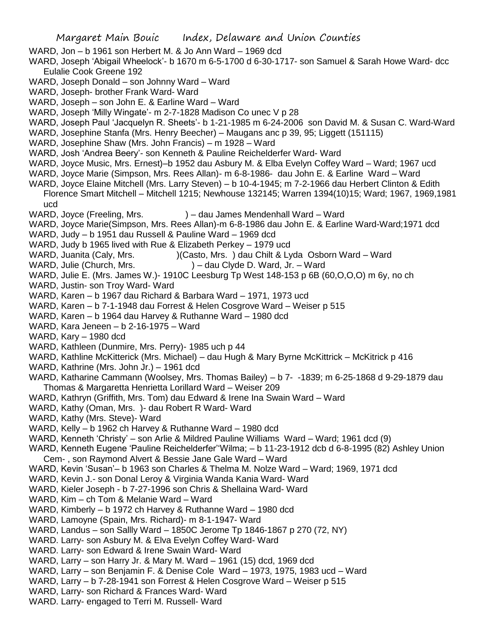- WARD, Jon b 1961 son Herbert M. & Jo Ann Ward 1969 dcd
- WARD, Joseph 'Abigail Wheelock'- b 1670 m 6-5-1700 d 6-30-1717- son Samuel & Sarah Howe Ward- dcc Eulalie Cook Greene 192
- WARD, Joseph Donald son Johnny Ward Ward
- WARD, Joseph- brother Frank Ward- Ward
- WARD, Joseph son John E. & Earline Ward Ward
- WARD, Joseph 'Milly Wingate'- m 2-7-1828 Madison Co unec V p 28
- WARD, Joseph Paul 'Jacquelyn R. Sheets'- b 1-21-1985 m 6-24-2006 son David M. & Susan C. Ward-Ward
- WARD, Josephine Stanfa (Mrs. Henry Beecher) Maugans anc p 39, 95; Liggett (151115)
- WARD, Josephine Shaw (Mrs. John Francis) m 1928 Ward
- WARD, Josh 'Andrea Beery'- son Kenneth & Pauline Reichelderfer Ward- Ward
- WARD, Joyce Music, Mrs. Ernest)–b 1952 dau Asbury M. & Elba Evelyn Coffey Ward Ward; 1967 ucd
- WARD, Joyce Marie (Simpson, Mrs. Rees Allan)- m 6-8-1986- dau John E. & Earline Ward Ward
- WARD, Joyce Elaine Mitchell (Mrs. Larry Steven) b 10-4-1945; m 7-2-1966 dau Herbert Clinton & Edith Florence Smart Mitchell – Mitchell 1215; Newhouse 132145; Warren 1394(10)15; Ward; 1967, 1969,1981 ucd
- WARD, Joyce (Freeling, Mrs.  $) -$  dau James Mendenhall Ward Ward
- WARD, Joyce Marie(Simpson, Mrs. Rees Allan)-m 6-8-1986 dau John E. & Earline Ward-Ward;1971 dcd
- WARD, Judy b 1951 dau Russell & Pauline Ward 1969 dcd
- WARD, Judy b 1965 lived with Rue & Elizabeth Perkey 1979 ucd
- WARD, Juanita (Caly, Mrs. ) (Casto, Mrs. ) dau Chilt & Lyda Osborn Ward Ward
- WARD, Julie (Church, Mrs. ) dau Clyde D. Ward, Jr. Ward
- WARD, Julie E. (Mrs. James W.)- 1910C Leesburg Tp West 148-153 p 6B (60,O,O,O) m 6y, no ch
- WARD, Justin- son Troy Ward- Ward
- WARD, Karen b 1967 dau Richard & Barbara Ward 1971, 1973 ucd
- WARD, Karen b 7-1-1948 dau Forrest & Helen Cosgrove Ward Weiser p 515
- WARD, Karen b 1964 dau Harvey & Ruthanne Ward 1980 dcd
- WARD, Kara Jeneen b 2-16-1975 Ward
- WARD, Kary 1980 dcd
- WARD, Kathleen (Dunmire, Mrs. Perry)- 1985 uch p 44
- WARD, Kathline McKitterick (Mrs. Michael) dau Hugh & Mary Byrne McKittrick McKitrick p 416
- WARD, Kathrine (Mrs. John Jr.) 1961 dcd
- WARD, Katharine Cammann (Woolsey, Mrs. Thomas Bailey) b 7- -1839; m 6-25-1868 d 9-29-1879 dau Thomas & Margaretta Henrietta Lorillard Ward – Weiser 209
- WARD, Kathryn (Griffith, Mrs. Tom) dau Edward & Irene Ina Swain Ward Ward
- WARD, Kathy (Oman, Mrs. )- dau Robert R Ward- Ward
- WARD, Kathy (Mrs. Steve)- Ward
- WARD, Kelly b 1962 ch Harvey & Ruthanne Ward 1980 dcd
- WARD, Kenneth 'Christy' son Arlie & Mildred Pauline Williams Ward Ward; 1961 dcd (9)
- WARD, Kenneth Eugene 'Pauline Reichelderfer''Wilma; b 11-23-1912 dcb d 6-8-1995 (82) Ashley Union Cem- , son Raymond Alvert & Bessie Jane Gale Ward – Ward
- WARD, Kevin 'Susan'– b 1963 son Charles & Thelma M. Nolze Ward Ward; 1969, 1971 dcd
- WARD, Kevin J.- son Donal Leroy & Virginia Wanda Kania Ward- Ward
- WARD, Kieler Joseph b 7-27-1996 son Chris & Shellaina Ward- Ward
- WARD, Kim ch Tom & Melanie Ward Ward
- WARD, Kimberly b 1972 ch Harvey & Ruthanne Ward 1980 dcd
- WARD, Lamoyne (Spain, Mrs. Richard)- m 8-1-1947- Ward
- WARD, Landus son Sallly Ward 1850C Jerome Tp 1846-1867 p 270 (72, NY)
- WARD. Larry- son Asbury M. & Elva Evelyn Coffey Ward- Ward
- WARD. Larry- son Edward & Irene Swain Ward- Ward
- WARD, Larry son Harry Jr. & Mary M. Ward 1961 (15) dcd, 1969 dcd
- WARD, Larry son Benjamin F. & Denise Cole Ward 1973, 1975, 1983 ucd Ward
- WARD, Larry b 7-28-1941 son Forrest & Helen Cosgrove Ward Weiser p 515
- WARD, Larry- son Richard & Frances Ward- Ward
- WARD. Larry- engaged to Terri M. Russell- Ward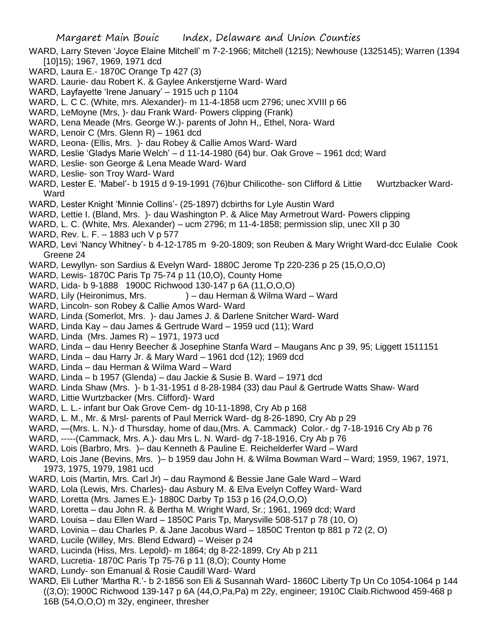- WARD, Larry Steven 'Joyce Elaine Mitchell' m 7-2-1966; Mitchell (1215); Newhouse (1325145); Warren (1394 [10]15); 1967, 1969, 1971 dcd
- WARD, Laura E.- 1870C Orange Tp 427 (3)
- WARD. Laurie- dau Robert K. & Gaylee Ankerstjerne Ward- Ward
- WARD, Layfayette 'Irene January' 1915 uch p 1104
- WARD, L. C C. (White, mrs. Alexander)- m 11-4-1858 ucm 2796; unec XVIII p 66
- WARD, LeMoyne (Mrs, )- dau Frank Ward- Powers clipping (Frank)
- WARD, Lena Meade (Mrs. George W.)- parents of John H,, Ethel, Nora- Ward
- WARD, Lenoir C (Mrs. Glenn R) 1961 dcd
- WARD, Leona- (Ellis, Mrs. )- dau Robey & Callie Amos Ward- Ward
- WARD, Leslie 'Gladys Marie Welch' d 11-14-1980 (64) bur. Oak Grove 1961 dcd; Ward
- WARD, Leslie- son George & Lena Meade Ward- Ward
- WARD, Leslie- son Troy Ward- Ward
- WARD, Lester E. 'Mabel'- b 1915 d 9-19-1991 (76)bur Chilicothe- son Clifford & Littie Wurtzbacker Ward-**Ward**
- WARD, Lester Knight 'Minnie Collins'- (25-1897) dcbirths for Lyle Austin Ward
- WARD, Lettie I. (Bland, Mrs. )- dau Washington P. & Alice May Armetrout Ward- Powers clipping
- WARD, L. C. (White, Mrs. Alexander) ucm 2796; m 11-4-1858; permission slip, unec XII p 30
- WARD, Rev. L. F. 1883 uch V p 577
- WARD, Levi 'Nancy Whitney'- b 4-12-1785 m 9-20-1809; son Reuben & Mary Wright Ward-dcc Eulalie Cook Greene 24
- WARD, Lewyllyn- son Sardius & Evelyn Ward- 1880C Jerome Tp 220-236 p 25 (15,O,O,O)
- WARD, Lewis- 1870C Paris Tp 75-74 p 11 (10,O), County Home
- WARD, Lida- b 9-1888 1900C Richwood 130-147 p 6A (11,O,O,O)
- WARD, Lily (Heironimus, Mrs. ) dau Herman & Wilma Ward Ward
- WARD, Lincoln- son Robey & Callie Amos Ward- Ward
- WARD, Linda (Somerlot, Mrs. )- dau James J. & Darlene Snitcher Ward- Ward
- WARD, Linda Kay dau James & Gertrude Ward 1959 ucd (11); Ward
- WARD, Linda (Mrs. James R) 1971, 1973 ucd
- WARD, Linda dau Henry Beecher & Josephine Stanfa Ward Maugans Anc p 39, 95; Liggett 1511151
- WARD, Linda dau Harry Jr. & Mary Ward 1961 dcd (12); 1969 dcd
- WARD, Linda dau Herman & Wilma Ward Ward
- WARD, Linda b 1957 (Glenda) dau Jackie & Susie B. Ward 1971 dcd
- WARD. Linda Shaw (Mrs. )- b 1-31-1951 d 8-28-1984 (33) dau Paul & Gertrude Watts Shaw- Ward
- WARD, Littie Wurtzbacker (Mrs. Clifford)- Ward
- WARD, L. L.- infant bur Oak Grove Cem- dg 10-11-1898, Cry Ab p 168
- WARD, L. M., Mr. & Mrsl- parents of Paul Merrick Ward- dg 8-26-1890, Cry Ab p 29
- WARD, —(Mrs. L. N.)- d Thursday, home of dau,(Mrs. A. Cammack) Color.- dg 7-18-1916 Cry Ab p 76
- WARD, -----(Cammack, Mrs. A.)- dau Mrs L. N. Ward- dg 7-18-1916, Cry Ab p 76
- WARD, Lois (Barbro, Mrs. )– dau Kenneth & Pauline E. Reichelderfer Ward Ward
- WARD, Lois Jane (Bevins, Mrs. )– b 1959 dau John H. & Wilma Bowman Ward Ward; 1959, 1967, 1971, 1973, 1975, 1979, 1981 ucd
- WARD, Lois (Martin, Mrs. Carl Jr) dau Raymond & Bessie Jane Gale Ward Ward
- WARD, Lola (Lewis, Mrs. Charles)- dau Asbury M. & Elva Evelyn Coffey Ward- Ward
- WARD, Loretta (Mrs. James E.)- 1880C Darby Tp 153 p 16 (24,O,O,O)
- WARD, Loretta dau John R. & Bertha M. Wright Ward, Sr.; 1961, 1969 dcd; Ward
- WARD, Louisa dau Ellen Ward 1850C Paris Tp, Marysville 508-517 p 78 (10, O)
- WARD, Lovinia dau Charles P. & Jane Jacobus Ward 1850C Trenton tp 881 p 72 (2, O)
- WARD, Lucile (Willey, Mrs. Blend Edward) Weiser p 24
- WARD, Lucinda (Hiss, Mrs. Lepold)- m 1864; dg 8-22-1899, Cry Ab p 211
- WARD, Lucretia- 1870C Paris Tp 75-76 p 11 (8,O); County Home
- WARD, Lundy- son Emanual & Rosie Caudill Ward- Ward
- WARD, Eli Luther 'Martha R.'- b 2-1856 son Eli & Susannah Ward- 1860C Liberty Tp Un Co 1054-1064 p 144 ((3,O); 1900C Richwood 139-147 p 6A (44,O,Pa,Pa) m 22y, engineer; 1910C Claib.Richwood 459-468 p 16B (54,O,O,O) m 32y, engineer, thresher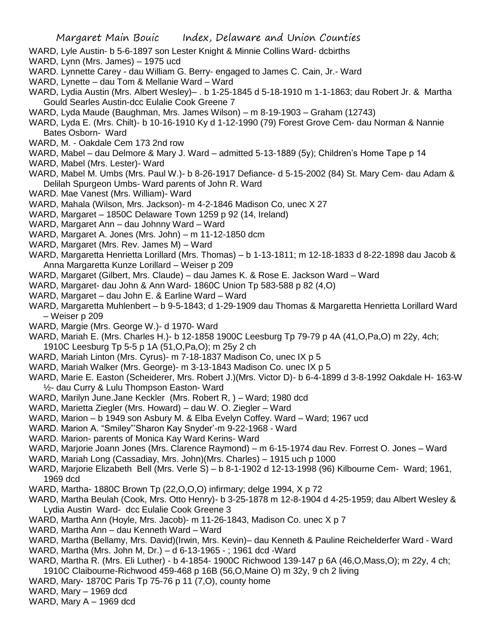- WARD, Lyle Austin- b 5-6-1897 son Lester Knight & Minnie Collins Ward- dcbirths
- WARD, Lynn (Mrs. James) 1975 ucd
- WARD. Lynnette Carey dau William G. Berry- engaged to James C. Cain, Jr.- Ward
- WARD, Lynette dau Tom & Mellanie Ward Ward
- WARD, Lydia Austin (Mrs. Albert Wesley)– . b 1-25-1845 d 5-18-1910 m 1-1-1863; dau Robert Jr. & Martha Gould Searles Austin-dcc Eulalie Cook Greene 7
- WARD, Lyda Maude (Baughman, Mrs. James Wilson) m 8-19-1903 Graham (12743)
- WARD, Lyda E. (Mrs. Chilt)- b 10-16-1910 Ky d 1-12-1990 (79) Forest Grove Cem- dau Norman & Nannie Bates Osborn- Ward
- WARD, M. Oakdale Cem 173 2nd row
- WARD, Mabel dau Delmore & Mary J. Ward admitted 5-13-1889 (5y); Children's Home Tape p 14
- WARD, Mabel (Mrs. Lester)- Ward
- WARD, Mabel M. Umbs (Mrs. Paul W.)- b 8-26-1917 Defiance- d 5-15-2002 (84) St. Mary Cem- dau Adam & Delilah Spurgeon Umbs- Ward parents of John R. Ward
- WARD. Mae Vanest (Mrs. William)- Ward
- WARD, Mahala (Wilson, Mrs. Jackson)- m 4-2-1846 Madison Co, unec X 27
- WARD, Margaret 1850C Delaware Town 1259 p 92 (14, Ireland)
- WARD, Margaret Ann dau Johnny Ward Ward
- WARD, Margaret A. Jones (Mrs. John) m 11-12-1850 dcm
- WARD, Margaret (Mrs. Rev. James M) Ward
- WARD, Margaretta Henrietta Lorillard (Mrs. Thomas) b 1-13-1811; m 12-18-1833 d 8-22-1898 dau Jacob & Anna Margaretta Kunze Lorillard – Weiser p 209
- WARD, Margaret (Gilbert, Mrs. Claude) dau James K. & Rose E. Jackson Ward Ward
- WARD, Margaret- dau John & Ann Ward- 1860C Union Tp 583-588 p 82 (4,O)
- WARD, Margaret dau John E. & Earline Ward Ward
- WARD, Margaretta Muhlenbert b 9-5-1843; d 1-29-1909 dau Thomas & Margaretta Henrietta Lorillard Ward – Weiser p 209
- WARD, Margie (Mrs. George W.)- d 1970- Ward
- WARD, Mariah E. (Mrs. Charles H.)- b 12-1858 1900C Leesburg Tp 79-79 p 4A (41,O,Pa,O) m 22y, 4ch; 1910C Leesburg Tp 5-5 p 1A (51,O,Pa,O); m 25y 2 ch
- WARD, Mariah Linton (Mrs. Cyrus)- m 7-18-1837 Madison Co, unec IX p 5
- WARD, Mariah Walker (Mrs. George)- m 3-13-1843 Madison Co. unec IX p 5
- WARD, Marie E. Easton (Scheiderer, Mrs. Robert J.)(Mrs. Victor D)- b 6-4-1899 d 3-8-1992 Oakdale H- 163-W ½- dau Curry & Lulu Thompson Easton- Ward
- WARD, Marilyn June.Jane Keckler (Mrs. Robert R, ) Ward; 1980 dcd
- WARD, Marietta Ziegler (Mrs. Howard) dau W. O. Ziegler Ward
- WARD, Marion b 1949 son Asbury M. & Elba Evelyn Coffey. Ward Ward; 1967 ucd
- WARD. Marion A. "Smiley"'Sharon Kay Snyder'-m 9-22-1968 Ward
- WARD. Marion- parents of Monica Kay Ward Kerins- Ward
- WARD, Marjorie Joann Jones (Mrs. Clarence Raymond) m 6-15-1974 dau Rev. Forrest O. Jones Ward
- WARD, Mariah Long (Cassadiay, Mrs. John)(Mrs. Charles) 1915 uch p 1000
- WARD, Marjorie Elizabeth Bell (Mrs. Verle S) b 8-1-1902 d 12-13-1998 (96) Kilbourne Cem- Ward; 1961, 1969 dcd
- WARD, Martha- 1880C Brown Tp (22,O,O,O) infirmary; delge 1994, X p 72
- WARD, Martha Beulah (Cook, Mrs. Otto Henry)- b 3-25-1878 m 12-8-1904 d 4-25-1959; dau Albert Wesley & Lydia Austin Ward- dcc Eulalie Cook Greene 3
- WARD, Martha Ann (Hoyle, Mrs. Jacob)- m 11-26-1843, Madison Co. unec X p 7
- WARD, Martha Ann dau Kenneth Ward Ward
- WARD, Martha (Bellamy, Mrs. David)(Irwin, Mrs. Kevin)– dau Kenneth & Pauline Reichelderfer Ward Ward
- WARD, Martha (Mrs. John M, Dr.) d 6-13-1965 ; 1961 dcd -Ward
- WARD, Martha R. (Mrs. Eli Luther) b 4-1854- 1900C Richwood 139-147 p 6A (46,O,Mass,O); m 22y, 4 ch; 1910C Claibourne-Richwood 459-468 p 16B (56,O,Maine O) m 32y, 9 ch 2 living
- WARD, Mary- 1870C Paris Tp 75-76 p 11 (7,O), county home
- WARD, Mary 1969 dcd
- WARD, Mary  $A 1969$  dcd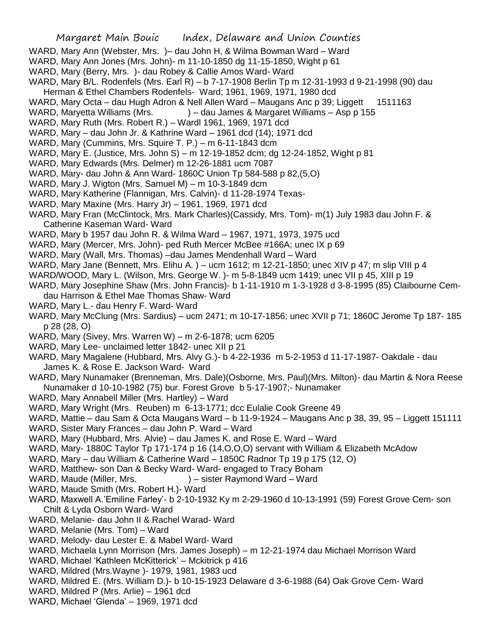- WARD, Mary Ann (Webster, Mrs. )– dau John H, & Wilma Bowman Ward Ward
- WARD, Mary Ann Jones (Mrs. John)- m 11-10-1850 dg 11-15-1850, Wight p 61
- WARD, Mary (Berry, Mrs. )- dau Robey & Callie Amos Ward- Ward
- WARD, Mary B/L. Rodenfels (Mrs. Earl R) b 7-17-1908 Berlin Tp m 12-31-1993 d 9-21-1998 (90) dau Herman & Ethel Chambers Rodenfels- Ward; 1961, 1969, 1971, 1980 dcd
- WARD, Mary Octa dau Hugh Adron & Nell Allen Ward Maugans Anc p 39; Liggett 1511163
- WARD, Maryetta Williams (Mrs.  $\longrightarrow$  ) dau James & Margaret Williams Asp p 155
- WARD, Mary Ruth (Mrs. Robert R.) Wardl 1961, 1969, 1971 dcd
- WARD, Mary dau John Jr. & Kathrine Ward 1961 dcd (14); 1971 dcd
- WARD, Mary (Cummins, Mrs. Squire T. P.) m 6-11-1843 dcm
- WARD, Mary E. (Justice, Mrs. John S) m 12-19-1852 dcm; dg 12-24-1852, Wight p 81
- WARD, Mary Edwards (Mrs. Delmer) m 12-26-1881 ucm 7087
- WARD, Mary- dau John & Ann Ward- 1860C Union Tp 584-588 p 82,(5,O)
- WARD, Mary J. Wigton (Mrs. Samuel M) m 10-3-1849 dcm
- WARD, Mary Katherine (Flannigan, Mrs. Calvin)- d 11-28-1974 Texas-
- WARD, Mary Maxine (Mrs. Harry Jr) 1961, 1969, 1971 dcd
- WARD, Mary Fran (McClintock, Mrs. Mark Charles)(Cassidy, Mrs. Tom)- m(1) July 1983 dau John F. & Catherine Kaseman Ward- Ward
- WARD, Mary b 1957 dau John R. & Wilma Ward 1967, 1971, 1973, 1975 ucd
- WARD, Mary (Mercer, Mrs. John)- ped Ruth Mercer McBee #166A; unec IX p 69
- WARD, Mary (Wall, Mrs. Thomas) –dau James Mendenhall Ward Ward
- WARD, Mary Jane (Bennett, Mrs. Elihu A. ) ucm 1612; m 12-21-1850; unec XIV p 47; m slip VIII p 4
- WARD/WOOD, Mary L. (Wilson, Mrs. George W. )- m 5-8-1849 ucm 1419; unec VII p 45, XIII p 19
- WARD, Mary Josephine Shaw (Mrs. John Francis)- b 1-11-1910 m 1-3-1928 d 3-8-1995 (85) Claibourne Cemdau Harrison & Ethel Mae Thomas Shaw- Ward
- WARD, Mary L.- dau Henry F. Ward- Ward
- WARD, Mary McClung (Mrs. Sardius) ucm 2471; m 10-17-1856; unec XVII p 71; 1860C Jerome Tp 187- 185 p 28 (28, O)
- WARD, Mary (Sivey, Mrs. Warren W) m 2-6-1878; ucm 6205
- WARD, Mary Lee- unclaimed letter 1842- unec XII p 21
- WARD, Mary Magalene (Hubbard, Mrs. Alvy G.)- b 4-22-1936 m 5-2-1953 d 11-17-1987- Oakdale dau James K. & Rose E. Jackson Ward- Ward
- WARD, Mary Nunamaker (Brenneman, Mrs. Dale)(Osborne, Mrs. Paul)(Mrs. Milton)- dau Martin & Nora Reese Nunamaker d 10-10-1982 (75) bur. Forest Grove b 5-17-1907;- Nunamaker
- WARD, Mary Annabell Miller (Mrs. Hartley) Ward
- WARD, Mary Wright (Mrs. Reuben) m 6-13-1771; dcc Eulalie Cook Greene 49
- WARD, Mattie dau Sam & Octa Maugans Ward b 11-9-1924 Maugans Anc p 38, 39, 95 Liggett 151111
- WARD, Sister Mary Frances dau John P. Ward Ward
- WARD, Mary (Hubbard, Mrs. Alvie) dau James K. and Rose E. Ward Ward
- WARD, Mary- 1880C Taylor Tp 171-174 p 16 (14, O, O, O) servant with William & Elizabeth McAdow
- WARD, Mary dau William & Catherine Ward 1850C Radnor Tp 19 p 175 (12, O)
- WARD, Matthew- son Dan & Becky Ward- Ward- engaged to Tracy Boham
- WARD, Maude (Miller, Mrs.  $)$  sister Raymond Ward Ward
- WARD, Maude Smith (Mrs. Robert H.)- Ward
- WARD, Maxwell A.'Emiline Farley'- b 2-10-1932 Ky m 2-29-1960 d 10-13-1991 (59) Forest Grove Cem- son Chilt & Lyda Osborn Ward- Ward
- WARD, Melanie- dau John II & Rachel Warad- Ward
- WARD, Melanie (Mrs. Tom) Ward
- WARD, Melody- dau Lester E. & Mabel Ward- Ward
- WARD, Michaela Lynn Morrison (Mrs. James Joseph) m 12-21-1974 dau Michael Morrison Ward
- WARD, Michael 'Kathleen McKitterick' Mckitrick p 416
- WARD, Mildred (Mrs.Wayne )- 1979, 1981, 1983 ucd
- WARD, Mildred E. (Mrs. William D.)- b 10-15-1923 Delaware d 3-6-1988 (64) Oak Grove Cem- Ward
- WARD, Mildred P (Mrs. Arlie) 1961 dcd
- WARD, Michael 'Glenda' 1969, 1971 dcd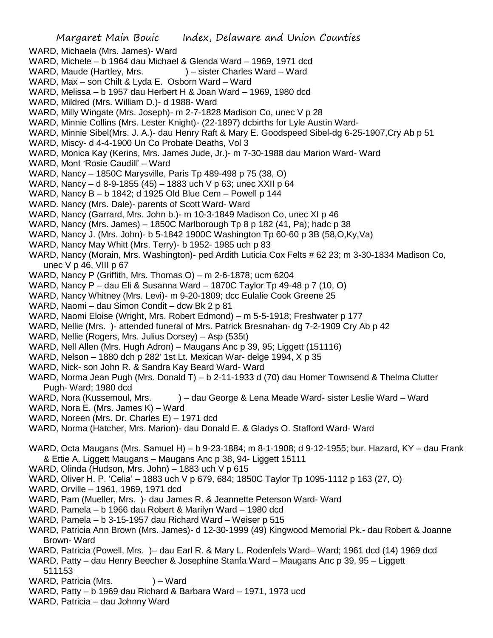- WARD, Michaela (Mrs. James)- Ward
- WARD, Michele b 1964 dau Michael & Glenda Ward 1969, 1971 dcd
- WARD, Maude (Hartley, Mrs.  $) -$  sister Charles Ward Ward
- WARD, Max son Chilt & Lyda E. Osborn Ward Ward
- WARD, Melissa b 1957 dau Herbert H & Joan Ward 1969, 1980 dcd
- WARD, Mildred (Mrs. William D.)- d 1988- Ward
- WARD, Milly Wingate (Mrs. Joseph)- m 2-7-1828 Madison Co, unec V p 28
- WARD, Minnie Collins (Mrs. Lester Knight)- (22-1897) dcbirths for Lyle Austin Ward-
- WARD, Minnie Sibel(Mrs. J. A.)- dau Henry Raft & Mary E. Goodspeed Sibel-dg 6-25-1907,Cry Ab p 51
- WARD, Miscy- d 4-4-1900 Un Co Probate Deaths, Vol 3
- WARD, Monica Kay (Kerins, Mrs. James Jude, Jr.)- m 7-30-1988 dau Marion Ward- Ward
- WARD, Mont 'Rosie Caudill' Ward
- WARD, Nancy 1850C Marysville, Paris Tp 489-498 p 75 (38, O)
- WARD, Nancy d 8-9-1855 (45) 1883 uch V p 63; unec XXII p 64
- WARD, Nancy B b 1842; d 1925 Old Blue Cem Powell p 144
- WARD. Nancy (Mrs. Dale)- parents of Scott Ward- Ward
- WARD, Nancy (Garrard, Mrs. John b.)- m 10-3-1849 Madison Co, unec XI p 46
- WARD, Nancy (Mrs. James) 1850C Marlborough Tp 8 p 182 (41, Pa); hadc p 38
- WARD, Nancy J. (Mrs. John)- b 5-1842 1900C Washington Tp 60-60 p 3B (58,O,Ky,Va)
- WARD, Nancy May Whitt (Mrs. Terry)- b 1952- 1985 uch p 83
- WARD, Nancy (Morain, Mrs. Washington)- ped Ardith Luticia Cox Felts # 62 23; m 3-30-1834 Madison Co, unec  $V$  p 46, VIII p 67
- WARD, Nancy P (Griffith, Mrs. Thomas O) m 2-6-1878; ucm 6204
- WARD, Nancy P dau Eli & Susanna Ward 1870C Taylor Tp 49-48 p 7 (10, O)
- WARD, Nancy Whitney (Mrs. Levi)- m 9-20-1809; dcc Eulalie Cook Greene 25
- WARD, Naomi dau Simon Condit dcw Bk 2 p 81
- WARD, Naomi Eloise (Wright, Mrs. Robert Edmond) m 5-5-1918; Freshwater p 177
- WARD, Nellie (Mrs. )- attended funeral of Mrs. Patrick Bresnahan- dg 7-2-1909 Cry Ab p 42
- WARD, Nellie (Rogers, Mrs. Julius Dorsey) Asp (535t)
- WARD, Nell Allen (Mrs. Hugh Adron) Maugans Anc p 39, 95; Liggett (151116)
- WARD, Nelson 1880 dch p 282' 1st Lt. Mexican War- delge 1994, X p 35
- WARD, Nick- son John R. & Sandra Kay Beard Ward- Ward
- WARD, Norma Jean Pugh (Mrs. Donald T) b 2-11-1933 d (70) dau Homer Townsend & Thelma Clutter Pugh- Ward; 1980 dcd
- WARD, Nora (Kussemoul, Mrs. ) dau George & Lena Meade Ward- sister Leslie Ward Ward
- WARD, Nora E. (Mrs. James K) Ward
- WARD, Noreen (Mrs. Dr. Charles E) 1971 dcd
- WARD, Norma (Hatcher, Mrs. Marion)- dau Donald E. & Gladys O. Stafford Ward- Ward
- WARD, Octa Maugans (Mrs. Samuel H) b 9-23-1884; m 8-1-1908; d 9-12-1955; bur. Hazard, KY dau Frank & Ettie A. Liggett Maugans – Maugans Anc p 38, 94- Liggett 15111
- WARD, Olinda (Hudson, Mrs. John) 1883 uch V p 615
- WARD, Oliver H. P. 'Celia' 1883 uch V p 679, 684; 1850C Taylor Tp 1095-1112 p 163 (27, O)
- WARD, Orville 1961, 1969, 1971 dcd
- WARD, Pam (Mueller, Mrs. )- dau James R. & Jeannette Peterson Ward- Ward
- WARD, Pamela b 1966 dau Robert & Marilyn Ward 1980 dcd
- WARD, Pamela b 3-15-1957 dau Richard Ward Weiser p 515
- WARD, Patricia Ann Brown (Mrs. James)- d 12-30-1999 (49) Kingwood Memorial Pk.- dau Robert & Joanne Brown- Ward
- WARD, Patricia (Powell, Mrs. )– dau Earl R. & Mary L. Rodenfels Ward– Ward; 1961 dcd (14) 1969 dcd
- WARD, Patty dau Henry Beecher & Josephine Stanfa Ward Maugans Anc p 39, 95 Liggett 511153
- WARD, Patricia (Mrs. ) Ward
- WARD, Patty b 1969 dau Richard & Barbara Ward 1971, 1973 ucd
- WARD, Patricia dau Johnny Ward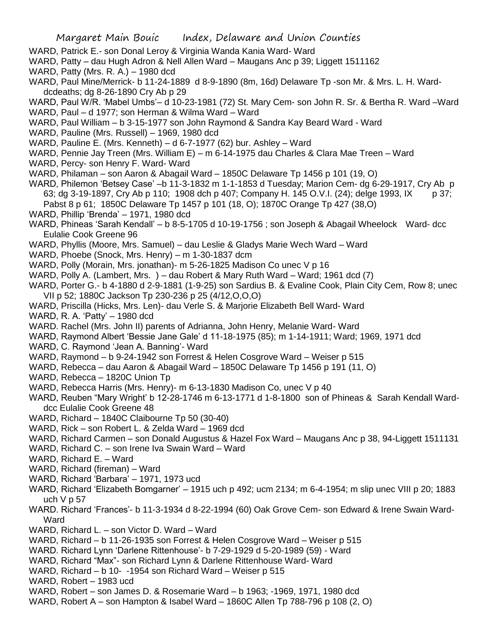- WARD, Patrick E.- son Donal Leroy & Virginia Wanda Kania Ward- Ward
- WARD, Patty dau Hugh Adron & Nell Allen Ward Maugans Anc p 39; Liggett 1511162
- WARD, Patty (Mrs. R. A.) 1980 dcd
- WARD, Paul Mine/Merrick- b 11-24-1889 d 8-9-1890 (8m, 16d) Delaware Tp -son Mr. & Mrs. L. H. Warddcdeaths; dg 8-26-1890 Cry Ab p 29
- WARD, Paul W/R. 'Mabel Umbs'– d 10-23-1981 (72) St. Mary Cem- son John R. Sr. & Bertha R. Ward –Ward
- WARD, Paul d 1977; son Herman & Wilma Ward Ward
- WARD, Paul William b 3-15-1977 son John Raymond & Sandra Kay Beard Ward Ward
- WARD, Pauline (Mrs. Russell) 1969, 1980 dcd
- WARD, Pauline E. (Mrs. Kenneth) d 6-7-1977 (62) bur. Ashley Ward
- WARD, Pennie Jay Treen (Mrs. William E) m 6-14-1975 dau Charles & Clara Mae Treen Ward
- WARD, Percy- son Henry F. Ward- Ward
- WARD, Philaman son Aaron & Abagail Ward 1850C Delaware Tp 1456 p 101 (19, O)
- WARD, Philemon 'Betsey Case' –b 11-3-1832 m 1-1-1853 d Tuesday; Marion Cem- dg 6-29-1917, Cry Ab p 63; dg 3-19-1897, Cry Ab p 110; 1908 dch p 407; Company H. 145 O.V.I. (24); delge 1993, IX p 37; Pabst 8 p 61; 1850C Delaware Tp 1457 p 101 (18, O); 1870C Orange Tp 427 (38,O)
- WARD, Phillip 'Brenda' 1971, 1980 dcd
- WARD, Phineas 'Sarah Kendall' b 8-5-1705 d 10-19-1756 ; son Joseph & Abagail Wheelock Ward- dcc Eulalie Cook Greene 96
- WARD, Phyllis (Moore, Mrs. Samuel) dau Leslie & Gladys Marie Wech Ward Ward
- WARD, Phoebe (Snock, Mrs. Henry) m 1-30-1837 dcm
- WARD, Polly (Morain, Mrs. jonathan)- m 5-26-1825 Madison Co unec V p 16
- WARD, Polly A. (Lambert, Mrs. ) dau Robert & Mary Ruth Ward Ward; 1961 dcd (7)
- WARD, Porter G.- b 4-1880 d 2-9-1881 (1-9-25) son Sardius B. & Evaline Cook, Plain City Cem, Row 8; unec VII p 52; 1880C Jackson Tp 230-236 p 25 (4/12,O,O,O)
- WARD, Priscilla (Hicks, Mrs. Len)- dau Verle S. & Marjorie Elizabeth Bell Ward- Ward
- WARD, R. A. 'Patty' 1980 dcd
- WARD. Rachel (Mrs. John II) parents of Adrianna, John Henry, Melanie Ward- Ward
- WARD, Raymond Albert 'Bessie Jane Gale' d 11-18-1975 (85); m 1-14-1911; Ward; 1969, 1971 dcd
- WARD, C. Raymond 'Jean A. Banning'- Ward
- WARD, Raymond b 9-24-1942 son Forrest & Helen Cosgrove Ward Weiser p 515
- WARD, Rebecca dau Aaron & Abagail Ward 1850C Delaware Tp 1456 p 191 (11, O)
- WARD, Rebecca 1820C Union Tp
- WARD, Rebecca Harris (Mrs. Henry)- m 6-13-1830 Madison Co, unec V p 40
- WARD, Reuben "Mary Wright' b 12-28-1746 m 6-13-1771 d 1-8-1800 son of Phineas & Sarah Kendall Warddcc Eulalie Cook Greene 48
- WARD, Richard 1840C Claibourne Tp 50 (30-40)
- WARD, Rick son Robert L. & Zelda Ward 1969 dcd
- WARD, Richard Carmen son Donald Augustus & Hazel Fox Ward Maugans Anc p 38, 94-Liggett 1511131
- WARD, Richard C. son Irene Iva Swain Ward Ward
- WARD, Richard E. Ward
- WARD, Richard (fireman) Ward
- WARD, Richard 'Barbara' 1971, 1973 ucd
- WARD, Richard 'Elizabeth Bomgarner' 1915 uch p 492; ucm 2134; m 6-4-1954; m slip unec VIII p 20; 1883 uch  $V$  p 57
- WARD. Richard 'Frances'- b 11-3-1934 d 8-22-1994 (60) Oak Grove Cem- son Edward & Irene Swain Ward-Ward
- WARD, Richard L. son Victor D. Ward Ward
- WARD, Richard b 11-26-1935 son Forrest & Helen Cosgrove Ward Weiser p 515
- WARD. Richard Lynn 'Darlene Rittenhouse'- b 7-29-1929 d 5-20-1989 (59) Ward
- WARD, Richard "Max"- son Richard Lynn & Darlene Rittenhouse Ward- Ward
- WARD, Richard b 10- -1954 son Richard Ward Weiser p 515
- WARD, Robert 1983 ucd
- WARD, Robert son James D. & Rosemarie Ward b 1963; -1969, 1971, 1980 dcd
- WARD, Robert A son Hampton & Isabel Ward 1860C Allen Tp 788-796 p 108 (2, O)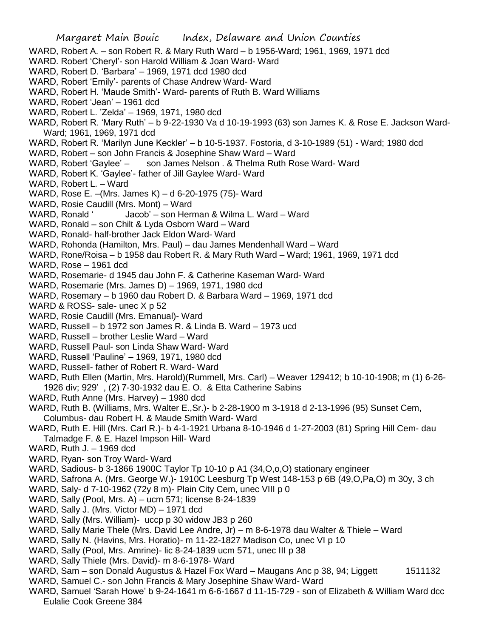Margaret Main Bouic Index, Delaware and Union Counties WARD, Robert A. – son Robert R. & Mary Ruth Ward – b 1956-Ward; 1961, 1969, 1971 dcd WARD. Robert 'Cheryl'- son Harold William & Joan Ward- Ward WARD, Robert D. 'Barbara' – 1969, 1971 dcd 1980 dcd WARD, Robert 'Emily'- parents of Chase Andrew Ward- Ward WARD, Robert H. 'Maude Smith'- Ward- parents of Ruth B. Ward Williams WARD, Robert 'Jean' – 1961 dcd WARD, Robert L. 'Zelda' – 1969, 1971, 1980 dcd WARD, Robert R. 'Mary Ruth' – b 9-22-1930 Va d 10-19-1993 (63) son James K. & Rose E. Jackson Ward-Ward; 1961, 1969, 1971 dcd WARD, Robert R. 'Marilyn June Keckler' – b 10-5-1937. Fostoria, d 3-10-1989 (51) - Ward; 1980 dcd WARD, Robert – son John Francis & Josephine Shaw Ward – Ward WARD, Robert 'Gaylee' – son James Nelson . & Thelma Ruth Rose Ward- Ward WARD, Robert K. 'Gaylee'- father of Jill Gaylee Ward- Ward WARD, Robert L. – Ward WARD, Rose E. –(Mrs. James K) – d 6-20-1975 (75)- Ward WARD, Rosie Caudill (Mrs. Mont) – Ward WARD, Ronald ' Jacob' – son Herman & Wilma L. Ward – Ward WARD, Ronald – son Chilt & Lyda Osborn Ward – Ward WARD, Ronald- half-brother Jack Eldon Ward- Ward WARD, Rohonda (Hamilton, Mrs. Paul) – dau James Mendenhall Ward – Ward WARD, Rone/Roisa – b 1958 dau Robert R. & Mary Ruth Ward – Ward; 1961, 1969, 1971 dcd WARD, Rose – 1961 dcd WARD, Rosemarie- d 1945 dau John F. & Catherine Kaseman Ward- Ward WARD, Rosemarie (Mrs. James D) – 1969, 1971, 1980 dcd WARD, Rosemary – b 1960 dau Robert D. & Barbara Ward – 1969, 1971 dcd WARD & ROSS- sale- unec X p 52 WARD, Rosie Caudill (Mrs. Emanual)- Ward WARD, Russell – b 1972 son James R. & Linda B. Ward – 1973 ucd WARD, Russell – brother Leslie Ward – Ward WARD, Russell Paul- son Linda Shaw Ward- Ward WARD, Russell 'Pauline' – 1969, 1971, 1980 dcd WARD, Russell- father of Robert R. Ward- Ward WARD, Ruth Ellen (Martin, Mrs. Harold)(Rummell, Mrs. Carl) – Weaver 129412; b 10-10-1908; m (1) 6-26- 1926 div; 929' , (2) 7-30-1932 dau E. O. & Etta Catherine Sabins WARD, Ruth Anne (Mrs. Harvey) – 1980 dcd WARD, Ruth B. (Williams, Mrs. Walter E.,Sr.)- b 2-28-1900 m 3-1918 d 2-13-1996 (95) Sunset Cem, Columbus- dau Robert H. & Maude Smith Ward- Ward WARD, Ruth E. Hill (Mrs. Carl R.)- b 4-1-1921 Urbana 8-10-1946 d 1-27-2003 (81) Spring Hill Cem- dau Talmadge F. & E. Hazel Impson Hill- Ward WARD, Ruth J. – 1969 dcd WARD, Ryan- son Troy Ward- Ward WARD, Sadious- b 3-1866 1900C Taylor Tp 10-10 p A1 (34,O,o,O) stationary engineer WARD, Safrona A. (Mrs. George W.)- 1910C Leesburg Tp West 148-153 p 6B (49,O,Pa,O) m 30y, 3 ch WARD, Saly- d 7-10-1962 (72y 8 m)- Plain City Cem, unec VIII p 0 WARD, Sally (Pool, Mrs. A) – ucm 571; license 8-24-1839 WARD, Sally J. (Mrs. Victor MD) – 1971 dcd WARD, Sally (Mrs. William)- uccp p 30 widow JB3 p 260 WARD, Sally Marie Thele (Mrs. David Lee Andre, Jr) – m 8-6-1978 dau Walter & Thiele – Ward WARD, Sally N. (Havins, Mrs. Horatio)- m 11-22-1827 Madison Co, unec VI p 10 WARD, Sally (Pool, Mrs. Amrine)- lic 8-24-1839 ucm 571, unec III p 38 WARD, Sally Thiele (Mrs. David)- m 8-6-1978- Ward WARD, Sam – son Donald Augustus & Hazel Fox Ward – Maugans Anc p 38, 94; Liggett 1511132 WARD, Samuel C.- son John Francis & Mary Josephine Shaw Ward- Ward WARD, Samuel 'Sarah Howe' b 9-24-1641 m 6-6-1667 d 11-15-729 - son of Elizabeth & William Ward dcc Eulalie Cook Greene 384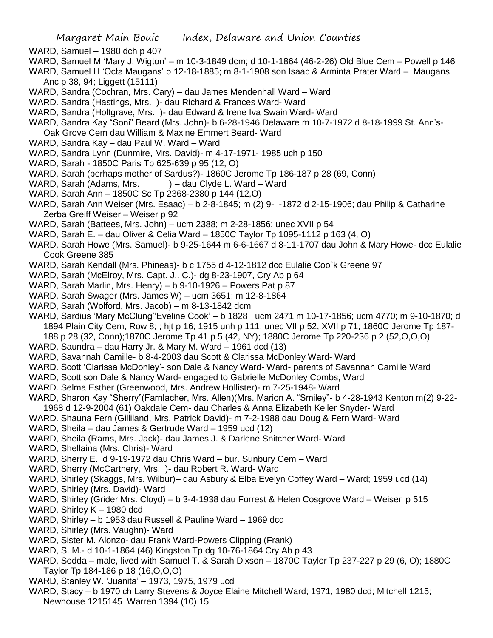WARD, Samuel – 1980 dch p 407

- WARD, Samuel M 'Mary J. Wigton' m 10-3-1849 dcm; d 10-1-1864 (46-2-26) Old Blue Cem Powell p 146
- WARD, Samuel H 'Octa Maugans' b 12-18-1885; m 8-1-1908 son Isaac & Arminta Prater Ward Maugans Anc p 38, 94; Liggett (15111)
- WARD, Sandra (Cochran, Mrs. Cary) dau James Mendenhall Ward Ward
- WARD. Sandra (Hastings, Mrs. )- dau Richard & Frances Ward- Ward
- WARD, Sandra (Holtgrave, Mrs. )- dau Edward & Irene Iva Swain Ward- Ward
- WARD, Sandra Kay "Soni" Beard (Mrs. John)- b 6-28-1946 Delaware m 10-7-1972 d 8-18-1999 St. Ann's-Oak Grove Cem dau William & Maxine Emmert Beard- Ward
- WARD, Sandra Kay dau Paul W. Ward Ward
- WARD, Sandra Lynn (Dunmire, Mrs. David)- m 4-17-1971- 1985 uch p 150
- WARD, Sarah 1850C Paris Tp 625-639 p 95 (12, O)
- WARD, Sarah (perhaps mother of Sardus?)- 1860C Jerome Tp 186-187 p 28 (69, Conn)
- WARD, Sarah (Adams, Mrs. ) dau Clyde L. Ward Ward
- WARD, Sarah Ann 1850C Sc Tp 2368-2380 p 144 (12,O)
- WARD, Sarah Ann Weiser (Mrs. Esaac) b 2-8-1845; m (2) 9- -1872 d 2-15-1906; dau Philip & Catharine Zerba Greiff Weiser – Weiser p 92
- WARD, Sarah (Battees, Mrs. John) ucm 2388; m 2-28-1856; unec XVII p 54
- WARD, Sarah E. dau Oliver & Celia Ward 1850C Taylor Tp 1095-1112 p 163 (4, O)
- WARD, Sarah Howe (Mrs. Samuel)- b 9-25-1644 m 6-6-1667 d 8-11-1707 dau John & Mary Howe- dcc Eulalie Cook Greene 385
- WARD, Sarah Kendall (Mrs. Phineas)- b c 1755 d 4-12-1812 dcc Eulalie Coo`k Greene 97
- WARD, Sarah (McElroy, Mrs. Capt. J,. C.)- dg 8-23-1907, Cry Ab p 64
- WARD, Sarah Marlin, Mrs. Henry) b 9-10-1926 Powers Pat p 87
- WARD, Sarah Swager (Mrs. James W) ucm 3651; m 12-8-1864
- WARD, Sarah (Wolford, Mrs. Jacob) m 8-13-1842 dcm
- WARD, Sardius 'Mary McClung''Eveline Cook' b 1828 ucm 2471 m 10-17-1856; ucm 4770; m 9-10-1870; d 1894 Plain City Cem, Row 8; ; hjt p 16; 1915 unh p 111; unec VII p 52, XVII p 71; 1860C Jerome Tp 187- 188 p 28 (32, Conn);1870C Jerome Tp 41 p 5 (42, NY); 1880C Jerome Tp 220-236 p 2 (52,O,O,O)
- WARD, Saundra dau Harry Jr. & Mary M. Ward 1961 dcd (13)
- WARD, Savannah Camille- b 8-4-2003 dau Scott & Clarissa McDonley Ward- Ward
- WARD. Scott 'Clarissa McDonley'- son Dale & Nancy Ward- Ward- parents of Savannah Camille Ward
- WARD, Scott son Dale & Nancy Ward- engaged to Gabrielle McDonley Combs, Ward
- WARD. Selma Esther (Greenwood, Mrs. Andrew Hollister)- m 7-25-1948- Ward
- WARD, Sharon Kay "Sherry"(Farnlacher, Mrs. Allen)(Mrs. Marion A. "Smiley"- b 4-28-1943 Kenton m(2) 9-22-
- 1968 d 12-9-2004 (61) Oakdale Cem- dau Charles & Anna Elizabeth Keller Snyder- Ward
- WARD. Shauna Fern (Gilliland, Mrs. Patrick David)- m 7-2-1988 dau Doug & Fern Ward- Ward
- WARD, Sheila dau James & Gertrude Ward 1959 ucd (12)
- WARD, Sheila (Rams, Mrs. Jack)- dau James J. & Darlene Snitcher Ward- Ward
- WARD, Shellaina (Mrs. Chris)- Ward
- WARD, Sherry E. d 9-19-1972 dau Chris Ward bur. Sunbury Cem Ward
- WARD, Sherry (McCartnery, Mrs. )- dau Robert R. Ward- Ward
- WARD, Shirley (Skaggs, Mrs. Wilbur)– dau Asbury & Elba Evelyn Coffey Ward Ward; 1959 ucd (14)
- WARD, Shirley (Mrs. David)- Ward
- WARD, Shirley (Grider Mrs. Cloyd) b 3-4-1938 dau Forrest & Helen Cosgrove Ward Weiser p 515
- WARD, Shirley K 1980 dcd
- WARD, Shirley b 1953 dau Russell & Pauline Ward 1969 dcd
- WARD, Shirley (Mrs. Vaughn)- Ward
- WARD, Sister M. Alonzo- dau Frank Ward-Powers Clipping (Frank)
- WARD, S. M.- d 10-1-1864 (46) Kingston Tp dg 10-76-1864 Cry Ab p 43
- WARD, Sodda male, lived with Samuel T. & Sarah Dixson 1870C Taylor Tp 237-227 p 29 (6, O); 1880C Taylor Tp 184-186 p 18 (16,O,O,O)
- WARD, Stanley W. 'Juanita' 1973, 1975, 1979 ucd
- WARD, Stacy b 1970 ch Larry Stevens & Joyce Elaine Mitchell Ward; 1971, 1980 dcd; Mitchell 1215; Newhouse 1215145 Warren 1394 (10) 15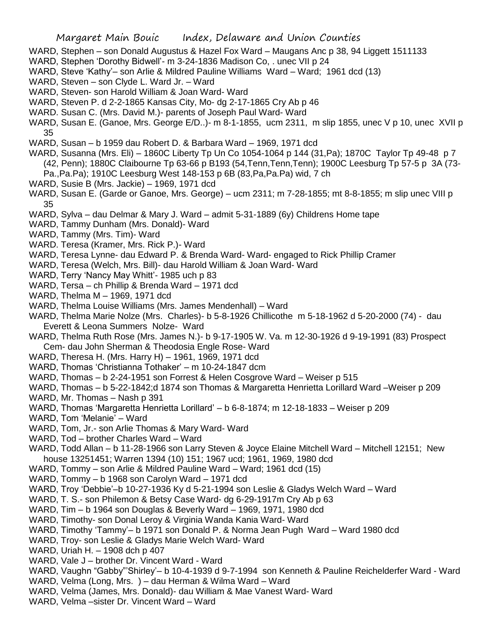- WARD, Stephen son Donald Augustus & Hazel Fox Ward Maugans Anc p 38, 94 Liggett 1511133
- WARD, Stephen 'Dorothy Bidwell'- m 3-24-1836 Madison Co, . unec VII p 24
- WARD, Steve 'Kathy'– son Arlie & Mildred Pauline Williams Ward Ward; 1961 dcd (13)
- WARD, Steven son Clyde L. Ward Jr. Ward
- WARD, Steven- son Harold William & Joan Ward- Ward
- WARD, Steven P. d 2-2-1865 Kansas City, Mo- dg 2-17-1865 Cry Ab p 46
- WARD. Susan C. (Mrs. David M.)- parents of Joseph Paul Ward- Ward
- WARD, Susan E. (Ganoe, Mrs. George E/D..)- m 8-1-1855, ucm 2311, m slip 1855, unec V p 10, unec XVII p 35
- WARD, Susan b 1959 dau Robert D. & Barbara Ward 1969, 1971 dcd
- WARD, Susanna (Mrs. Eli) 1860C Liberty Tp Un Co 1054-1064 p 144 (31,Pa); 1870C Taylor Tp 49-48 p 7 (42, Penn); 1880C Claibourne Tp 63-66 p B193 (54,Tenn,Tenn,Tenn); 1900C Leesburg Tp 57-5 p 3A (73- Pa.,Pa.Pa); 1910C Leesburg West 148-153 p 6B (83,Pa,Pa.Pa) wid, 7 ch
- WARD, Susie B (Mrs. Jackie) 1969, 1971 dcd
- WARD, Susan E. (Garde or Ganoe, Mrs. George) ucm 2311; m 7-28-1855; mt 8-8-1855; m slip unec VIII p 35
- WARD, Sylva dau Delmar & Mary J. Ward admit 5-31-1889 (6y) Childrens Home tape
- WARD, Tammy Dunham (Mrs. Donald)- Ward
- WARD, Tammy (Mrs. Tim)- Ward
- WARD. Teresa (Kramer, Mrs. Rick P.)- Ward
- WARD, Teresa Lynne- dau Edward P. & Brenda Ward- Ward- engaged to Rick Phillip Cramer
- WARD, Teresa (Welch, Mrs. Bill)- dau Harold William & Joan Ward- Ward
- WARD, Terry 'Nancy May Whitt'- 1985 uch p 83
- WARD, Tersa ch Phillip & Brenda Ward 1971 dcd
- WARD, Thelma M 1969, 1971 dcd
- WARD, Thelma Louise Williams (Mrs. James Mendenhall) Ward
- WARD, Thelma Marie Nolze (Mrs. Charles)- b 5-8-1926 Chillicothe m 5-18-1962 d 5-20-2000 (74) dau Everett & Leona Summers Nolze- Ward
- WARD, Thelma Ruth Rose (Mrs. James N.)- b 9-17-1905 W. Va. m 12-30-1926 d 9-19-1991 (83) Prospect Cem- dau John Sherman & Theodosia Engle Rose- Ward
- WARD, Theresa H. (Mrs. Harry H) 1961, 1969, 1971 dcd
- WARD, Thomas 'Christianna Tothaker' m 10-24-1847 dcm
- WARD, Thomas b 2-24-1951 son Forrest & Helen Cosgrove Ward Weiser p 515
- WARD, Thomas b 5-22-1842;d 1874 son Thomas & Margaretta Henrietta Lorillard Ward –Weiser p 209
- WARD, Mr. Thomas Nash p 391
- WARD, Thomas 'Margaretta Henrietta Lorillard' b 6-8-1874; m 12-18-1833 Weiser p 209
- WARD, Tom 'Melanie' Ward
- WARD, Tom, Jr.- son Arlie Thomas & Mary Ward- Ward
- WARD, Tod brother Charles Ward Ward
- WARD, Todd Allan b 11-28-1966 son Larry Steven & Joyce Elaine Mitchell Ward Mitchell 12151; New house 13251451; Warren 1394 (10) 151; 1967 ucd; 1961, 1969, 1980 dcd
- WARD, Tommy son Arlie & Mildred Pauline Ward Ward; 1961 dcd (15)
- WARD, Tommy b 1968 son Carolyn Ward 1971 dcd
- WARD, Troy 'Debbie'–b 10-27-1936 Ky d 5-21-1994 son Leslie & Gladys Welch Ward Ward
- WARD, T. S.- son Philemon & Betsy Case Ward- dg 6-29-1917m Cry Ab p 63
- WARD, Tim b 1964 son Douglas & Beverly Ward 1969, 1971, 1980 dcd
- WARD, Timothy- son Donal Leroy & Virginia Wanda Kania Ward- Ward
- WARD, Timothy 'Tammy'– b 1971 son Donald P. & Norma Jean Pugh Ward Ward 1980 dcd
- WARD, Troy- son Leslie & Gladys Marie Welch Ward- Ward
- WARD, Uriah H. 1908 dch p 407
- WARD, Vale J brother Dr. Vincent Ward Ward
- WARD, Vaughn "Gabby"'Shirley'– b 10-4-1939 d 9-7-1994 son Kenneth & Pauline Reichelderfer Ward Ward
- WARD, Velma (Long, Mrs. ) dau Herman & Wilma Ward Ward
- WARD, Velma (James, Mrs. Donald)- dau William & Mae Vanest Ward- Ward
- WARD, Velma –sister Dr. Vincent Ward Ward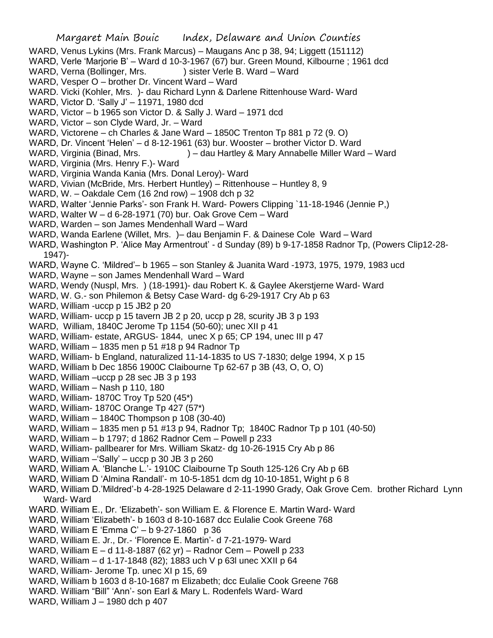- WARD, Venus Lykins (Mrs. Frank Marcus) Maugans Anc p 38, 94; Liggett (151112)
- WARD, Verle 'Marjorie B' Ward d 10-3-1967 (67) bur. Green Mound, Kilbourne ; 1961 dcd
- WARD, Verna (Bollinger, Mrs. ) sister Verle B. Ward Ward
- WARD, Vesper O brother Dr. Vincent Ward Ward
- WARD. Vicki (Kohler, Mrs. )- dau Richard Lynn & Darlene Rittenhouse Ward- Ward
- WARD, Victor D. 'Sally J' 11971, 1980 dcd
- WARD, Victor b 1965 son Victor D. & Sally J. Ward 1971 dcd
- WARD, Victor son Clyde Ward, Jr. Ward
- WARD, Victorene ch Charles & Jane Ward 1850C Trenton Tp 881 p 72 (9. O)
- WARD, Dr. Vincent 'Helen' d 8-12-1961 (63) bur. Wooster brother Victor D. Ward
- WARD, Virginia (Binad, Mrs. ) dau Hartley & Mary Annabelle Miller Ward Ward
- WARD, Virginia (Mrs. Henry F.)- Ward
- WARD, Virginia Wanda Kania (Mrs. Donal Leroy)- Ward
- WARD, Vivian (McBride, Mrs. Herbert Huntley) Rittenhouse Huntley 8, 9
- WARD, W. Oakdale Cem (16 2nd row) 1908 dch p 32
- WARD, Walter 'Jennie Parks'- son Frank H. Ward- Powers Clipping `11-18-1946 (Jennie P,)
- WARD, Walter W d 6-28-1971 (70) bur. Oak Grove Cem Ward
- WARD, Warden son James Mendenhall Ward Ward
- WARD, Wanda Earlene (Willet, Mrs. )– dau Benjamin F. & Dainese Cole Ward Ward
- WARD, Washington P. 'Alice May Armentrout' d Sunday (89) b 9-17-1858 Radnor Tp, (Powers Clip12-28- 1947)-
- WARD, Wayne C. 'Mildred'– b 1965 son Stanley & Juanita Ward -1973, 1975, 1979, 1983 ucd
- WARD, Wayne son James Mendenhall Ward Ward
- WARD, Wendy (Nuspl, Mrs. ) (18-1991)- dau Robert K. & Gaylee Akerstjerne Ward- Ward
- WARD, W. G.- son Philemon & Betsy Case Ward- dg 6-29-1917 Cry Ab p 63
- WARD, William -uccp p 15 JB2 p 20
- WARD, William- uccp p 15 tavern JB 2 p 20, uccp p 28, scurity JB 3 p 193
- WARD, William, 1840C Jerome Tp 1154 (50-60); unec XII p 41
- WARD, William- estate, ARGUS- 1844, unec X p 65; CP 194, unec III p 47
- WARD, William 1835 men p 51 #18 p 94 Radnor Tp
- WARD, William- b England, naturalized 11-14-1835 to US 7-1830; delge 1994, X p 15
- WARD, William b Dec 1856 1900C Claibourne Tp 62-67 p 3B (43, O, O, O)
- WARD, William –uccp p 28 sec JB 3 p 193
- WARD, William Nash p 110, 180
- WARD, William- 1870C Troy Tp 520 (45\*)
- WARD, William- 1870C Orange Tp 427 (57\*)
- WARD, William 1840C Thompson p 108 (30-40)
- WARD, William 1835 men p 51 #13 p 94, Radnor Tp; 1840C Radnor Tp p 101 (40-50)
- WARD, William b 1797; d 1862 Radnor Cem Powell p 233
- WARD, William- pallbearer for Mrs. William Skatz- dg 10-26-1915 Cry Ab p 86
- WARD, William –'Sally' uccp p 30 JB 3 p 260
- WARD, William A. 'Blanche L.'- 1910C Claibourne Tp South 125-126 Cry Ab p 6B
- WARD, William D 'Almina Randall'- m 10-5-1851 dcm dg 10-10-1851, Wight p 6 8
- WARD, William D.'Mildred'-b 4-28-1925 Delaware d 2-11-1990 Grady, Oak Grove Cem. brother Richard Lynn Ward- Ward
- WARD. William E., Dr. 'Elizabeth'- son William E. & Florence E. Martin Ward- Ward
- WARD, William 'Elizabeth'- b 1603 d 8-10-1687 dcc Eulalie Cook Greene 768
- WARD, William E 'Emma C' b 9-27-1860 p 36
- WARD, William E. Jr., Dr.- 'Florence E. Martin'- d 7-21-1979- Ward
- WARD, William E d 11-8-1887 (62 yr) Radnor Cem Powell p 233
- WARD, William d 1-17-1848 (82); 1883 uch V p 63l unec XXII p 64
- WARD, William- Jerome Tp. unec XI p 15, 69
- WARD, William b 1603 d 8-10-1687 m Elizabeth; dcc Eulalie Cook Greene 768
- WARD. William "Bill" 'Ann'- son Earl & Mary L. Rodenfels Ward- Ward
- WARD, William J 1980 dch p 407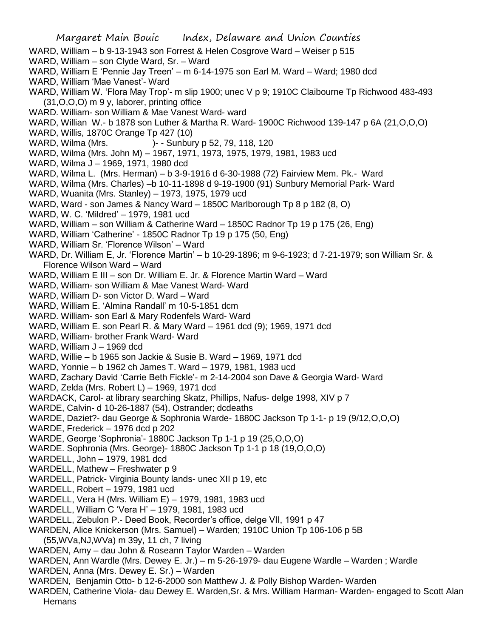#### Margaret Main Bouic Index, Delaware and Union Counties WARD, William – b 9-13-1943 son Forrest & Helen Cosgrove Ward – Weiser p 515 WARD, William – son Clyde Ward, Sr. – Ward WARD, William E 'Pennie Jay Treen' – m 6-14-1975 son Earl M. Ward – Ward; 1980 dcd WARD, William 'Mae Vanest'- Ward WARD, William W. 'Flora May Trop'- m slip 1900; unec V p 9; 1910C Claibourne Tp Richwood 483-493 (31,O,O,O) m 9 y, laborer, printing office WARD. William- son William & Mae Vanest Ward- ward WARD, Willian W.- b 1878 son Luther & Martha R. Ward- 1900C Richwood 139-147 p 6A (21,O,O,O) WARD, Willis, 1870C Orange Tp 427 (10) WARD, Wilma (Mrs. )- - Sunbury p 52, 79, 118, 120 WARD, Wilma (Mrs. John M) – 1967, 1971, 1973, 1975, 1979, 1981, 1983 ucd WARD, Wilma J – 1969, 1971, 1980 dcd WARD, Wilma L. (Mrs. Herman) – b 3-9-1916 d 6-30-1988 (72) Fairview Mem. Pk.- Ward WARD, Wilma (Mrs. Charles) –b 10-11-1898 d 9-19-1900 (91) Sunbury Memorial Park- Ward WARD, Wuanita (Mrs. Stanley) – 1973, 1975, 1979 ucd WARD, Ward - son James & Nancy Ward – 1850C Marlborough Tp 8 p 182 (8, O) WARD, W. C. 'Mildred' – 1979, 1981 ucd WARD, William – son William & Catherine Ward – 1850C Radnor Tp 19 p 175 (26, Eng) WARD, William 'Catherine' - 1850C Radnor Tp 19 p 175 (50, Eng) WARD, William Sr. 'Florence Wilson' – Ward WARD, Dr. William E, Jr. 'Florence Martin' – b 10-29-1896; m 9-6-1923; d 7-21-1979; son William Sr. & Florence Wilson Ward – Ward WARD, William E III – son Dr. William E. Jr. & Florence Martin Ward – Ward WARD, William- son William & Mae Vanest Ward- Ward WARD, William D- son Victor D. Ward – Ward WARD, William E. 'Almina Randall' m 10-5-1851 dcm WARD. William- son Earl & Mary Rodenfels Ward- Ward WARD, William E. son Pearl R. & Mary Ward – 1961 dcd (9); 1969, 1971 dcd WARD, William- brother Frank Ward- Ward WARD, William J – 1969 dcd WARD, Willie – b 1965 son Jackie & Susie B. Ward – 1969, 1971 dcd WARD, Yonnie – b 1962 ch James T. Ward – 1979, 1981, 1983 ucd WARD, Zachary David 'Carrie Beth Fickle'- m 2-14-2004 son Dave & Georgia Ward- Ward WARD, Zelda (Mrs. Robert L) – 1969, 1971 dcd WARDACK, Carol- at library searching Skatz, Phillips, Nafus- delge 1998, XIV p 7 WARDE, Calvin- d 10-26-1887 (54), Ostrander; dcdeaths WARDE, Daziet?- dau George & Sophronia Warde- 1880C Jackson Tp 1-1- p 19 (9/12,O,O,O) WARDE, Frederick – 1976 dcd p 202 WARDE, George 'Sophronia'- 1880C Jackson Tp 1-1 p 19 (25,O,O,O) WARDE. Sophronia (Mrs. George)- 1880C Jackson Tp 1-1 p 18 (19,O,O,O) WARDELL, John – 1979, 1981 dcd WARDELL, Mathew - Freshwater p 9 WARDELL, Patrick- Virginia Bounty lands- unec XII p 19, etc WARDELL, Robert – 1979, 1981 ucd WARDELL, Vera H (Mrs. William E) – 1979, 1981, 1983 ucd WARDELL, William C 'Vera H' – 1979, 1981, 1983 ucd WARDELL, Zebulon P.- Deed Book, Recorder's office, delge VII, 1991 p 47 WARDEN, Alice Knickerson (Mrs. Samuel) – Warden; 1910C Union Tp 106-106 p 5B (55,WVa,NJ,WVa) m 39y, 11 ch, 7 living WARDEN, Amy – dau John & Roseann Taylor Warden – Warden WARDEN, Ann Wardle (Mrs. Dewey E. Jr.) – m 5-26-1979- dau Eugene Wardle – Warden ; Wardle

WARDEN, Anna (Mrs. Dewey E. Sr.) – Warden

WARDEN, Benjamin Otto- b 12-6-2000 son Matthew J. & Polly Bishop Warden- Warden

WARDEN, Catherine Viola- dau Dewey E. Warden,Sr. & Mrs. William Harman- Warden- engaged to Scott Alan **Hemans**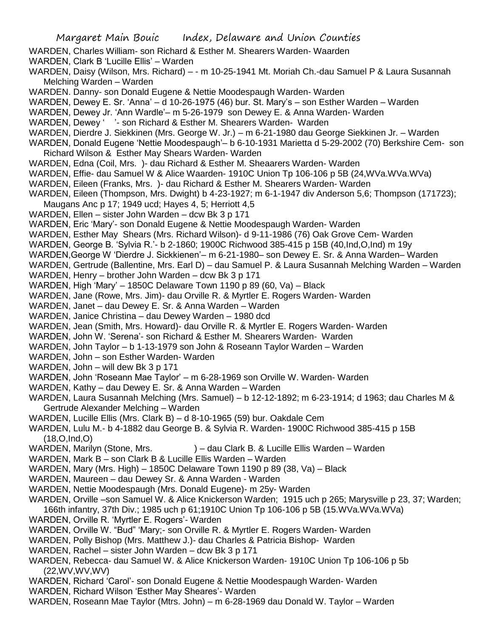- WARDEN, Charles William- son Richard & Esther M. Shearers Warden- Waarden
- WARDEN, Clark B 'Lucille Ellis' Warden
- WARDEN, Daisy (Wilson, Mrs. Richard) - m 10-25-1941 Mt. Moriah Ch.-dau Samuel P & Laura Susannah Melching Warden – Warden
- WARDEN. Danny- son Donald Eugene & Nettie Moodespaugh Warden- Warden
- WARDEN, Dewey E. Sr. 'Anna' d 10-26-1975 (46) bur. St. Mary's son Esther Warden Warden
- WARDEN, Dewey Jr. 'Ann Wardle'– m 5-26-1979 son Dewey E. & Anna Warden- Warden
- WARDEN, Dewey ' '- son Richard & Esther M. Shearers Warden- Warden
- WARDEN, Dierdre J. Siekkinen (Mrs. George W. Jr.) m 6-21-1980 dau George Siekkinen Jr. Warden
- WARDEN, Donald Eugene 'Nettie Moodespaugh'– b 6-10-1931 Marietta d 5-29-2002 (70) Berkshire Cem- son Richard Wilson & Esther May Shears Warden- Warden
- WARDEN, Edna (Coil, Mrs. )- dau Richard & Esther M. Sheaarers Warden- Warden
- WARDEN, Effie- dau Samuel W & Alice Waarden- 1910C Union Tp 106-106 p 5B (24,WVa.WVa.WVa)
- WARDEN, Eileen (Franks, Mrs. )- dau Richard & Esther M. Shearers Warden- Warden
- WARDEN, Eileen (Thompson, Mrs. Dwight) b 4-23-1927; m 6-1-1947 div Anderson 5,6; Thompson (171723); Maugans Anc p 17; 1949 ucd; Hayes 4, 5; Herriott 4,5
- WARDEN, Ellen sister John Warden dcw Bk 3 p 171
- WARDEN, Eric 'Mary'- son Donald Eugene & Nettie Moodespaugh Warden- Warden
- WARDEN, Esther May Shears (Mrs. Richard Wilson)- d 9-11-1986 (76) Oak Grove Cem- Warden
- WARDEN, George B. 'Sylvia R.'- b 2-1860; 1900C Richwood 385-415 p 15B (40,Ind,O,Ind) m 19y
- WARDEN,George W 'Dierdre J. Sickkienen'– m 6-21-1980– son Dewey E. Sr. & Anna Warden– Warden
- WARDEN, Gertrude (Ballentine, Mrs. Earl D) dau Samuel P. & Laura Susannah Melching Warden Warden
- WARDEN, Henry brother John Warden dcw Bk 3 p 171
- WARDEN, High 'Mary' 1850C Delaware Town 1190 p 89 (60, Va) Black
- WARDEN, Jane (Rowe, Mrs. Jim)- dau Orville R. & Myrtler E. Rogers Warden- Warden
- WARDEN, Janet dau Dewey E. Sr. & Anna Warden Warden
- WARDEN, Janice Christina dau Dewey Warden 1980 dcd
- WARDEN, Jean (Smith, Mrs. Howard)- dau Orville R. & Myrtler E. Rogers Warden- Warden
- WARDEN, John W. 'Serena'- son Richard & Esther M. Shearers Warden- Warden
- WARDEN, John Taylor b 1-13-1979 son John & Roseann Taylor Warden Warden
- WARDEN, John son Esther Warden- Warden
- WARDEN, John will dew Bk 3 p 171
- WARDEN, John 'Roseann Mae Taylor' m 6-28-1969 son Orville W. Warden- Warden
- WARDEN, Kathy dau Dewey E. Sr. & Anna Warden Warden
- WARDEN, Laura Susannah Melching (Mrs. Samuel) b 12-12-1892; m 6-23-1914; d 1963; dau Charles M & Gertrude Alexander Melching – Warden
- WARDEN, Lucille Ellis (Mrs. Clark B) d 8-10-1965 (59) bur. Oakdale Cem
- WARDEN, Lulu M.- b 4-1882 dau George B. & Sylvia R. Warden- 1900C Richwood 385-415 p 15B (18,O,Ind,O)
- WARDEN, Marilyn (Stone, Mrs. ) dau Clark B. & Lucille Ellis Warden Warden
- WARDEN, Mark B son Clark B & Lucille Ellis Warden Warden
- WARDEN, Mary (Mrs. High) 1850C Delaware Town 1190 p 89 (38, Va) Black
- WARDEN, Maureen dau Dewey Sr. & Anna Warden Warden
- WARDEN, Nettie Moodespaugh (Mrs. Donald Eugene)- m 25y- Warden
- WARDEN, Orville –son Samuel W. & Alice Knickerson Warden; 1915 uch p 265; Marysville p 23, 37; Warden; 166th infantry, 37th Div.; 1985 uch p 61;1910C Union Tp 106-106 p 5B (15.WVa.WVa.WVa)
- 
- WARDEN, Orville R. 'Myrtler E. Rogers'- Warden
- WARDEN, Orville W. "Bud" 'Mary;- son Orville R. & Myrtler E. Rogers Warden- Warden
- WARDEN, Polly Bishop (Mrs. Matthew J.)- dau Charles & Patricia Bishop- Warden
- WARDEN, Rachel sister John Warden dcw Bk 3 p 171
- WARDEN, Rebecca- dau Samuel W. & Alice Knickerson Warden- 1910C Union Tp 106-106 p 5b (22,WV,WV,WV)
- WARDEN, Richard 'Carol'- son Donald Eugene & Nettie Moodespaugh Warden- Warden
- WARDEN, Richard Wilson 'Esther May Sheares'- Warden
- WARDEN, Roseann Mae Taylor (Mtrs. John) m 6-28-1969 dau Donald W. Taylor Warden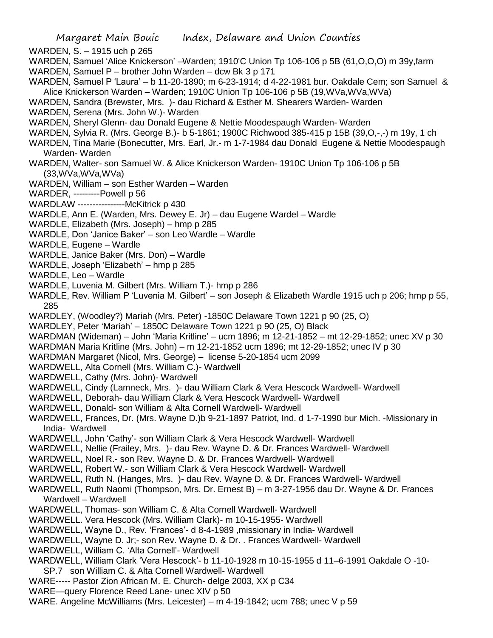Margaret Main Bouic Index, Delaware and Union Counties WARDEN, S. – 1915 uch p 265 WARDEN, Samuel 'Alice Knickerson' –Warden; 1910'C Union Tp 106-106 p 5B (61,O,O,O) m 39y,farm WARDEN, Samuel P – brother John Warden – dcw Bk 3 p 171 WARDEN, Samuel P 'Laura' – b 11-20-1890; m 6-23-1914; d 4-22-1981 bur. Oakdale Cem; son Samuel & Alice Knickerson Warden – Warden; 1910C Union Tp 106-106 p 5B (19,WVa,WVa,WVa) WARDEN, Sandra (Brewster, Mrs. )- dau Richard & Esther M. Shearers Warden- Warden WARDEN, Serena (Mrs. John W.)- Warden WARDEN, Sheryl Glenn- dau Donald Eugene & Nettie Moodespaugh Warden- Warden WARDEN, Sylvia R. (Mrs. George B.)- b 5-1861; 1900C Richwood 385-415 p 15B (39,O,-,-) m 19y, 1 ch WARDEN, Tina Marie (Bonecutter, Mrs. Earl, Jr.- m 1-7-1984 dau Donald Eugene & Nettie Moodespaugh Warden- Warden WARDEN, Walter- son Samuel W. & Alice Knickerson Warden- 1910C Union Tp 106-106 p 5B (33,WVa,WVa,WVa) WARDEN, William – son Esther Warden – Warden WARDER, ---------Powell p 56 WARDLAW ----------------McKitrick p 430 WARDLE, Ann E. (Warden, Mrs. Dewey E. Jr) – dau Eugene Wardel – Wardle WARDLE, Elizabeth (Mrs. Joseph) – hmp p 285 WARDLE, Don 'Janice Baker' – son Leo Wardle – Wardle WARDLE, Eugene – Wardle WARDLE, Janice Baker (Mrs. Don) – Wardle WARDLE, Joseph 'Elizabeth' – hmp p 285 WARDLE, Leo – Wardle WARDLE, Luvenia M. Gilbert (Mrs. William T.)- hmp p 286 WARDLE, Rev. William P 'Luvenia M. Gilbert' – son Joseph & Elizabeth Wardle 1915 uch p 206; hmp p 55, 285 WARDLEY, (Woodley?) Mariah (Mrs. Peter) -1850C Delaware Town 1221 p 90 (25, O) WARDLEY, Peter 'Mariah' – 1850C Delaware Town 1221 p 90 (25, O) Black WARDMAN (Wideman) – John 'Maria Kritline' – ucm 1896; m 12-21-1852 – mt 12-29-1852; unec XV p 30 WARDMAN Maria Kritline (Mrs. John) – m 12-21-1852 ucm 1896; mt 12-29-1852; unec IV p 30 WARDMAN Margaret (Nicol, Mrs. George) – license 5-20-1854 ucm 2099 WARDWELL, Alta Cornell (Mrs. William C.)- Wardwell WARDWELL, Cathy (Mrs. John)- Wardwell WARDWELL, Cindy (Lamneck, Mrs. )- dau William Clark & Vera Hescock Wardwell- Wardwell WARDWELL, Deborah- dau William Clark & Vera Hescock Wardwell- Wardwell WARDWELL, Donald- son William & Alta Cornell Wardwell- Wardwell WARDWELL, Frances, Dr. (Mrs. Wayne D.)b 9-21-1897 Patriot, Ind. d 1-7-1990 bur Mich. -Missionary in India- Wardwell WARDWELL, John 'Cathy'- son William Clark & Vera Hescock Wardwell- Wardwell WARDWELL, Nellie (Frailey, Mrs. )- dau Rev. Wayne D. & Dr. Frances Wardwell- Wardwell WARDWELL, Noel R.- son Rev. Wayne D. & Dr. Frances Wardwell- Wardwell WARDWELL, Robert W.- son William Clark & Vera Hescock Wardwell- Wardwell WARDWELL, Ruth N. (Hanges, Mrs. )- dau Rev. Wayne D. & Dr. Frances Wardwell- Wardwell WARDWELL, Ruth Naomi (Thompson, Mrs. Dr. Ernest B) – m 3-27-1956 dau Dr. Wayne & Dr. Frances Wardwell – Wardwell WARDWELL, Thomas- son William C. & Alta Cornell Wardwell- Wardwell WARDWELL. Vera Hescock (Mrs. William Clark)- m 10-15-1955- Wardwell WARDWELL, Wayne D., Rev. 'Frances'- d 8-4-1989 ,missionary in India- Wardwell WARDWELL, Wayne D. Jr;- son Rev. Wayne D. & Dr. . Frances Wardwell- Wardwell WARDWELL, William C. 'Alta Cornell'- Wardwell WARDWELL, William Clark 'Vera Hescock'- b 11-10-1928 m 10-15-1955 d 11–6-1991 Oakdale O -10- SP.7 son William C. & Alta Cornell Wardwell- Wardwell WARE----- Pastor Zion African M. E. Church- delge 2003, XX p C34 WARE—query Florence Reed Lane- unec XIV p 50 WARE. Angeline McWilliams (Mrs. Leicester) – m 4-19-1842; ucm 788; unec V p 59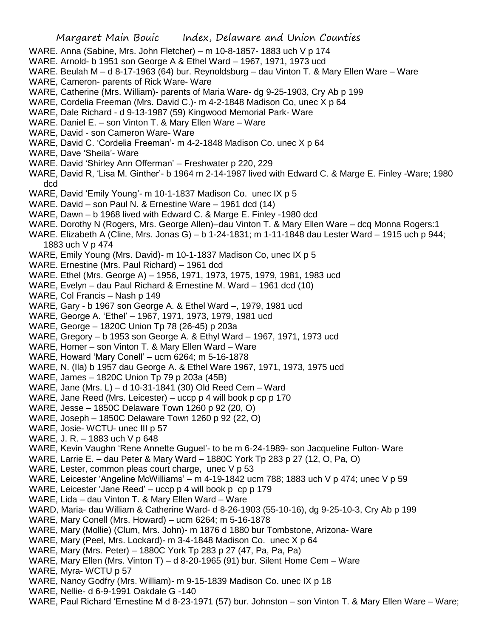- WARE. Anna (Sabine, Mrs. John Fletcher) m 10-8-1857- 1883 uch V p 174
- WARE. Arnold- b 1951 son George A & Ethel Ward 1967, 1971, 1973 ucd
- WARE. Beulah M d 8-17-1963 (64) bur. Reynoldsburg dau Vinton T. & Mary Ellen Ware Ware
- WARE, Cameron- parents of Rick Ware- Ware
- WARE, Catherine (Mrs. William)- parents of Maria Ware- dg 9-25-1903, Cry Ab p 199
- WARE, Cordelia Freeman (Mrs. David C.)- m 4-2-1848 Madison Co, unec X p 64
- WARE, Dale Richard d 9-13-1987 (59) Kingwood Memorial Park- Ware
- WARE. Daniel E. son Vinton T. & Mary Ellen Ware Ware
- WARE, David son Cameron Ware- Ware
- WARE, David C. 'Cordelia Freeman'- m 4-2-1848 Madison Co. unec X p 64
- WARE, Dave 'Sheila'- Ware
- WARE. David 'Shirley Ann Offerman' Freshwater p 220, 229
- WARE, David R, 'Lisa M. Ginther'- b 1964 m 2-14-1987 lived with Edward C. & Marge E. Finley -Ware; 1980 dcd
- WARE, David 'Emily Young'- m 10-1-1837 Madison Co. unec IX p 5
- WARE. David son Paul N. & Ernestine Ware 1961 dcd (14)
- WARE, Dawn b 1968 lived with Edward C. & Marge E. Finley -1980 dcd
- WARE. Dorothy N (Rogers, Mrs. George Allen)–dau Vinton T. & Mary Ellen Ware dcq Monna Rogers:1
- WARE. Elizabeth A (Cline, Mrs. Jonas G) b 1-24-1831; m 1-11-1848 dau Lester Ward 1915 uch p 944; 1883 uch V p 474
- WARE, Emily Young (Mrs. David)- m 10-1-1837 Madison Co, unec IX p 5
- WARE. Ernestine (Mrs. Paul Richard) 1961 dcd
- WARE. Ethel (Mrs. George A) 1956, 1971, 1973, 1975, 1979, 1981, 1983 ucd
- WARE, Evelyn dau Paul Richard & Ernestine M. Ward 1961 dcd (10)
- WARE, Col Francis Nash p 149
- WARE, Gary b 1967 son George A. & Ethel Ward –, 1979, 1981 ucd
- WARE, George A. 'Ethel' 1967, 1971, 1973, 1979, 1981 ucd
- WARE, George 1820C Union Tp 78 (26-45) p 203a
- WARE, Gregory b 1953 son George A. & Ethyl Ward 1967, 1971, 1973 ucd
- WARE, Homer son Vinton T. & Mary Ellen Ward Ware
- WARE, Howard 'Mary Conell' ucm 6264; m 5-16-1878
- WARE, N. (Ila) b 1957 dau George A. & Ethel Ware 1967, 1971, 1973, 1975 ucd
- WARE, James 1820C Union Tp 79 p 203a (45B)
- WARE, Jane (Mrs. L) d 10-31-1841 (30) Old Reed Cem Ward
- WARE, Jane Reed (Mrs. Leicester) uccp p 4 will book p cp p 170
- WARE, Jesse 1850C Delaware Town 1260 p 92 (20, O)
- WARE, Joseph 1850C Delaware Town 1260 p 92 (22, O)
- WARE, Josie- WCTU- unec III p 57
- WARE, J. R. 1883 uch V p 648
- WARE, Kevin Vaughn 'Rene Annette Guguel'- to be m 6-24-1989- son Jacqueline Fulton- Ware
- WARE, Larrie E. dau Peter & Mary Ward 1880C York Tp 283 p 27 (12, O, Pa, O)
- WARE, Lester, common pleas court charge, unec V p 53
- WARE, Leicester 'Angeline McWilliams' m 4-19-1842 ucm 788; 1883 uch V p 474; unec V p 59
- WARE, Leicester 'Jane Reed' uccp p 4 will book p cp p 179
- WARE, Lida dau Vinton T. & Mary Ellen Ward Ware
- WARD, Maria- dau William & Catherine Ward- d 8-26-1903 (55-10-16), dg 9-25-10-3, Cry Ab p 199
- WARE, Mary Conell (Mrs. Howard) ucm 6264; m 5-16-1878
- WARE, Mary (Mollie) (Clum, Mrs. John)- m 1876 d 1880 bur Tombstone, Arizona- Ware
- WARE, Mary (Peel, Mrs. Lockard)- m 3-4-1848 Madison Co. unec X p 64
- WARE, Mary (Mrs. Peter) 1880C York Tp 283 p 27 (47, Pa, Pa, Pa)
- WARE, Mary Ellen (Mrs. Vinton T) d 8-20-1965 (91) bur. Silent Home Cem Ware
- WARE, Myra- WCTU p 57
- WARE, Nancy Godfry (Mrs. William)- m 9-15-1839 Madison Co. unec IX p 18
- WARE, Nellie- d 6-9-1991 Oakdale G -140
- WARE, Paul Richard 'Ernestine M d 8-23-1971 (57) bur. Johnston son Vinton T. & Mary Ellen Ware Ware;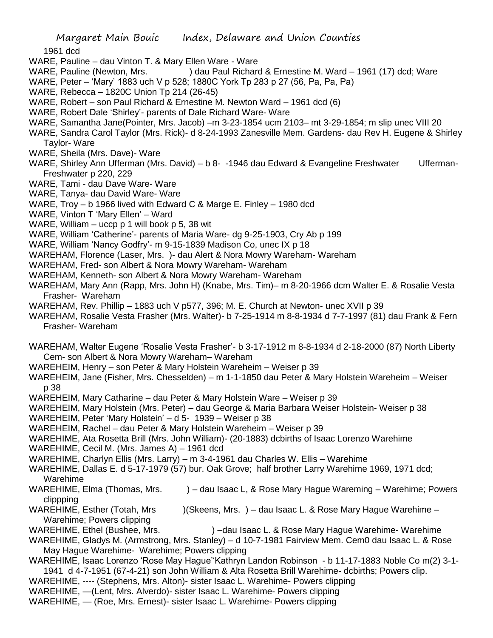1961 dcd

- WARE, Pauline dau Vinton T. & Mary Ellen Ware Ware
- WARE, Pauline (Newton, Mrs. ) dau Paul Richard & Ernestine M. Ward 1961 (17) dcd: Ware
- WARE, Peter 'Mary' 1883 uch V p 528; 1880C York Tp 283 p 27 (56, Pa, Pa, Pa)
- WARE, Rebecca 1820C Union Tp 214 (26-45)
- WARE, Robert son Paul Richard & Ernestine M. Newton Ward 1961 dcd (6)
- WARE, Robert Dale 'Shirley'- parents of Dale Richard Ware- Ware
- WARE, Samantha Jane(Pointer, Mrs. Jacob) –m 3-23-1854 ucm 2103– mt 3-29-1854; m slip unec VIII 20
- WARE, Sandra Carol Taylor (Mrs. Rick)- d 8-24-1993 Zanesville Mem. Gardens- dau Rev H. Eugene & Shirley Taylor- Ware
- WARE, Sheila (Mrs. Dave)- Ware
- WARE, Shirley Ann Ufferman (Mrs. David) b 8- -1946 dau Edward & Evangeline Freshwater Ufferman-Freshwater p 220, 229
- WARE, Tami dau Dave Ware- Ware
- WARE, Tanya- dau David Ware- Ware
- WARE, Troy b 1966 lived with Edward C & Marge E. Finley 1980 dcd
- WARE, Vinton T 'Mary Ellen' Ward
- WARE, William uccp p 1 will book p 5, 38 wit
- WARE, William 'Catherine'- parents of Maria Ware- dg 9-25-1903, Cry Ab p 199
- WARE, William 'Nancy Godfry'- m 9-15-1839 Madison Co, unec IX p 18
- WAREHAM, Florence (Laser, Mrs. )- dau Alert & Nora Mowry Wareham- Wareham
- WAREHAM, Fred- son Albert & Nora Mowry Wareham- Wareham
- WAREHAM, Kenneth- son Albert & Nora Mowry Wareham- Wareham
- WAREHAM, Mary Ann (Rapp, Mrs. John H) (Knabe, Mrs. Tim)– m 8-20-1966 dcm Walter E. & Rosalie Vesta Frasher- Wareham
- WAREHAM, Rev. Phillip 1883 uch V p577, 396; M. E. Church at Newton- unec XVII p 39
- WAREHAM, Rosalie Vesta Frasher (Mrs. Walter)- b 7-25-1914 m 8-8-1934 d 7-7-1997 (81) dau Frank & Fern Frasher- Wareham
- WAREHAM, Walter Eugene 'Rosalie Vesta Frasher'- b 3-17-1912 m 8-8-1934 d 2-18-2000 (87) North Liberty Cem- son Albert & Nora Mowry Wareham– Wareham
- WAREHEIM, Henry son Peter & Mary Holstein Wareheim Weiser p 39
- WAREHEIM, Jane (Fisher, Mrs. Chesselden) m 1-1-1850 dau Peter & Mary Holstein Wareheim Weiser p 38
- WAREHEIM, Mary Catharine dau Peter & Mary Holstein Ware Weiser p 39
- WAREHEIM, Mary Holstein (Mrs. Peter) dau George & Maria Barbara Weiser Holstein- Weiser p 38
- WAREHEIM, Peter 'Mary Holstein' d 5- 1939 Weiser p 38
- WAREHEIM, Rachel dau Peter & Mary Holstein Wareheim Weiser p 39
- WAREHIME, Ata Rosetta Brill (Mrs. John William)- (20-1883) dcbirths of Isaac Lorenzo Warehime
- WAREHIME, Cecil M. (Mrs. James A) 1961 dcd
- WAREHIME, Charlyn Ellis (Mrs. Larry) m 3-4-1961 dau Charles W. Ellis Warehime
- WAREHIME, Dallas E. d 5-17-1979 (57) bur. Oak Grove; half brother Larry Warehime 1969, 1971 dcd; Warehime
- WAREHIME, Elma (Thomas, Mrs. ) dau Isaac L, & Rose Mary Hague Wareming Warehime; Powers clippping
- WAREHIME, Esther (Totah, Mrs )(Skeens, Mrs. ) dau Isaac L. & Rose Mary Hague Warehime Warehime; Powers clipping
- WAREHIME, Ethel (Bushee, Mrs. ) –dau Isaac L. & Rose Mary Hague Warehime- Warehime
- WAREHIME, Gladys M. (Armstrong, Mrs. Stanley) d 10-7-1981 Fairview Mem. Cem0 dau Isaac L. & Rose May Hague Warehime- Warehime; Powers clipping
- WAREHIME, Isaac Lorenzo 'Rose May Hague''Kathryn Landon Robinson b 11-17-1883 Noble Co m(2) 3-1- 1941 d 4-7-1951 (67-4-21) son John William & Alta Rosetta Brill Warehime- dcbirths; Powers clip.
- WAREHIME, ---- (Stephens, Mrs. Alton)- sister Isaac L. Warehime- Powers clipping
- WAREHIME, —(Lent, Mrs. Alverdo)- sister Isaac L. Warehime- Powers clipping
- WAREHIME, (Roe, Mrs. Ernest)- sister Isaac L. Warehime- Powers clipping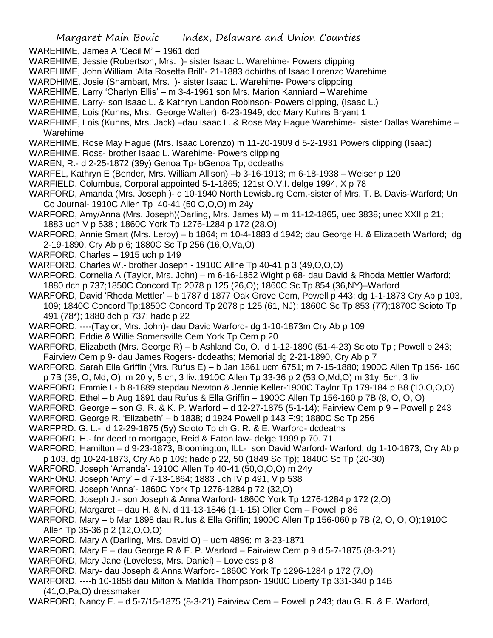WAREHIME, James A 'Cecil M' – 1961 dcd

- WAREHIME, Jessie (Robertson, Mrs. )- sister Isaac L. Warehime- Powers clipping
- WAREHIME, John William 'Alta Rosetta Brill'- 21-1883 dcbirths of Isaac Lorenzo Warehime
- WARDHIME, Josie (Shambart, Mrs. )- sister Isaac L. Warehime- Powers clippping
- WAREHIME, Larry 'Charlyn Ellis' m 3-4-1961 son Mrs. Marion Kanniard Warehime
- WAREHIME, Larry- son Isaac L. & Kathryn Landon Robinson- Powers clipping, (Isaac L.)
- WAREHIME, Lois (Kuhns, Mrs. George Walter) 6-23-1949; dcc Mary Kuhns Bryant 1
- WAREHIME, Lois (Kuhns, Mrs. Jack) –dau Isaac L. & Rose May Hague Warehime- sister Dallas Warehime Warehime

WAREHIME, Rose May Hague (Mrs. Isaac Lorenzo) m 11-20-1909 d 5-2-1931 Powers clipping (Isaac)

- WAREHIME, Ross- brother Isaac L. Warehime- Powers clipping
- WAREN, R.- d 2-25-1872 (39y) Genoa Tp- bGenoa Tp; dcdeaths
- WARFEL, Kathryn E (Bender, Mrs. William Allison) –b 3-16-1913; m 6-18-1938 Weiser p 120
- WARFIELD, Columbus, Corporal appointed 5-1-1865; 121st O.V.I. delge 1994, X p 78
- WARFORD, Amanda (Mrs. Joseph )- d 10-1940 North Lewisburg Cem,-sister of Mrs. T. B. Davis-Warford; Un Co Journal- 1910C Allen Tp 40-41 (50 O,O,O) m 24y
- WARFORD, Amy/Anna (Mrs. Joseph)(Darling, Mrs. James M) m 11-12-1865, uec 3838; unec XXII p 21; 1883 uch V p 538 ; 1860C York Tp 1276-1284 p 172 (28,O)
- WARFORD, Annie Smart (Mrs. Leroy) b 1864; m 10-4-1883 d 1942; dau George H. & Elizabeth Warford; dg 2-19-1890, Cry Ab p 6; 1880C Sc Tp 256 (16,O,Va,O)
- WARFORD, Charles 1915 uch p 149
- WARFORD, Charles W.- brother Joseph 1910C Allne Tp 40-41 p 3 (49, O, O, O)
- WARFORD, Cornelia A (Taylor, Mrs. John) m 6-16-1852 Wight p 68- dau David & Rhoda Mettler Warford; 1880 dch p 737;1850C Concord Tp 2078 p 125 (26,O); 1860C Sc Tp 854 (36,NY)–Warford
- WARFORD, David 'Rhoda Mettler' b 1787 d 1877 Oak Grove Cem, Powell p 443; dg 1-1-1873 Cry Ab p 103, 109; 1840C Concord Tp;1850C Concord Tp 2078 p 125 (61, NJ); 1860C Sc Tp 853 (77);1870C Scioto Tp 491 (78\*); 1880 dch p 737; hadc p 22
- WARFORD, ----(Taylor, Mrs. John)- dau David Warford- dg 1-10-1873m Cry Ab p 109
- WARFORD, Eddie & Willie Somersville Cem York Tp Cem p 20
- WARFORD, Elizabeth (Mrs. George R) b Ashland Co, O. d 1-12-1890 (51-4-23) Scioto Tp ; Powell p 243; Fairview Cem p 9- dau James Rogers- dcdeaths; Memorial dg 2-21-1890, Cry Ab p 7
- WARFORD, Sarah Ella Griffin (Mrs. Rufus E) b Jan 1861 ucm 6751; m 7-15-1880; 1900C Allen Tp 156- 160 p 7B (39, O, Md, O); m 20 y, 5 ch, 3 liv.;1910C Allen Tp 33-36 p 2 (53,O,Md,O) m 31y, 5ch, 3 liv
- WARFORD, Emmie I.- b 8-1889 stepdau Newton & Jennie Keller-1900C Taylor Tp 179-184 p B8 (10.O,O,O)
- WARFORD, Ethel b Aug 1891 dau Rufus & Ella Griffin 1900C Allen Tp 156-160 p 7B (8, O, O, O)
- WARFORD, George son G. R. & K. P. Warford d 12-27-1875 (5-1-14); Fairview Cem p 9 Powell p 243
- WARFORD, George R. 'Elizabeth' b 1838; d 1924 Powell p 143 F:9; 1880C Sc Tp 256
- WARFPRD. G. L.- d 12-29-1875 (5y) Scioto Tp ch G. R. & E. Warford- dcdeaths
- WARFORD, H.- for deed to mortgage, Reid & Eaton law- delge 1999 p 70. 71
- WARFORD, Hamilton d 9-23-1873, Bloomington, ILL- son David Warford- Warford; dg 1-10-1873, Cry Ab p p 103, dg 10-24-1873, Cry Ab p 109; hadc p 22, 50 (1849 Sc Tp); 1840C Sc Tp (20-30)
- WARFORD, Joseph 'Amanda'- 1910C Allen Tp 40-41 (50,O,O,O) m 24y
- WARFORD, Joseph 'Amy' d 7-13-1864; 1883 uch IV p 491, V p 538
- WARFORD, Joseph 'Anna'- 1860C York Tp 1276-1284 p 72 (32,O)
- WARFORD, Joseph J.- son Joseph & Anna Warford- 1860C York Tp 1276-1284 p 172 (2,O)
- WARFORD, Margaret dau H. & N. d 11-13-1846 (1-1-15) Oller Cem Powell p 86
- WARFORD, Mary b Mar 1898 dau Rufus & Ella Griffin; 1900C Allen Tp 156-060 p 7B (2, O, O, O);1910C Allen Tp 35-36 p 2 (12,O,O,O)
- WARFORD, Mary A (Darling, Mrs. David O) ucm 4896; m 3-23-1871
- WARFORD, Mary E dau George R & E. P. Warford Fairview Cem p 9 d 5-7-1875 (8-3-21)
- WARFORD, Mary Jane (Loveless, Mrs. Daniel) Loveless p 8
- WARFORD, Mary- dau Joseph & Anna Warford- 1860C York Tp 1296-1284 p 172 (7,O)
- WARFORD, ----b 10-1858 dau Milton & Matilda Thompson- 1900C Liberty Tp 331-340 p 14B
	- (41,O,Pa,O) dressmaker
- WARFORD, Nancy E. d 5-7/15-1875 (8-3-21) Fairview Cem Powell p 243; dau G. R. & E. Warford,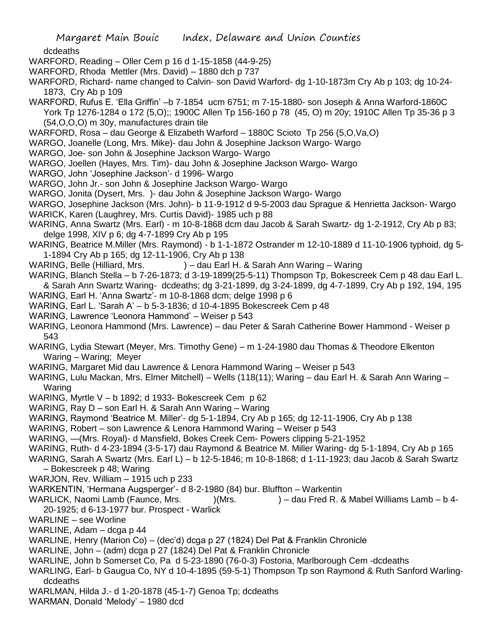dcdeaths

WARFORD, Reading – Oller Cem p 16 d 1-15-1858 (44-9-25)

- WARFORD, Rhoda Mettler (Mrs. David) 1880 dch p 737
- WARFORD, Richard- name changed to Calvin- son David Warford- dg 1-10-1873m Cry Ab p 103; dg 10-24- 1873, Cry Ab p 109
- WARFORD, Rufus E. 'Ella Griffin' –b 7-1854 ucm 6751; m 7-15-1880- son Joseph & Anna Warford-1860C York Tp 1276-1284 o 172 (5,O);; 1900C Allen Tp 156-160 p 78 (45, O) m 20y; 1910C Allen Tp 35-36 p 3 (54,O,O,O) m 30y, manufactures drain tile
- WARFORD, Rosa dau George & Elizabeth Warford 1880C Scioto Tp 256 (5,O,Va,O)
- WARGO, Joanelle (Long, Mrs. Mike)- dau John & Josephine Jackson Wargo- Wargo
- WARGO, Joe- son John & Josephine Jackson Wargo- Wargo
- WARGO, Joellen (Hayes, Mrs. Tim)- dau John & Josephine Jackson Wargo- Wargo
- WARGO, John 'Josephine Jackson'- d 1996- Wargo
- WARGO, John Jr.- son John & Josephine Jackson Wargo- Wargo
- WARGO, Jonita (Dysert, Mrs. )- dau John & Josephine Jackson Wargo- Wargo
- WARGO, Josephine Jackson (Mrs. John)- b 11-9-1912 d 9-5-2003 dau Sprague & Henrietta Jackson- Wargo
- WARICK, Karen (Laughrey, Mrs. Curtis David)- 1985 uch p 88
- WARING, Anna Swartz (Mrs. Earl) m 10-8-1868 dcm dau Jacob & Sarah Swartz- dg 1-2-1912, Cry Ab p 83; delge 1998, XIV p 6; dg 4-7-1899 Cry Ab p 195
- WARING, Beatrice M.Miller (Mrs. Raymond) b 1-1-1872 Ostrander m 12-10-1889 d 11-10-1906 typhoid, dg 5- 1-1894 Cry Ab p 165; dg 12-11-1906, Cry Ab p 138
- WARING, Belle (Hilliard, Mrs. ) dau Earl H. & Sarah Ann Waring Waring
- WARING, Blanch Stella b 7-26-1873; d 3-19-1899(25-5-11) Thompson Tp, Bokescreek Cem p 48 dau Earl L. & Sarah Ann Swartz Waring- dcdeaths; dg 3-21-1899, dg 3-24-1899, dg 4-7-1899, Cry Ab p 192, 194, 195
- WARING, Earl H. 'Anna Swartz'- m 10-8-1868 dcm; delge 1998 p 6
- WARING, Earl L. 'Sarah A' b 5-3-1836; d 10-4-1895 Bokescreek Cem p 48
- WARING, Lawrence 'Leonora Hammond' Weiser p 543
- WARING, Leonora Hammond (Mrs. Lawrence) dau Peter & Sarah Catherine Bower Hammond Weiser p 543
- WARING, Lydia Stewart (Meyer, Mrs. Timothy Gene) m 1-24-1980 dau Thomas & Theodore Elkenton Waring – Waring; Meyer
- WARING, Margaret Mid dau Lawrence & Lenora Hammond Waring Weiser p 543
- WARING, Lulu Mackan, Mrs. Elmer Mitchell) Wells (118(11); Waring dau Earl H. & Sarah Ann Waring Waring
- WARING, Myrtle V b 1892; d 1933- Bokescreek Cem p 62
- WARING, Ray D son Earl H. & Sarah Ann Waring Waring
- WARING, Raymond 'Beatrice M. Miller'- dg 5-1-1894, Cry Ab p 165; dg 12-11-1906, Cry Ab p 138
- WARING, Robert son Lawrence & Lenora Hammond Waring Weiser p 543
- WARING, —(Mrs. Royal)- d Mansfield, Bokes Creek Cem- Powers clipping 5-21-1952
- WARING, Ruth- d 4-23-1894 (3-5-17) dau Raymond & Beatrice M. Miller Waring- dg 5-1-1894, Cry Ab p 165
- WARING, Sarah A Swartz (Mrs. Earl L) b 12-5-1846; m 10-8-1868; d 1-11-1923; dau Jacob & Sarah Swartz – Bokescreek p 48; Waring
- WARJON, Rev. William 1915 uch p 233
- WARKENTIN, 'Hermana Augsperger'- d 8-2-1980 (84) bur. Bluffton Warkentin
- WARLICK, Naomi Lamb (Faunce, Mrs. )(Mrs. ) dau Fred R. & Mabel Williams Lamb b 4-20-1925; d 6-13-1977 bur. Prospect - Warlick
- WARLINE see Worline
- WARLINE, Adam dcga p 44
- WARLINE, Henry (Marion Co) (dec'd) dcga p 27 (1824) Del Pat & Franklin Chronicle
- WARLINE, John (adm) dcga p 27 (1824) Del Pat & Franklin Chronicle
- WARLINE, John b Somerset Co, Pa d 5-23-1890 (76-0-3) Fostoria, Marlborough Cem -dcdeaths
- WARLING, Earl- b Gaugua Co, NY d 10-4-1895 (59-5-1) Thompson Tp son Raymond & Ruth Sanford Warlingdcdeaths
- WARLMAN, Hilda J.- d 1-20-1878 (45-1-7) Genoa Tp; dcdeaths
- WARMAN, Donald 'Melody' 1980 dcd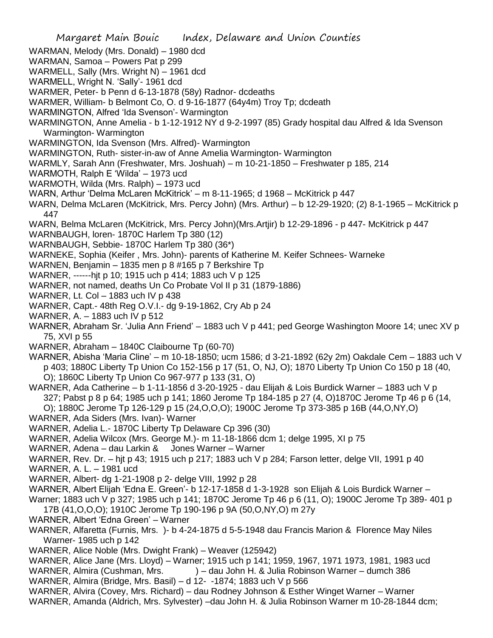- WARMAN, Melody (Mrs. Donald) 1980 dcd
- WARMAN, Samoa Powers Pat p 299
- WARMELL, Sally (Mrs. Wright N) 1961 dcd
- WARMELL, Wright N. 'Sally'- 1961 dcd
- WARMER, Peter- b Penn d 6-13-1878 (58y) Radnor- dcdeaths
- WARMER, William- b Belmont Co, O. d 9-16-1877 (64y4m) Troy Tp; dcdeath
- WARMINGTON, Alfred 'Ida Svenson'- Warmington
- WARMINGTON, Anne Amelia b 1-12-1912 NY d 9-2-1997 (85) Grady hospital dau Alfred & Ida Svenson Warmington- Warmington
- WARMINGTON, Ida Svenson (Mrs. Alfred)- Warmington
- WARMINGTON, Ruth- sister-in-aw of Anne Amelia Warmington- Warmington
- WARMLY, Sarah Ann (Freshwater, Mrs. Joshuah) m 10-21-1850 Freshwater p 185, 214
- WARMOTH, Ralph E 'Wilda' 1973 ucd
- WARMOTH, Wilda (Mrs. Ralph) 1973 ucd
- WARN, Arthur 'Delma McLaren McKitrick' m 8-11-1965; d 1968 McKitrick p 447
- WARN, Delma McLaren (McKitrick, Mrs. Percy John) (Mrs. Arthur) b 12-29-1920; (2) 8-1-1965 McKitrick p 447
- WARN, Belma McLaren (McKitrick, Mrs. Percy John)(Mrs.Artjir) b 12-29-1896 p 447- McKitrick p 447
- WARNBAUGH, loren- 1870C Harlem Tp 380 (12)
- WARNBAUGH, Sebbie- 1870C Harlem Tp 380 (36\*)
- WARNEKE, Sophia (Keifer , Mrs. John)- parents of Katherine M. Keifer Schnees- Warneke
- WARNEN, Benjamin 1835 men p 8 #165 p 7 Berkshire Tp
- WARNER, ------hjt p 10; 1915 uch p 414; 1883 uch V p 125
- WARNER, not named, deaths Un Co Probate Vol II p 31 (1879-1886)
- WARNER, Lt. Col 1883 uch IV p 438
- WARNER, Capt.- 48th Reg O.V.I.- dg 9-19-1862, Cry Ab p 24
- WARNER, A. 1883 uch IV p 512
- WARNER, Abraham Sr. 'Julia Ann Friend' 1883 uch V p 441; ped George Washington Moore 14; unec XV p 75, XVI p 55
- WARNER, Abraham 1840C Claibourne Tp (60-70)
- WARNER, Abisha 'Maria Cline' m 10-18-1850; ucm 1586; d 3-21-1892 (62y 2m) Oakdale Cem 1883 uch V p 403; 1880C Liberty Tp Union Co 152-156 p 17 (51, O, NJ, O); 1870 Liberty Tp Union Co 150 p 18 (40, O); 1860C Liberty Tp Union Co 967-977 p 133 (31, O)
- WARNER, Ada Catherine b 1-11-1856 d 3-20-1925 dau Elijah & Lois Burdick Warner 1883 uch V p 327; Pabst p 8 p 64; 1985 uch p 141; 1860 Jerome Tp 184-185 p 27 (4, O)1870C Jerome Tp 46 p 6 (14,
- O); 1880C Jerome Tp 126-129 p 15 (24,O,O,O); 1900C Jerome Tp 373-385 p 16B (44,O,NY,O)
- WARNER, Ada Siders (Mrs. Ivan)- Warner
- WARNER, Adelia L.- 1870C Liberty Tp Delaware Cp 396 (30)
- WARNER, Adelia Wilcox (Mrs. George M.)- m 11-18-1866 dcm 1; delge 1995, XI p 75
- WARNER, Adena dau Larkin & Jones Warner Warner
- WARNER, Rev. Dr. hjt p 43; 1915 uch p 217; 1883 uch V p 284; Farson letter, delge VII, 1991 p 40 WARNER, A. L. – 1981 ucd
- WARNER, Albert- dg 1-21-1908 p 2- delge VIII, 1992 p 28
- WARNER, Albert Elijah 'Edna E. Green'- b 12-17-1858 d 1-3-1928 son Elijah & Lois Burdick Warner –
- Warner; 1883 uch V p 327; 1985 uch p 141; 1870C Jerome Tp 46 p 6 (11, O); 1900C Jerome Tp 389- 401 p
- 17B (41,O,O,O); 1910C Jerome Tp 190-196 p 9A (50,O,NY,O) m 27y
- WARNER, Albert 'Edna Green' Warner
- WARNER, Alfaretta (Furnis, Mrs. )- b 4-24-1875 d 5-5-1948 dau Francis Marion & Florence May Niles Warner- 1985 uch p 142
- WARNER, Alice Noble (Mrs. Dwight Frank) Weaver (125942)
- WARNER, Alice Jane (Mrs. Lloyd) Warner; 1915 uch p 141; 1959, 1967, 1971 1973, 1981, 1983 ucd
- WARNER, Almira (Cushman, Mrs. ) dau John H. & Julia Robinson Warner dumch 386
- WARNER, Almira (Bridge, Mrs. Basil) d 12- -1874; 1883 uch V p 566
- WARNER, Alvira (Covey, Mrs. Richard) dau Rodney Johnson & Esther Winget Warner Warner
- WARNER, Amanda (Aldrich, Mrs. Sylvester) –dau John H. & Julia Robinson Warner m 10-28-1844 dcm;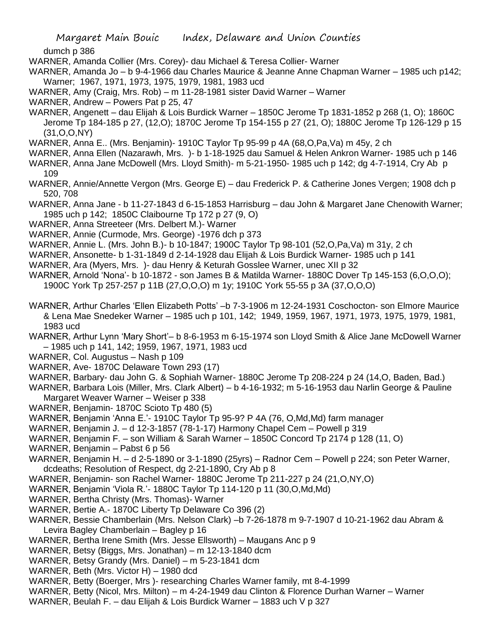dumch p 386

- WARNER, Amanda Collier (Mrs. Corey)- dau Michael & Teresa Collier- Warner
- WARNER, Amanda Jo b 9-4-1966 dau Charles Maurice & Jeanne Anne Chapman Warner 1985 uch p142; Warner; 1967, 1971, 1973, 1975, 1979, 1981, 1983 ucd
- WARNER, Amy (Craig, Mrs. Rob) m 11-28-1981 sister David Warner Warner
- WARNER, Andrew Powers Pat p 25, 47
- WARNER, Angenett dau Elijah & Lois Burdick Warner 1850C Jerome Tp 1831-1852 p 268 (1, O); 1860C Jerome Tp 184-185 p 27, (12,O); 1870C Jerome Tp 154-155 p 27 (21, O); 1880C Jerome Tp 126-129 p 15 (31,O,O,NY)
- WARNER, Anna E.. (Mrs. Benjamin)- 1910C Taylor Tp 95-99 p 4A (68,O,Pa,Va) m 45y, 2 ch
- WARNER, Anna Ellen (Nazarawh, Mrs. )- b 1-18-1925 dau Samuel & Helen Ankron Warner- 1985 uch p 146
- WARNER, Anna Jane McDowell (Mrs. Lloyd Smith)- m 5-21-1950- 1985 uch p 142; dg 4-7-1914, Cry Ab p 109
- WARNER, Annie/Annette Vergon (Mrs. George E) dau Frederick P. & Catherine Jones Vergen; 1908 dch p 520, 708
- WARNER, Anna Jane b 11-27-1843 d 6-15-1853 Harrisburg dau John & Margaret Jane Chenowith Warner; 1985 uch p 142; 1850C Claibourne Tp 172 p 27 (9, O)
- WARNER, Anna Streeteer (Mrs. Delbert M.)- Warner
- WARNER, Annie (Curmode, Mrs. George) -1976 dch p 373
- WARNER, Annie L. (Mrs. John B.)- b 10-1847; 1900C Taylor Tp 98-101 (52,O,Pa,Va) m 31y, 2 ch
- WARNER, Ansonette- b 1-31-1849 d 2-14-1928 dau Elijah & Lois Burdick Warner- 1985 uch p 141
- WARNER, Ara (Myers, Mrs. )- dau Henry & Keturah Gosslee Warner, unec XII p 32
- WARNER, Arnold 'Nona'- b 10-1872 son James B & Matilda Warner- 1880C Dover Tp 145-153 (6,O,O,O); 1900C York Tp 257-257 p 11B (27,O,O,O) m 1y; 1910C York 55-55 p 3A (37,O,O,O)
- WARNER, Arthur Charles 'Ellen Elizabeth Potts' –b 7-3-1906 m 12-24-1931 Coschocton- son Elmore Maurice & Lena Mae Snedeker Warner – 1985 uch p 101, 142; 1949, 1959, 1967, 1971, 1973, 1975, 1979, 1981, 1983 ucd
- WARNER, Arthur Lynn 'Mary Short'– b 8-6-1953 m 6-15-1974 son Lloyd Smith & Alice Jane McDowell Warner – 1985 uch p 141, 142; 1959, 1967, 1971, 1983 ucd
- WARNER, Col. Augustus Nash p 109
- WARNER, Ave- 1870C Delaware Town 293 (17)
- WARNER, Barbary- dau John G. & Sophiah Warner- 1880C Jerome Tp 208-224 p 24 (14,O, Baden, Bad.)
- WARNER, Barbara Lois (Miller, Mrs. Clark Albert) b 4-16-1932; m 5-16-1953 dau Narlin George & Pauline Margaret Weaver Warner – Weiser p 338
- WARNER, Benjamin- 1870C Scioto Tp 480 (5)
- WARNER, Benjamin 'Anna E.'- 1910C Taylor Tp 95-9? P 4A (76, O,Md,Md) farm manager
- WARNER, Benjamin J. d 12-3-1857 (78-1-17) Harmony Chapel Cem Powell p 319
- WARNER, Benjamin F. son William & Sarah Warner 1850C Concord Tp 2174 p 128 (11, O)
- WARNER, Benjamin Pabst 6 p 56
- WARNER, Benjamin H. d 2-5-1890 or 3-1-1890 (25yrs) Radnor Cem Powell p 224; son Peter Warner, dcdeaths; Resolution of Respect, dg 2-21-1890, Cry Ab p 8
- WARNER, Benjamin- son Rachel Warner- 1880C Jerome Tp 211-227 p 24 (21,O,NY,O)
- WARNER, Benjamin 'Viola R.'- 1880C Taylor Tp 114-120 p 11 (30,O,Md,Md)
- WARNER, Bertha Christy (Mrs. Thomas)- Warner
- WARNER, Bertie A.- 1870C Liberty Tp Delaware Co 396 (2)
- WARNER, Bessie Chamberlain (Mrs. Nelson Clark) –b 7-26-1878 m 9-7-1907 d 10-21-1962 dau Abram & Levira Bagley Chamberlain – Bagley p 16
- WARNER, Bertha Irene Smith (Mrs. Jesse Ellsworth) Maugans Anc p 9
- WARNER, Betsy (Biggs, Mrs. Jonathan) m 12-13-1840 dcm
- WARNER, Betsy Grandy (Mrs. Daniel) m 5-23-1841 dcm
- WARNER, Beth (Mrs. Victor H) 1980 dcd
- WARNER, Betty (Boerger, Mrs )- researching Charles Warner family, mt 8-4-1999
- WARNER, Betty (Nicol, Mrs. Milton) m 4-24-1949 dau Clinton & Florence Durhan Warner Warner
- WARNER, Beulah F. dau Elijah & Lois Burdick Warner 1883 uch V p 327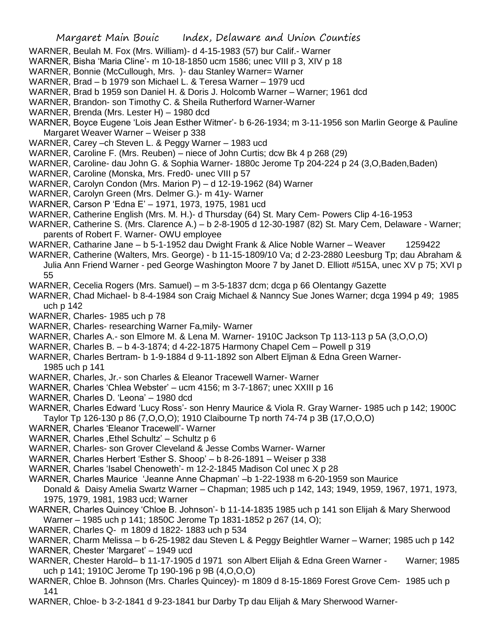- WARNER, Beulah M. Fox (Mrs. William)- d 4-15-1983 (57) bur Calif.- Warner
- WARNER, Bisha 'Maria Cline'- m 10-18-1850 ucm 1586; unec VIII p 3, XIV p 18
- WARNER, Bonnie (McCullough, Mrs. )- dau Stanley Warner= Warner
- WARNER, Brad b 1979 son Michael L. & Teresa Warner 1979 ucd
- WARNER, Brad b 1959 son Daniel H. & Doris J. Holcomb Warner Warner; 1961 dcd
- WARNER, Brandon- son Timothy C. & Sheila Rutherford Warner-Warner
- WARNER, Brenda (Mrs. Lester H) 1980 dcd
- WARNER, Boyce Eugene 'Lois Jean Esther Witmer'- b 6-26-1934; m 3-11-1956 son Marlin George & Pauline Margaret Weaver Warner – Weiser p 338
- WARNER, Carey –ch Steven L. & Peggy Warner 1983 ucd
- WARNER, Caroline F. (Mrs. Reuben) niece of John Curtis; dcw Bk 4 p 268 (29)
- WARNER, Caroline- dau John G. & Sophia Warner- 1880c Jerome Tp 204-224 p 24 (3, O, Baden, Baden)
- WARNER, Caroline (Monska, Mrs. Fred0- unec VIII p 57
- WARNER, Carolyn Condon (Mrs. Marion P) d 12-19-1962 (84) Warner
- WARNER, Carolyn Green (Mrs. Delmer G.)- m 41y- Warner
- WARNER, Carson P 'Edna E' 1971, 1973, 1975, 1981 ucd
- WARNER, Catherine English (Mrs. M. H.)- d Thursday (64) St. Mary Cem- Powers Clip 4-16-1953
- WARNER, Catherine S. (Mrs. Clarence A.) b 2-8-1905 d 12-30-1987 (82) St. Mary Cem, Delaware Warner; parents of Robert F. Warner- OWU employee
- WARNER, Catharine Jane b 5-1-1952 dau Dwight Frank & Alice Noble Warner Weaver 1259422
- WARNER, Catherine (Walters, Mrs. George) b 11-15-1809/10 Va; d 2-23-2880 Leesburg Tp; dau Abraham & Julia Ann Friend Warner - ped George Washington Moore 7 by Janet D. Elliott #515A, unec XV p 75; XVI p 55
- WARNER, Cecelia Rogers (Mrs. Samuel) m 3-5-1837 dcm; dcga p 66 Olentangy Gazette
- WARNER, Chad Michael- b 8-4-1984 son Craig Michael & Nanncy Sue Jones Warner; dcga 1994 p 49; 1985 uch p 142
- WARNER, Charles- 1985 uch p 78
- WARNER, Charles- researching Warner Fa,mily- Warner
- WARNER, Charles A.- son Elmore M. & Lena M. Warner- 1910C Jackson Tp 113-113 p 5A (3,O,O,O)
- WARNER, Charles B. b 4-3-1874; d 4-22-1875 Harmony Chapel Cem Powell p 319
- WARNER, Charles Bertram- b 1-9-1884 d 9-11-1892 son Albert Eljman & Edna Green Warner-
- 1985 uch p 141
- WARNER, Charles, Jr.- son Charles & Eleanor Tracewell Warner- Warner
- WARNER, Charles 'Chlea Webster' ucm 4156; m 3-7-1867; unec XXIII p 16
- WARNER, Charles D. 'Leona' 1980 dcd
- WARNER, Charles Edward 'Lucy Ross'- son Henry Maurice & Viola R. Gray Warner- 1985 uch p 142; 1900C Taylor Tp 126-130 p 86 (7,O,O,O); 1910 Claibourne Tp north 74-74 p 3B (17,O,O,O)
- WARNER, Charles 'Eleanor Tracewell'- Warner
- WARNER, Charles, Ethel Schultz' Schultz p 6
- WARNER, Charles- son Grover Cleveland & Jesse Combs Warner- Warner
- WARNER, Charles Herbert 'Esther S. Shoop' b 8-26-1891 Weiser p 338
- WARNER, Charles 'Isabel Chenoweth'- m 12-2-1845 Madison Col unec X p 28
- WARNER, Charles Maurice 'Jeanne Anne Chapman' –b 1-22-1938 m 6-20-1959 son Maurice
- Donald & Daisy Amelia Swartz Warner Chapman; 1985 uch p 142, 143; 1949, 1959, 1967, 1971, 1973, 1975, 1979, 1981, 1983 ucd; Warner
- WARNER, Charles Quincey 'Chloe B. Johnson'- b 11-14-1835 1985 uch p 141 son Elijah & Mary Sherwood Warner – 1985 uch p 141; 1850C Jerome Tp 1831-1852 p 267 (14, O);
- WARNER, Charles Q- m 1809 d 1822- 1883 uch p 534
- WARNER, Charm Melissa b 6-25-1982 dau Steven L & Peggy Beightler Warner Warner; 1985 uch p 142 WARNER, Chester 'Margaret' – 1949 ucd
- WARNER, Chester Harold– b 11-17-1905 d 1971 son Albert Elijah & Edna Green Warner Warner; 1985 uch p 141; 1910C Jerome Tp 190-196 p 9B (4,O,O,O)
- WARNER, Chloe B. Johnson (Mrs. Charles Quincey)- m 1809 d 8-15-1869 Forest Grove Cem- 1985 uch p 141
- WARNER, Chloe- b 3-2-1841 d 9-23-1841 bur Darby Tp dau Elijah & Mary Sherwood Warner-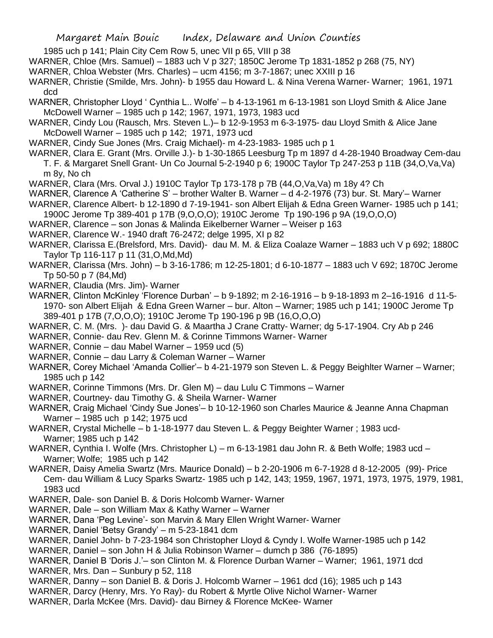- 1985 uch p 141; Plain City Cem Row 5, unec VII p 65, VIII p 38
- WARNER, Chloe (Mrs. Samuel) 1883 uch V p 327; 1850C Jerome Tp 1831-1852 p 268 (75, NY)
- WARNER, Chloa Webster (Mrs. Charles) ucm 4156; m 3-7-1867; unec XXIII p 16
- WARNER, Christie (Smilde, Mrs. John)- b 1955 dau Howard L. & Nina Verena Warner- Warner; 1961, 1971 dcd
- WARNER, Christopher Lloyd ' Cynthia L.. Wolfe' b 4-13-1961 m 6-13-1981 son Lloyd Smith & Alice Jane McDowell Warner – 1985 uch p 142; 1967, 1971, 1973, 1983 ucd
- WARNER, Cindy Lou (Rausch, Mrs. Steven L.)– b 12-9-1953 m 6-3-1975- dau Lloyd Smith & Alice Jane McDowell Warner – 1985 uch p 142; 1971, 1973 ucd
- WARNER, Cindy Sue Jones (Mrs. Craig Michael)- m 4-23-1983- 1985 uch p 1
- WARNER, Clara E. Grant (Mrs. Orville J.)- b 1-30-1865 Leesburg Tp m 1897 d 4-28-1940 Broadway Cem-dau T. F. & Margaret Snell Grant- Un Co Journal 5-2-1940 p 6; 1900C Taylor Tp 247-253 p 11B (34,O,Va,Va) m 8y, No ch
- WARNER, Clara (Mrs. Orval J.) 1910C Taylor Tp 173-178 p 7B (44,O,Va,Va) m 18y 4? Ch
- WARNER, Clarence A 'Catherine S' brother Walter B. Warner d 4-2-1976 (73) bur. St. Mary'– Warner
- WARNER, Clarence Albert- b 12-1890 d 7-19-1941- son Albert Elijah & Edna Green Warner- 1985 uch p 141; 1900C Jerome Tp 389-401 p 17B (9,O,O,O); 1910C Jerome Tp 190-196 p 9A (19,O,O,O)
- WARNER, Clarence son Jonas & Malinda Eikelberner Warner Weiser p 163
- WARNER, Clarence W.- 1940 draft 76-2472; delge 1995, XI p 82
- WARNER, Clarissa E.(Brelsford, Mrs. David)- dau M. M. & Eliza Coalaze Warner 1883 uch V p 692; 1880C Taylor Tp 116-117 p 11 (31,O,Md,Md)
- WARNER, Clarissa (Mrs. John) b 3-16-1786; m 12-25-1801; d 6-10-1877 1883 uch V 692; 1870C Jerome Tp 50-50 p 7 (84,Md)
- WARNER, Claudia (Mrs. Jim)- Warner
- WARNER, Clinton McKinley 'Florence Durban' b 9-1892; m 2-16-1916 b 9-18-1893 m 2–16-1916 d 11-5- 1970- son Albert Elijah & Edna Green Warner – bur. Alton – Warner; 1985 uch p 141; 1900C Jerome Tp 389-401 p 17B (7,O,O,O); 1910C Jerome Tp 190-196 p 9B (16,O,O,O)
- WARNER, C. M. (Mrs. )- dau David G. & Maartha J Crane Cratty- Warner; dg 5-17-1904. Cry Ab p 246
- WARNER, Connie- dau Rev. Glenn M. & Corinne Timmons Warner- Warner
- WARNER, Connie dau Mabel Warner 1959 ucd (5)
- WARNER, Connie dau Larry & Coleman Warner Warner
- WARNER, Corey Michael 'Amanda Collier'– b 4-21-1979 son Steven L. & Peggy Beighlter Warner Warner; 1985 uch p 142
- WARNER, Corinne Timmons (Mrs. Dr. Glen M) dau Lulu C Timmons Warner
- WARNER, Courtney- dau Timothy G. & Sheila Warner- Warner
- WARNER, Craig Michael 'Cindy Sue Jones'– b 10-12-1960 son Charles Maurice & Jeanne Anna Chapman Warner – 1985 uch p 142; 1975 ucd
- WARNER, Crystal Michelle b 1-18-1977 dau Steven L. & Peggy Beighter Warner ; 1983 ucd-Warner; 1985 uch p 142
- WARNER, Cynthia I. Wolfe (Mrs. Christopher L) m 6-13-1981 dau John R. & Beth Wolfe; 1983 ucd Warner; Wolfe; 1985 uch p 142
- WARNER, Daisy Amelia Swartz (Mrs. Maurice Donald) b 2-20-1906 m 6-7-1928 d 8-12-2005 (99)- Price Cem- dau William & Lucy Sparks Swartz- 1985 uch p 142, 143; 1959, 1967, 1971, 1973, 1975, 1979, 1981, 1983 ucd
- WARNER, Dale- son Daniel B. & Doris Holcomb Warner- Warner
- WARNER, Dale son William Max & Kathy Warner Warner
- WARNER, Dana 'Peg Levine'- son Marvin & Mary Ellen Wright Warner- Warner
- WARNER, Daniel 'Betsy Grandy' m 5-23-1841 dcm
- WARNER, Daniel John- b 7-23-1984 son Christopher Lloyd & Cyndy I. Wolfe Warner-1985 uch p 142
- WARNER, Daniel son John H & Julia Robinson Warner dumch p 386 (76-1895)
- WARNER, Daniel B 'Doris J.'– son Clinton M. & Florence Durban Warner Warner; 1961, 1971 dcd WARNER, Mrs. Dan – Sunbury p 52, 118
- WARNER, Danny son Daniel B. & Doris J. Holcomb Warner 1961 dcd (16); 1985 uch p 143
- WARNER, Darcy (Henry, Mrs. Yo Ray)- du Robert & Myrtle Olive Nichol Warner- Warner
- WARNER, Darla McKee (Mrs. David)- dau Birney & Florence McKee- Warner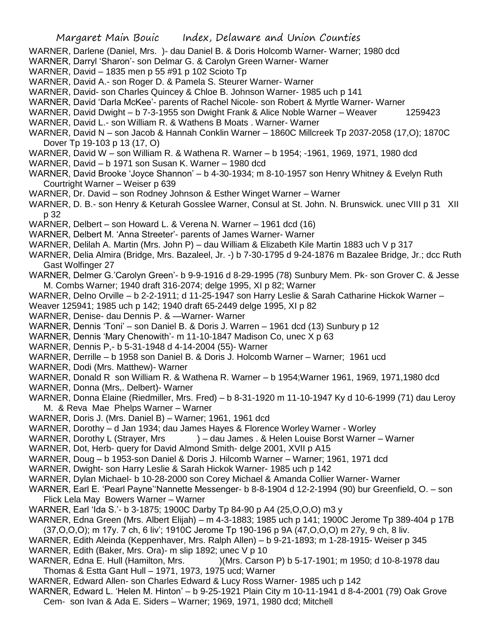- WARNER, Darlene (Daniel, Mrs. )- dau Daniel B. & Doris Holcomb Warner- Warner; 1980 dcd
- WARNER, Darryl 'Sharon'- son Delmar G. & Carolyn Green Warner- Warner
- WARNER, David 1835 men p 55 #91 p 102 Scioto Tp
- WARNER, David A.- son Roger D. & Pamela S. Steurer Warner- Warner
- WARNER, David- son Charles Quincey & Chloe B. Johnson Warner- 1985 uch p 141
- WARNER, David 'Darla McKee'- parents of Rachel Nicole- son Robert & Myrtle Warner- Warner
- WARNER, David Dwight b 7-3-1955 son Dwight Frank & Alice Noble Warner Weaver 1259423
- WARNER, David L.- son William R. & Wathens B Moats . Warner- Warner
- WARNER, David N son Jacob & Hannah Conklin Warner 1860C Millcreek Tp 2037-2058 (17,O); 1870C Dover Tp 19-103 p 13 (17, O)
- WARNER, David W son William R. & Wathena R. Warner b 1954; -1961, 1969, 1971, 1980 dcd
- WARNER, David b 1971 son Susan K. Warner 1980 dcd
- WARNER, David Brooke 'Joyce Shannon' b 4-30-1934; m 8-10-1957 son Henry Whitney & Evelyn Ruth Courtright Warner – Weiser p 639
- WARNER, Dr. David son Rodney Johnson & Esther Winget Warner Warner
- WARNER, D. B.- son Henry & Keturah Gosslee Warner, Consul at St. John. N. Brunswick. unec VIII p 31 XII p 32
- WARNER, Delbert son Howard L. & Verena N. Warner 1961 dcd (16)
- WARNER, Delbert M. 'Anna Streeter'- parents of James Warner- Warner
- WARNER, Delilah A. Martin (Mrs. John P) dau William & Elizabeth Kile Martin 1883 uch V p 317
- WARNER, Delia Almira (Bridge, Mrs. Bazaleel, Jr. -) b 7-30-1795 d 9-24-1876 m Bazalee Bridge, Jr.; dcc Ruth Gast Wolfinger 27
- WARNER, Delmer G.'Carolyn Green'- b 9-9-1916 d 8-29-1995 (78) Sunbury Mem. Pk- son Grover C. & Jesse M. Combs Warner; 1940 draft 316-2074; delge 1995, XI p 82; Warner
- WARNER, Delno Orville b 2-2-1911; d 11-25-1947 son Harry Leslie & Sarah Catharine Hickok Warner –
- Weaver 125941; 1985 uch p 142; 1940 draft 65-2449 delge 1995, XI p 82
- WARNER, Denise- dau Dennis P. & —Warner- Warner
- WARNER, Dennis 'Toni' son Daniel B. & Doris J. Warren 1961 dcd (13) Sunbury p 12
- WARNER, Dennis 'Mary Chenowith'- m 11-10-1847 Madison Co, unec X p 63
- WARNER, Dennis P,- b 5-31-1948 d 4-14-2004 (55)- Warner
- WARNER, Derrille b 1958 son Daniel B. & Doris J. Holcomb Warner Warner; 1961 ucd
- WARNER, Dodi (Mrs. Matthew)- Warner
- WARNER, Donald R son William R. & Wathena R. Warner b 1954;Warner 1961, 1969, 1971,1980 dcd
- WARNER, Donna (Mrs,. Delbert)- Warner
- WARNER, Donna Elaine (Riedmiller, Mrs. Fred) b 8-31-1920 m 11-10-1947 Ky d 10-6-1999 (71) dau Leroy M. & Reva Mae Phelps Warner – Warner
- WARNER, Doris J. (Mrs. Daniel B) Warner; 1961, 1961 dcd
- WARNER, Dorothy d Jan 1934; dau James Hayes & Florence Worley Warner Worley
- WARNER, Dorothy L (Strayer, Mrs ) dau James . & Helen Louise Borst Warner Warner
- WARNER, Dot, Herb- query for David Almond Smith- delge 2001, XVII p A15
- WARNER, Doug b 1953-son Daniel & Doris J. Hilcomb Warner Warner; 1961, 1971 dcd
- WARNER, Dwight- son Harry Leslie & Sarah Hickok Warner- 1985 uch p 142
- WARNER, Dylan Michael- b 10-28-2000 son Corey Michael & Amanda Collier Warner- Warner
- WARNER, Earl E. 'Pearl Payne''Nannette Messenger- b 8-8-1904 d 12-2-1994 (90) bur Greenfield, O. son Flick Lela May Bowers Warner – Warner
- WARNER, Earl 'Ida S.'- b 3-1875; 1900C Darby Tp 84-90 p A4 (25,O,O,O) m3 y
- WARNER, Edna Green (Mrs. Albert Elijah) m 4-3-1883; 1985 uch p 141; 1900C Jerome Tp 389-404 p 17B (37,O,O,O); m 17y. 7 ch, 6 liv'; 1910C Jerome Tp 190-196 p 9A (47,O,O,O) m 27y, 9 ch, 8 liv.
- WARNER, Edith Aleinda (Keppenhaver, Mrs. Ralph Allen) b 9-21-1893; m 1-28-1915- Weiser p 345 WARNER, Edith (Baker, Mrs. Ora)- m slip 1892; unec V p 10
- WARNER, Edna E. Hull (Hamilton, Mrs. )(Mrs. Carson P) b 5-17-1901; m 1950; d 10-8-1978 dau Thomas & Estta Gant Hull – 1971, 1973, 1975 ucd; Warner
- WARNER, Edward Allen- son Charles Edward & Lucy Ross Warner- 1985 uch p 142
- WARNER, Edward L. 'Helen M. Hinton' b 9-25-1921 Plain City m 10-11-1941 d 8-4-2001 (79) Oak Grove Cem- son Ivan & Ada E. Siders – Warner; 1969, 1971, 1980 dcd; Mitchell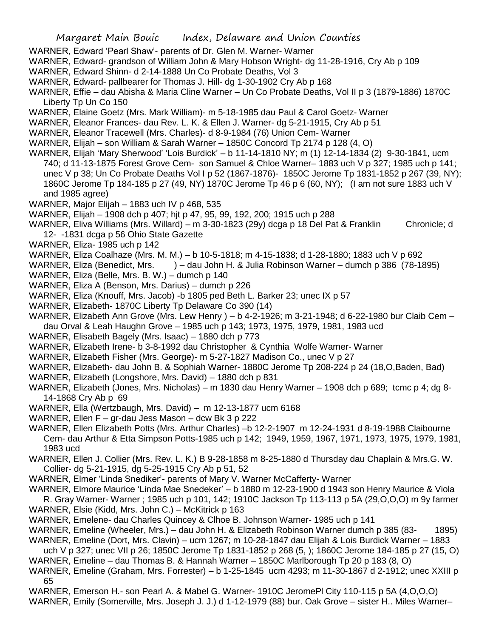- WARNER, Edward 'Pearl Shaw'- parents of Dr. Glen M. Warner- Warner
- WARNER, Edward- grandson of William John & Mary Hobson Wright- dg 11-28-1916, Cry Ab p 109
- WARNER, Edward Shinn- d 2-14-1888 Un Co Probate Deaths, Vol 3
- WARNER, Edward- pallbearer for Thomas J. Hill- dg 1-30-1902 Cry Ab p 168
- WARNER, Effie dau Abisha & Maria Cline Warner Un Co Probate Deaths, Vol II p 3 (1879-1886) 1870C Liberty Tp Un Co 150
- WARNER, Elaine Goetz (Mrs. Mark William)- m 5-18-1985 dau Paul & Carol Goetz- Warner
- WARNER, Eleanor Frances- dau Rev. L. K. & Ellen J. Warner- dg 5-21-1915, Cry Ab p 51
- WARNER, Eleanor Tracewell (Mrs. Charles)- d 8-9-1984 (76) Union Cem- Warner
- WARNER, Elijah son William & Sarah Warner 1850C Concord Tp 2174 p 128 (4, O)
- WARNER, Elijah 'Mary Sherwood' 'Lois Burdick' b 11-14-1810 NY; m (1) 12-14-1834 (2) 9-30-1841, ucm 740; d 11-13-1875 Forest Grove Cem- son Samuel & Chloe Warner– 1883 uch V p 327; 1985 uch p 141; unec V p 38; Un Co Probate Deaths Vol I p 52 (1867-1876)- 1850C Jerome Tp 1831-1852 p 267 (39, NY); 1860C Jerome Tp 184-185 p 27 (49, NY) 1870C Jerome Tp 46 p 6 (60, NY); (I am not sure 1883 uch V and 1985 agree)
- WARNER, Major Elijah 1883 uch IV p 468, 535
- WARNER, Elijah 1908 dch p 407; hjt p 47, 95, 99, 192, 200; 1915 uch p 288
- WARNER, Eliva Williams (Mrs. Willard) m 3-30-1823 (29y) dcga p 18 Del Pat & Franklin Chronicle; d 12- -1831 dcga p 56 Ohio State Gazette
- WARNER, Eliza- 1985 uch p 142
- WARNER, Eliza Coalhaze (Mrs. M. M.) b 10-5-1818; m 4-15-1838; d 1-28-1880; 1883 uch V p 692
- WARNER, Eliza (Benedict, Mrs. ) dau John H. & Julia Robinson Warner dumch p 386 (78-1895)
- WARNER, Eliza (Belle, Mrs. B. W.) dumch p 140
- WARNER, Eliza A (Benson, Mrs. Darius) dumch p 226
- WARNER, Eliza (Knouff, Mrs. Jacob) -b 1805 ped Beth L. Barker 23; unec IX p 57
- WARNER, Elizabeth- 1870C Liberty Tp Delaware Co 390 (14)
- WARNER, Elizabeth Ann Grove (Mrs. Lew Henry ) b 4-2-1926; m 3-21-1948; d 6-22-1980 bur Claib Cem –
- dau Orval & Leah Haughn Grove 1985 uch p 143; 1973, 1975, 1979, 1981, 1983 ucd
- WARNER, Elisabeth Bagely (Mrs. Isaac) 1880 dch p 773
- WARNER, Elizabeth Irene- b 3-8-1992 dau Christopher & Cynthia Wolfe Warner- Warner
- WARNER, Elizabeth Fisher (Mrs. George)- m 5-27-1827 Madison Co., unec V p 27
- WARNER, Elizabeth- dau John B. & Sophiah Warner- 1880C Jerome Tp 208-224 p 24 (18,O,Baden, Bad)
- WARNER, Elizabeth (Longshore, Mrs. David) 1880 dch p 831
- WARNER, Elizabeth (Jones, Mrs. Nicholas) m 1830 dau Henry Warner 1908 dch p 689; tcmc p 4; dg 8- 14-1868 Cry Ab p 69
- WARNER, Ella (Wertzbaugh, Mrs. David) m 12-13-1877 ucm 6168
- WARNER, Ellen F gr-dau Jess Mason dcw Bk 3 p 222
- WARNER, Ellen Elizabeth Potts (Mrs. Arthur Charles) –b 12-2-1907 m 12-24-1931 d 8-19-1988 Claibourne Cem- dau Arthur & Etta Simpson Potts-1985 uch p 142; 1949, 1959, 1967, 1971, 1973, 1975, 1979, 1981, 1983 ucd
- WARNER, Ellen J. Collier (Mrs. Rev. L. K.) B 9-28-1858 m 8-25-1880 d Thursday dau Chaplain & Mrs.G. W. Collier- dg 5-21-1915, dg 5-25-1915 Cry Ab p 51, 52
- WARNER, Elmer 'Linda Snediker'- parents of Mary V. Warner McCafferty- Warner
- WARNER, Elmore Maurice 'Linda Mae Snedeker' b 1880 m 12-23-1900 d 1943 son Henry Maurice & Viola
- R. Gray Warner- Warner ; 1985 uch p 101, 142; 1910C Jackson Tp 113-113 p 5A (29,O,O,O) m 9y farmer WARNER, Elsie (Kidd, Mrs. John C.) – McKitrick p 163
- WARNER, Emelene- dau Charles Quincey & Clhoe B. Johnson Warner- 1985 uch p 141
- WARNER, Emeline (Wheeler, Mrs.) dau John H. & Elizabeth Robinson Warner dumch p 385 (83- 1895)
- WARNER, Emeline (Dort, Mrs. Clavin) ucm 1267; m 10-28-1847 dau Elijah & Lois Burdick Warner 1883 uch V p 327; unec VII p 26; 1850C Jerome Tp 1831-1852 p 268 (5, ); 1860C Jerome 184-185 p 27 (15, O)
- WARNER, Emeline dau Thomas B. & Hannah Warner 1850C Marlborough Tp 20 p 183 (8, O)
- WARNER, Emeline (Graham, Mrs. Forrester) b 1-25-1845 ucm 4293; m 11-30-1867 d 2-1912; unec XXIII p 65
- WARNER, Emerson H.- son Pearl A. & Mabel G. Warner- 1910C JeromePl City 110-115 p 5A (4,O,O,O)
- WARNER, Emily (Somerville, Mrs. Joseph J. J.) d 1-12-1979 (88) bur. Oak Grove sister H.. Miles Warner–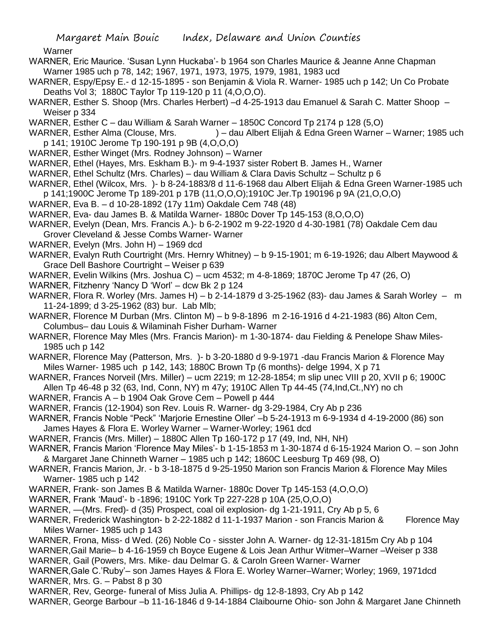**Warner** 

- WARNER, Eric Maurice. 'Susan Lynn Huckaba'- b 1964 son Charles Maurice & Jeanne Anne Chapman Warner 1985 uch p 78, 142; 1967, 1971, 1973, 1975, 1979, 1981, 1983 ucd
- WARNER, Espy/Epsy E.- d 12-15-1895 son Benjamin & Viola R. Warner- 1985 uch p 142; Un Co Probate Deaths Vol 3; 1880C Taylor Tp 119-120 p 11 (4,O,O,O).
- WARNER, Esther S. Shoop (Mrs. Charles Herbert) –d 4-25-1913 dau Emanuel & Sarah C. Matter Shoop Weiser p 334
- WARNER, Esther C dau William & Sarah Warner 1850C Concord Tp 2174 p 128 (5,O)
- WARNER, Esther Alma (Clouse, Mrs. ) dau Albert Elijah & Edna Green Warner Warner; 1985 uch p 141; 1910C Jerome Tp 190-191 p 9B (4,O,O,O)
- WARNER, Esther Winget (Mrs. Rodney Johnson) Warner
- WARNER, Ethel (Hayes, Mrs. Eskham B.)- m 9-4-1937 sister Robert B. James H., Warner
- WARNER, Ethel Schultz (Mrs. Charles) dau William & Clara Davis Schultz Schultz p 6
- WARNER, Ethel (Wilcox, Mrs. )- b 8-24-1883/8 d 11-6-1968 dau Albert Elijah & Edna Green Warner-1985 uch
- p 141;1900C Jerome Tp 189-201 p 17B (11,O,O,O);1910C Jer.Tp 190196 p 9A (21,O,O,O)
- WARNER, Eva B. d 10-28-1892 (17y 11m) Oakdale Cem 748 (48)
- WARNER, Eva- dau James B. & Matilda Warner- 1880c Dover Tp 145-153 (8,O,O,O)
- WARNER, Evelyn (Dean, Mrs. Francis A.)- b 6-2-1902 m 9-22-1920 d 4-30-1981 (78) Oakdale Cem dau Grover Cleveland & Jesse Combs Warner- Warner
- WARNER, Evelyn (Mrs. John H) 1969 dcd
- WARNER, Evalyn Ruth Courtright (Mrs. Hernry Whitney) b 9-15-1901; m 6-19-1926; dau Albert Maywood & Grace Dell Bashore Courtright – Weiser p 639
- WARNER, Evelin Wilkins (Mrs. Joshua C) ucm 4532; m 4-8-1869; 1870C Jerome Tp 47 (26, O)
- WARNER, Fitzhenry 'Nancy D 'Worl' dcw Bk 2 p 124
- WARNER, Flora R. Worley (Mrs. James H) b 2-14-1879 d 3-25-1962 (83)- dau James & Sarah Worley m 11-24-1899; d 3-25-1962 (83) bur. Lab Mlb;
- WARNER, Florence M Durban (Mrs. Clinton M) b 9-8-1896 m 2-16-1916 d 4-21-1983 (86) Alton Cem, Columbus– dau Louis & Wilaminah Fisher Durham- Warner
- WARNER, Florence May Mles (Mrs. Francis Marion)- m 1-30-1874- dau Fielding & Penelope Shaw Miles-1985 uch p 142
- WARNER, Florence May (Patterson, Mrs. )- b 3-20-1880 d 9-9-1971 -dau Francis Marion & Florence May Miles Warner- 1985 uch p 142, 143; 1880C Brown Tp (6 months)- delge 1994, X p 71
- WARNER, Frances Norveil (Mrs. Miller) ucm 2219; m 12-28-1854; m slip unec VIII p 20, XVII p 6; 1900C Allen Tp 46-48 p 32 (63, Ind, Conn, NY) m 47y; 1910C Allen Tp 44-45 (74,Ind,Ct.,NY) no ch
- WARNER, Francis A b 1904 Oak Grove Cem Powell p 444
- WARNER, Francis (12-1904) son Rev. Louis R. Warner- dg 3-29-1984, Cry Ab p 236
- WARNER, Francis Noble "Peck" 'Marjorie Ernestine Oller' –b 5-24-1913 m 6-9-1934 d 4-19-2000 (86) son James Hayes & Flora E. Worley Warner – Warner-Worley; 1961 dcd
- WARNER, Francis (Mrs. Miller) 1880C Allen Tp 160-172 p 17 (49, Ind, NH, NH)
- WARNER, Francis Marion 'Florence May Miles'- b 1-15-1853 m 1-30-1874 d 6-15-1924 Marion O. son John & Margaret Jane Chinneth Warner – 1985 uch p 142; 1860C Leesburg Tp 469 (98, O)
- WARNER, Francis Marion, Jr. b 3-18-1875 d 9-25-1950 Marion son Francis Marion & Florence May Miles Warner- 1985 uch p 142
- WARNER, Frank- son James B & Matilda Warner- 1880c Dover Tp 145-153 (4,O,O,O)
- WARNER, Frank 'Maud'- b -1896; 1910C York Tp 227-228 p 10A (25,O,O,O)
- WARNER, —(Mrs. Fred)- d (35) Prospect, coal oil explosion- dg 1-21-1911, Cry Ab p 5, 6
- WARNER, Frederick Washington- b 2-22-1882 d 11-1-1937 Marion son Francis Marion & Florence May Miles Warner- 1985 uch p 143
- WARNER, Frona, Miss- d Wed. (26) Noble Co sisster John A. Warner- dg 12-31-1815m Cry Ab p 104
- WARNER,Gail Marie– b 4-16-1959 ch Boyce Eugene & Lois Jean Arthur Witmer–Warner –Weiser p 338 WARNER, Gail (Powers, Mrs. Mike- dau Delmar G. & Caroln Green Warner- Warner
- WARNER,Gale C.'Ruby'– son James Hayes & Flora E. Worley Warner–Warner; Worley; 1969, 1971dcd WARNER, Mrs. G. – Pabst 8 p 30
- WARNER, Rev, George- funeral of Miss Julia A. Phillips- dg 12-8-1893, Cry Ab p 142
- WARNER, George Barbour –b 11-16-1846 d 9-14-1884 Claibourne Ohio- son John & Margaret Jane Chinneth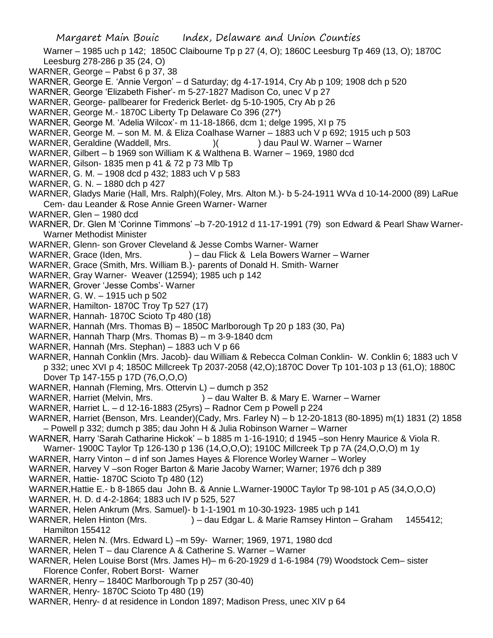Warner – 1985 uch p 142; 1850C Claibourne Tp p 27 (4, O); 1860C Leesburg Tp 469 (13, O); 1870C Leesburg 278-286 p 35 (24, O)

- WARNER, George Pabst 6 p 37, 38
- WARNER, George E. 'Annie Vergon' d Saturday; dg 4-17-1914, Cry Ab p 109; 1908 dch p 520
- WARNER, George 'Elizabeth Fisher'- m 5-27-1827 Madison Co, unec V p 27
- WARNER, George- pallbearer for Frederick Berlet- dg 5-10-1905, Cry Ab p 26
- WARNER, George M.- 1870C Liberty Tp Delaware Co 396 (27\*)
- WARNER, George M. 'Adelia Wilcox'- m 11-18-1866, dcm 1; delge 1995, XI p 75
- WARNER, George M. son M. M. & Eliza Coalhase Warner 1883 uch V p 692; 1915 uch p 503
- WARNER, Geraldine (Waddell, Mrs. ) ( ) dau Paul W. Warner Warner
- WARNER, Gilbert b 1969 son William K & Walthena B. Warner 1969, 1980 dcd
- WARNER, Gilson- 1835 men p 41 & 72 p 73 Mlb Tp
- WARNER, G. M. 1908 dcd p 432; 1883 uch V p 583
- WARNER, G. N. 1880 dch p 427
- WARNER, Gladys Marie (Hall, Mrs. Ralph)(Foley, Mrs. Alton M.)- b 5-24-1911 WVa d 10-14-2000 (89) LaRue Cem- dau Leander & Rose Annie Green Warner- Warner
- WARNER, Glen 1980 dcd
- WARNER, Dr. Glen M 'Corinne Timmons' –b 7-20-1912 d 11-17-1991 (79) son Edward & Pearl Shaw Warner-Warner Methodist Minister
- WARNER, Glenn- son Grover Cleveland & Jesse Combs Warner- Warner
- WARNER, Grace (Iden, Mrs. ) dau Flick & Lela Bowers Warner Warner
- WARNER, Grace (Smith, Mrs. William B.)- parents of Donald H. Smith- Warner
- WARNER, Gray Warner- Weaver (12594); 1985 uch p 142
- WARNER, Grover 'Jesse Combs'- Warner
- WARNER, G. W. 1915 uch p 502
- WARNER, Hamilton- 1870C Troy Tp 527 (17)
- WARNER, Hannah- 1870C Scioto Tp 480 (18)
- WARNER, Hannah (Mrs. Thomas B) 1850C Marlborough Tp 20 p 183 (30, Pa)
- WARNER, Hannah Tharp (Mrs. Thomas B) m 3-9-1840 dcm
- WARNER, Hannah (Mrs. Stephan) 1883 uch V p 66
- WARNER, Hannah Conklin (Mrs. Jacob)- dau William & Rebecca Colman Conklin- W. Conklin 6; 1883 uch V p 332; unec XVI p 4; 1850C Millcreek Tp 2037-2058 (42,O);1870C Dover Tp 101-103 p 13 (61,O); 1880C Dover Tp 147-155 p 17D (76,O,O,O)
- WARNER, Hannah (Fleming, Mrs. Ottervin L) dumch p 352
- WARNER, Harriet (Melvin, Mrs. ) dau Walter B. & Mary E. Warner Warner
- WARNER, Harriet L. d 12-16-1883 (25yrs) Radnor Cem p Powell p 224
- WARNER, Harriet (Benson, Mrs. Leander)(Cady, Mrs. Farley N) b 12-20-1813 (80-1895) m(1) 1831 (2) 1858 – Powell p 332; dumch p 385; dau John H & Julia Robinson Warner – Warner
- WARNER, Harry 'Sarah Catharine Hickok' b 1885 m 1-16-1910; d 1945 –son Henry Maurice & Viola R. Warner- 1900C Taylor Tp 126-130 p 136 (14,O,O,O); 1910C Millcreek Tp p 7A (24,O,O,O) m 1y
- WARNER, Harry Vinton d inf son James Hayes & Florence Worley Warner Worley
- WARNER, Harvey V –son Roger Barton & Marie Jacoby Warner; Warner; 1976 dch p 389
- WARNER, Hattie- 1870C Scioto Tp 480 (12)
- WARNER,Hattie E.- b 8-1865 dau John B. & Annie L.Warner-1900C Taylor Tp 98-101 p A5 (34,O,O,O)
- WARNER, H. D. d 4-2-1864; 1883 uch IV p 525, 527
- WARNER, Helen Ankrum (Mrs. Samuel)- b 1-1-1901 m 10-30-1923- 1985 uch p 141
- WARNER, Helen Hinton (Mrs. ) dau Edgar L. & Marie Ramsey Hinton Graham 1455412; Hamilton 155412
- WARNER, Helen N. (Mrs. Edward L) –m 59y- Warner; 1969, 1971, 1980 dcd
- WARNER, Helen T dau Clarence A & Catherine S. Warner Warner
- WARNER, Helen Louise Borst (Mrs. James H)– m 6-20-1929 d 1-6-1984 (79) Woodstock Cem– sister Florence Confer, Robert Borst- Warner
- WARNER, Henry 1840C Marlborough Tp p 257 (30-40)
- WARNER, Henry- 1870C Scioto Tp 480 (19)
- WARNER, Henry- d at residence in London 1897; Madison Press, unec XIV p 64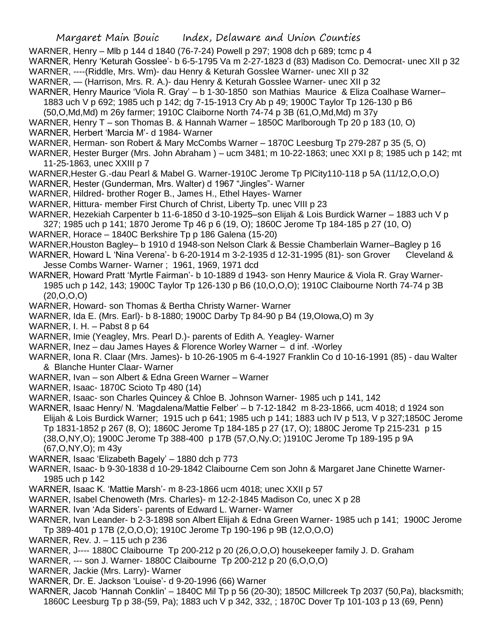- WARNER, Henry Mlb p 144 d 1840 (76-7-24) Powell p 297; 1908 dch p 689; tcmc p 4
- WARNER, Henry 'Keturah Gosslee'- b 6-5-1795 Va m 2-27-1823 d (83) Madison Co. Democrat- unec XII p 32 WARNER, ----(Riddle, Mrs. Wm)- dau Henry & Keturah Gosslee Warner- unec XII p 32
- WARNER, (Harrison, Mrs. R. A.)- dau Henry & Keturah Gosslee Warner- unec XII p 32
- WARNER, Henry Maurice 'Viola R. Gray' b 1-30-1850 son Mathias Maurice & Eliza Coalhase Warner– 1883 uch V p 692; 1985 uch p 142; dg 7-15-1913 Cry Ab p 49; 1900C Taylor Tp 126-130 p B6
	- (50,O,Md,Md) m 26y farmer; 1910C Claiborne North 74-74 p 3B (61,O,Md,Md) m 37y
- WARNER, Henry T son Thomas B. & Hannah Warner 1850C Marlborough Tp 20 p 183 (10, O)
- WARNER, Herbert 'Marcia M'- d 1984- Warner
- WARNER, Herman- son Robert & Mary McCombs Warner 1870C Leesburg Tp 279-287 p 35 (5, O)
- WARNER, Hester Burger (Mrs. John Abraham ) ucm 3481; m 10-22-1863; unec XXI p 8; 1985 uch p 142; mt 11-25-1863, unec XXIII p 7
- WARNER,Hester G.-dau Pearl & Mabel G. Warner-1910C Jerome Tp PlCity110-118 p 5A (11/12,O,O,O)
- WARNER, Hester (Gunderman, Mrs. Walter) d 1967 "Jingles"- Warner
- WARNER, Hildred- brother Roger B., James H., Ethel Hayes- Warner
- WARNER, Hittura- member First Church of Christ, Liberty Tp. unec VIII p 23
- WARNER, Hezekiah Carpenter b 11-6-1850 d 3-10-1925–son Elijah & Lois Burdick Warner 1883 uch V p 327; 1985 uch p 141; 1870 Jerome Tp 46 p 6 (19, O); 1860C Jerome Tp 184-185 p 27 (10, O)
- WARNER, Horace 1840C Berkshire Tp p 186 Galena (15-20)
- WARNER,Houston Bagley– b 1910 d 1948-son Nelson Clark & Bessie Chamberlain Warner–Bagley p 16
- WARNER, Howard L 'Nina Verena'- b 6-20-1914 m 3-2-1935 d 12-31-1995 (81)- son Grover Cleveland & Jesse Combs Warner- Warner ; 1961, 1969, 1971 dcd
- WARNER, Howard Pratt 'Myrtle Fairman'- b 10-1889 d 1943- son Henry Maurice & Viola R. Gray Warner-1985 uch p 142, 143; 1900C Taylor Tp 126-130 p B6 (10,O,O,O); 1910C Claibourne North 74-74 p 3B  $(20, 0, 0, 0)$
- WARNER, Howard- son Thomas & Bertha Christy Warner- Warner
- WARNER, Ida E. (Mrs. Earl)- b 8-1880; 1900C Darby Tp 84-90 p B4 (19,OIowa,O) m 3y
- WARNER, I. H. Pabst 8 p 64
- WARNER, Imie (Yeagley, Mrs. Pearl D.)- parents of Edith A. Yeagley- Warner
- WARNER, Inez dau James Hayes & Florence Worley Warner d inf. -Worley
- WARNER, Iona R. Claar (Mrs. James)- b 10-26-1905 m 6-4-1927 Franklin Co d 10-16-1991 (85) dau Walter & Blanche Hunter Claar- Warner
- WARNER, Ivan son Albert & Edna Green Warner Warner
- WARNER, Isaac- 1870C Scioto Tp 480 (14)
- WARNER, Isaac- son Charles Quincey & Chloe B. Johnson Warner- 1985 uch p 141, 142
- WARNER, Isaac Henry/ N. 'Magdalena/Mattie Felber' b 7-12-1842 m 8-23-1866, ucm 4018; d 1924 son Elijah & Lois Burdick Warner; 1915 uch p 641; 1985 uch p 141; 1883 uch IV p 513, V p 327;1850C Jerome Tp 1831-1852 p 267 (8, O); 1860C Jerome Tp 184-185 p 27 (17, O); 1880C Jerome Tp 215-231 p 15 (38,O,NY,O); 1900C Jerome Tp 388-400 p 17B (57,O,Ny.O; )1910C Jerome Tp 189-195 p 9A (67,O,NY,O); m 43y
- WARNER, Isaac 'Elizabeth Bagely' 1880 dch p 773
- WARNER, Isaac- b 9-30-1838 d 10-29-1842 Claibourne Cem son John & Margaret Jane Chinette Warner-1985 uch p 142
- WARNER, Isaac K. 'Mattie Marsh'- m 8-23-1866 ucm 4018; unec XXII p 57
- WARNER, Isabel Chenoweth (Mrs. Charles)- m 12-2-1845 Madison Co, unec X p 28
- WARNER. Ivan 'Ada Siders'- parents of Edward L. Warner- Warner
- WARNER, Ivan Leander- b 2-3-1898 son Albert Elijah & Edna Green Warner- 1985 uch p 141; 1900C Jerome Tp 389-401 p 17B (2,O,O,O); 1910C Jerome Tp 190-196 p 9B (12,O,O,O)
- WARNER, Rev. J. 115 uch p 236
- WARNER, J---- 1880C Claibourne Tp 200-212 p 20 (26,O,O,O) housekeeper family J. D. Graham
- WARNER, --- son J. Warner- 1880C Claibourne Tp 200-212 p 20 (6,O,O,O)
- WARNER, Jackie (Mrs. Larry)- Warner
- WARNER, Dr. E. Jackson 'Louise'- d 9-20-1996 (66) Warner
- WARNER, Jacob 'Hannah Conklin' 1840C Mil Tp p 56 (20-30); 1850C Millcreek Tp 2037 (50,Pa), blacksmith; 1860C Leesburg Tp p 38-(59, Pa); 1883 uch V p 342, 332, ; 1870C Dover Tp 101-103 p 13 (69, Penn)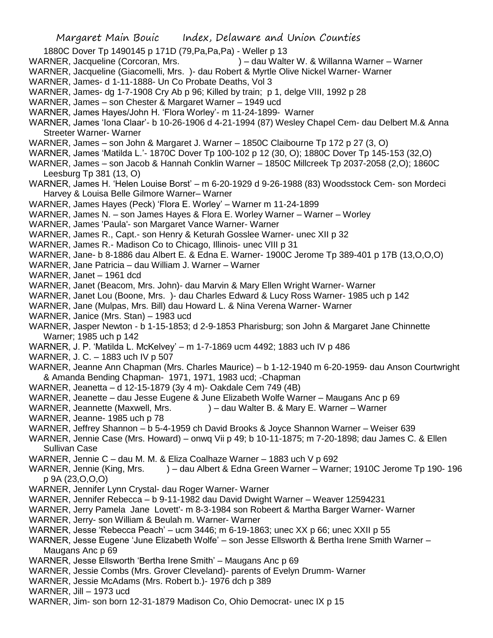1880C Dover Tp 1490145 p 171D (79,Pa,Pa,Pa) - Weller p 13

- WARNER, Jacqueline (Corcoran, Mrs.  $) -$  dau Walter W. & Willanna Warner Warner
- WARNER, Jacqueline (Giacomelli, Mrs. )- dau Robert & Myrtle Olive Nickel Warner- Warner
- WARNER, James- d 1-11-1888- Un Co Probate Deaths, Vol 3
- WARNER, James- dg 1-7-1908 Cry Ab p 96; Killed by train; p 1, delge VIII, 1992 p 28
- WARNER, James son Chester & Margaret Warner 1949 ucd
- WARNER, James Hayes/John H. 'Flora Worley'- m 11-24-1899- Warner
- WARNER, James 'Iona Claar'- b 10-26-1906 d 4-21-1994 (87) Wesley Chapel Cem- dau Delbert M.& Anna Streeter Warner- Warner
- WARNER, James son John & Margaret J. Warner 1850C Claibourne Tp 172 p 27 (3, O)
- WARNER, James 'Matilda L.'- 1870C Dover Tp 100-102 p 12 (30, O); 1880C Dover Tp 145-153 (32,O)
- WARNER, James son Jacob & Hannah Conklin Warner 1850C Millcreek Tp 2037-2058 (2,O); 1860C Leesburg Tp 381 (13, O)
- WARNER, James H. 'Helen Louise Borst' m 6-20-1929 d 9-26-1988 (83) Woodsstock Cem- son Mordeci Harvey & Louisa Belle Gilmore Warner– Warner
- WARNER, James Hayes (Peck) 'Flora E. Worley' Warner m 11-24-1899
- WARNER, James N. son James Hayes & Flora E. Worley Warner Warner Worley
- WARNER, James 'Paula'- son Margaret Vance Warner- Warner
- WARNER, James R., Capt.- son Henry & Keturah Gosslee Warner- unec XII p 32
- WARNER, James R.- Madison Co to Chicago, Illinois- unec VIII p 31
- WARNER, Jane- b 8-1886 dau Albert E. & Edna E. Warner- 1900C Jerome Tp 389-401 p 17B (13,O,O,O)
- WARNER, Jane Patricia dau William J. Warner Warner
- WARNER, Janet 1961 dcd
- WARNER, Janet (Beacom, Mrs. John)- dau Marvin & Mary Ellen Wright Warner- Warner
- WARNER, Janet Lou (Boone, Mrs. )- dau Charles Edward & Lucy Ross Warner- 1985 uch p 142
- WARNER, Jane (Mulpas, Mrs. Bill) dau Howard L. & Nina Verena Warner- Warner
- WARNER, Janice (Mrs. Stan) 1983 ucd
- WARNER, Jasper Newton b 1-15-1853; d 2-9-1853 Pharisburg; son John & Margaret Jane Chinnette Warner; 1985 uch p 142
- WARNER, J. P. 'Matilda L. McKelvey' m 1-7-1869 ucm 4492; 1883 uch IV p 486
- WARNER, J. C. 1883 uch IV p 507
- WARNER, Jeanne Ann Chapman (Mrs. Charles Maurice) b 1-12-1940 m 6-20-1959- dau Anson Courtwright & Amanda Bending Chapman- 1971, 1971, 1983 ucd; -Chapman
- WARNER, Jeanetta d 12-15-1879 (3y 4 m)- Oakdale Cem 749 (4B)
- WARNER, Jeanette dau Jesse Eugene & June Elizabeth Wolfe Warner Maugans Anc p 69
- WARNER, Jeannette (Maxwell, Mrs. ) dau Walter B. & Mary E. Warner Warner
- WARNER, Jeanne- 1985 uch p 78
- WARNER, Jeffrey Shannon b 5-4-1959 ch David Brooks & Joyce Shannon Warner Weiser 639
- WARNER, Jennie Case (Mrs. Howard) onwq Vii p 49; b 10-11-1875; m 7-20-1898; dau James C. & Ellen Sullivan Case
- WARNER, Jennie C dau M. M. & Eliza Coalhaze Warner 1883 uch V p 692
- WARNER, Jennie (King, Mrs. ) dau Albert & Edna Green Warner Warner; 1910C Jerome Tp 190-196 p 9A (23,O,O,O)
- WARNER, Jennifer Lynn Crystal- dau Roger Warner- Warner
- WARNER, Jennifer Rebecca b 9-11-1982 dau David Dwight Warner Weaver 12594231
- WARNER, Jerry Pamela Jane Lovett'- m 8-3-1984 son Robeert & Martha Barger Warner- Warner
- WARNER, Jerry- son William & Beulah m. Warner- Warner
- WARNER, Jesse 'Rebecca Peach' ucm 3446; m 6-19-1863; unec XX p 66; unec XXII p 55
- WARNER, Jesse Eugene 'June Elizabeth Wolfe' son Jesse Ellsworth & Bertha Irene Smith Warner Maugans Anc p 69
- WARNER, Jesse Ellsworth 'Bertha Irene Smith' Maugans Anc p 69
- WARNER, Jessie Combs (Mrs. Grover Cleveland)- parents of Evelyn Drumm- Warner
- WARNER, Jessie McAdams (Mrs. Robert b.)- 1976 dch p 389
- WARNER, Jill 1973 ucd
- WARNER, Jim- son born 12-31-1879 Madison Co, Ohio Democrat- unec IX p 15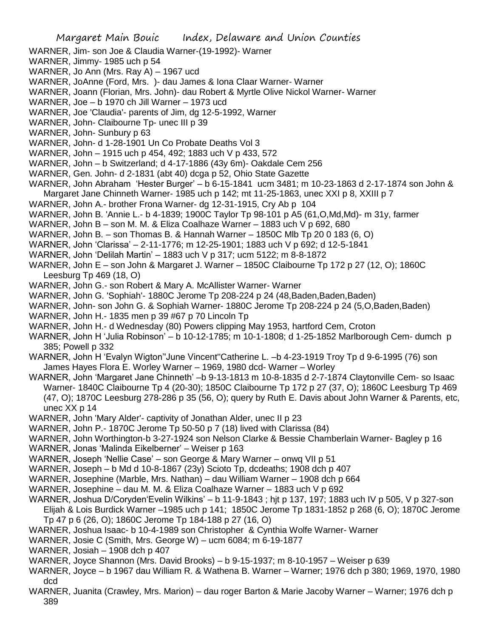- WARNER, Jim- son Joe & Claudia Warner-(19-1992)- Warner
- WARNER, Jimmy- 1985 uch p 54
- WARNER, Jo Ann (Mrs. Ray A) 1967 ucd
- WARNER, JoAnne (Ford, Mrs. )- dau James & Iona Claar Warner- Warner
- WARNER, Joann (Florian, Mrs. John)- dau Robert & Myrtle Olive Nickol Warner- Warner
- WARNER, Joe b 1970 ch Jill Warner 1973 ucd
- WARNER, Joe 'Claudia'- parents of Jim, dg 12-5-1992, Warner
- WARNER, John- Claibourne Tp- unec III p 39
- WARNER, John- Sunbury p 63
- WARNER, John- d 1-28-1901 Un Co Probate Deaths Vol 3
- WARNER, John 1915 uch p 454, 492; 1883 uch V p 433, 572
- WARNER, John b Switzerland; d 4-17-1886 (43y 6m)- Oakdale Cem 256
- WARNER, Gen. John- d 2-1831 (abt 40) dcga p 52, Ohio State Gazette
- WARNER, John Abraham 'Hester Burger' b 6-15-1841 ucm 3481; m 10-23-1863 d 2-17-1874 son John & Margaret Jane Chinneth Warner- 1985 uch p 142; mt 11-25-1863, unec XXI p 8, XXIII p 7
- WARNER, John A.- brother Frona Warner- dg 12-31-1915, Cry Ab p 104
- WARNER, John B. 'Annie L.- b 4-1839; 1900C Taylor Tp 98-101 p A5 (61,O,Md,Md)- m 31y, farmer
- WARNER, John B son M. M. & Eliza Coalhaze Warner 1883 uch V p 692, 680
- WARNER, John B. son Thomas B. & Hannah Warner 1850C Mlb Tp 20 0 183 (6, O)
- WARNER, John 'Clarissa' 2-11-1776; m 12-25-1901; 1883 uch V p 692; d 12-5-1841
- WARNER, John 'Delilah Martin' 1883 uch V p 317; ucm 5122; m 8-8-1872
- WARNER, John E son John & Margaret J. Warner 1850C Claibourne Tp 172 p 27 (12, O); 1860C Leesburg Tp 469 (18, O)
- WARNER, John G.- son Robert & Mary A. McAllister Warner- Warner
- WARNER, John G. 'Sophiah'- 1880C Jerome Tp 208-224 p 24 (48,Baden,Baden,Baden)
- WARNER, John- son John G. & Sophiah Warner- 1880C Jerome Tp 208-224 p 24 (5,O,Baden,Baden)
- WARNER, John H.- 1835 men p 39 #67 p 70 Lincoln Tp
- WARNER, John H.- d Wednesday (80) Powers clipping May 1953, hartford Cem, Croton
- WARNER, John H 'Julia Robinson' b 10-12-1785; m 10-1-1808; d 1-25-1852 Marlborough Cem- dumch p 385; Powell p 332
- WARNER, John H 'Evalyn Wigton''June Vincent''Catherine L. –b 4-23-1919 Troy Tp d 9-6-1995 (76) son James Hayes Flora E. Worley Warner – 1969, 1980 dcd- Warner – Worley
- WARNER, John 'Margaret Jane Chinneth' –b 9-13-1813 m 10-8-1835 d 2-7-1874 Claytonville Cem- so Isaac Warner- 1840C Claibourne Tp 4 (20-30); 1850C Claibourne Tp 172 p 27 (37, O); 1860C Leesburg Tp 469 (47, O); 1870C Leesburg 278-286 p 35 (56, O); query by Ruth E. Davis about John Warner & Parents, etc, unec XX p 14
- WARNER, John 'Mary Alder'- captivity of Jonathan Alder, unec II p 23
- WARNER, John P.- 1870C Jerome Tp 50-50 p 7 (18) lived with Clarissa (84)
- WARNER, John Worthington-b 3-27-1924 son Nelson Clarke & Bessie Chamberlain Warner- Bagley p 16
- WARNER, Jonas 'Malinda Eikelberner' Weiser p 163
- WARNER, Joseph 'Nellie Case' son George & Mary Warner onwq VII p 51
- WARNER, Joseph b Md d 10-8-1867 (23y) Scioto Tp, dcdeaths; 1908 dch p 407
- WARNER, Josephine (Marble, Mrs. Nathan) dau William Warner 1908 dch p 664
- WARNER, Josephine dau M. M. & Eliza Coalhaze Warner 1883 uch V p 692
- WARNER, Joshua D/Coryden'Evelin Wilkins' b 11-9-1843 ; hjt p 137, 197; 1883 uch IV p 505, V p 327-son
- Elijah & Lois Burdick Warner –1985 uch p 141; 1850C Jerome Tp 1831-1852 p 268 (6, O); 1870C Jerome Tp 47 p 6 (26, O); 1860C Jerome Tp 184-188 p 27 (16, O)
- WARNER, Joshua Isaac- b 10-4-1989 son Christopher & Cynthia Wolfe Warner- Warner
- WARNER, Josie C (Smith, Mrs. George W) ucm 6084; m 6-19-1877
- WARNER, Josiah 1908 dch p 407
- WARNER, Joyce Shannon (Mrs. David Brooks) b 9-15-1937; m 8-10-1957 Weiser p 639
- WARNER, Joyce b 1967 dau William R. & Wathena B. Warner Warner; 1976 dch p 380; 1969, 1970, 1980 dcd
- WARNER, Juanita (Crawley, Mrs. Marion) dau roger Barton & Marie Jacoby Warner Warner; 1976 dch p 389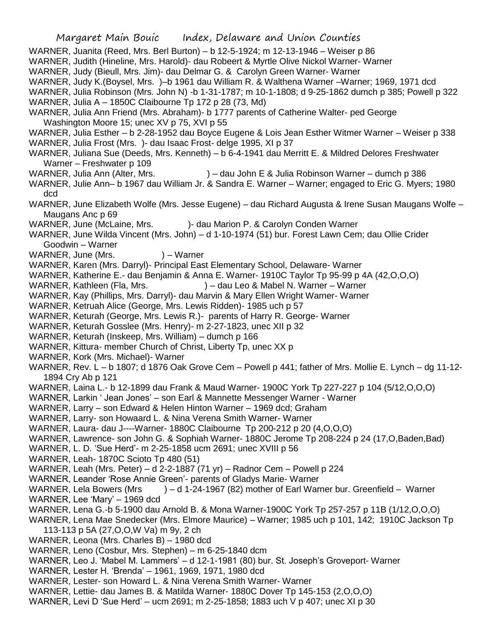- WARNER, Juanita (Reed, Mrs. Berl Burton) b 12-5-1924; m 12-13-1946 Weiser p 86
- WARNER, Judith (Hineline, Mrs. Harold)- dau Robeert & Myrtle Olive Nickol Warner- Warner
- WARNER, Judy (Bieull, Mrs. Jim)- dau Delmar G. & Carolyn Green Warner- Warner
- WARNER, Judy K.(Boysel, Mrs. )–b 1961 dau William R. & Walthena Warner –Warner; 1969, 1971 dcd
- WARNER, Julia Robinson (Mrs. John N) -b 1-31-1787; m 10-1-1808; d 9-25-1862 dumch p 385; Powell p 322
- WARNER, Julia A 1850C Claibourne Tp 172 p 28 (73, Md)
- WARNER, Julia Ann Friend (Mrs. Abraham)- b 1777 parents of Catherine Walter- ped George Washington Moore 15; unec XV p 75, XVI p 55
- WARNER, Julia Esther b 2-28-1952 dau Boyce Eugene & Lois Jean Esther Witmer Warner Weiser p 338
- WARNER, Julia Frost (Mrs. )- dau Isaac Frost- delge 1995, XI p 37
- WARNER, Juliana Sue (Deeds, Mrs. Kenneth) b 6-4-1941 dau Merritt E. & Mildred Delores Freshwater Warner – Freshwater p 109
- WARNER, Julia Ann (Alter, Mrs. ) dau John E & Julia Robinson Warner dumch p 386
- WARNER, Julie Ann– b 1967 dau William Jr. & Sandra E. Warner Warner; engaged to Eric G. Myers; 1980 dcd
- WARNER, June Elizabeth Wolfe (Mrs. Jesse Eugene) dau Richard Augusta & Irene Susan Maugans Wolfe Maugans Anc p 69
- WARNER, June (McLaine, Mrs. )- dau Marion P. & Carolyn Conden Warner
- WARNER, June Wilda Vincent (Mrs. John) d 1-10-1974 (51) bur. Forest Lawn Cem; dau Ollie Crider Goodwin – Warner
- WARNER, June (Mrs.  $) -$  Warner
- WARNER, Karen (Mrs. Darryl)- Principal East Elementary School, Delaware- Warner
- WARNER, Katherine E.- dau Benjamin & Anna E. Warner- 1910C Taylor Tp 95-99 p 4A (42,O,O,O)
- WARNER, Kathleen (Fla, Mrs. ) dau Leo & Mabel N. Warner Warner
- WARNER, Kay (Phillips, Mrs. Darryl)- dau Marvin & Mary Ellen Wright Warner- Warner
- WARNER, Ketruah Alice (George, Mrs. Lewis Ridden)- 1985 uch p 57
- WARNER, Keturah (George, Mrs. Lewis R.)- parents of Harry R. George- Warner
- WARNER, Keturah Gosslee (Mrs. Henry)- m 2-27-1823, unec XII p 32
- WARNER, Keturah (Inskeep, Mrs. William) dumch p 166
- WARNER, Kittura- member Church of Christ, Liberty Tp, unec XX p
- WARNER, Kork (Mrs. Michael)- Warner
- WARNER, Rev. L b 1807; d 1876 Oak Grove Cem Powell p 441; father of Mrs. Mollie E. Lynch dg 11-12- 1894 Cry Ab p 121
- WARNER, Laina L.- b 12-1899 dau Frank & Maud Warner- 1900C York Tp 227-227 p 104 (5/12,O,O,O)
- WARNER, Larkin ' Jean Jones' son Earl & Mannette Messenger Warner Warner
- WARNER, Larry son Edward & Helen Hinton Warner 1969 dcd; Graham
- WARNER, Larry- son Howaard L. & Nina Verena Smith Warner- Warner
- WARNER, Laura- dau J----Warner- 1880C Claibourne Tp 200-212 p 20 (4,O,O,O)
- WARNER, Lawrence- son John G. & Sophiah Warner- 1880C Jerome Tp 208-224 p 24 (17,O,Baden,Bad)
- WARNER, L. D. 'Sue Herd'- m 2-25-1858 ucm 2691; unec XVIII p 56
- WARNER, Leah- 1870C Scioto Tp 480 (51)
- WARNER, Leah (Mrs. Peter) d 2-2-1887 (71 yr) Radnor Cem Powell p 224
- WARNER, Leander 'Rose Annie Green'- parents of Gladys Marie- Warner
- WARNER, Lela Bowers (Mrs ) d 1-24-1967 (82) mother of Earl Warner bur. Greenfield Warner
- WARNER, Lee 'Mary' 1969 dcd
- WARNER, Lena G.-b 5-1900 dau Arnold B. & Mona Warner-1900C York Tp 257-257 p 11B (1/12,O,O,O)
- WARNER, Lena Mae Snedecker (Mrs. Elmore Maurice) Warner; 1985 uch p 101, 142; 1910C Jackson Tp 113-113 p 5A (27,O,O,W Va) m 9y, 2 ch
- WARNER, Leona (Mrs. Charles B) 1980 dcd
- WARNER, Leno (Cosbur, Mrs. Stephen) m 6-25-1840 dcm
- WARNER, Leo J. 'Mabel M. Lammers' d 12-1-1981 (80) bur. St. Joseph's Groveport- Warner
- WARNER, Lester H. 'Brenda' 1961, 1969, 1971, 1980 dcd
- WARNER, Lester- son Howard L. & Nina Verena Smith Warner- Warner
- WARNER, Lettie- dau James B. & Matilda Warner- 1880C Dover Tp 145-153 (2,O,O,O)
- WARNER, Levi D 'Sue Herd' ucm 2691; m 2-25-1858; 1883 uch V p 407; unec XI p 30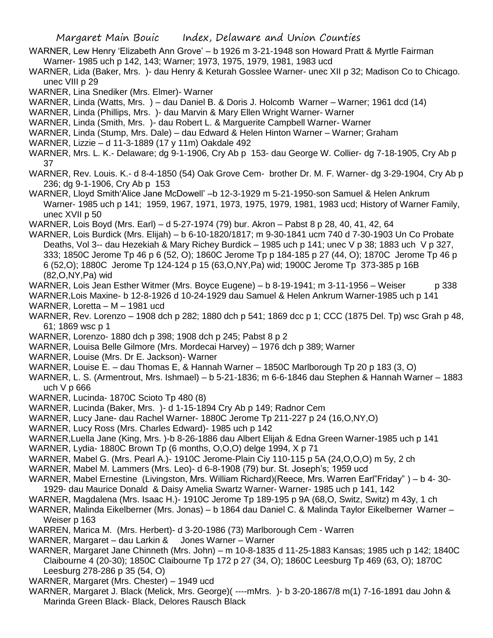- WARNER, Lew Henry 'Elizabeth Ann Grove' b 1926 m 3-21-1948 son Howard Pratt & Myrtle Fairman Warner- 1985 uch p 142, 143; Warner; 1973, 1975, 1979, 1981, 1983 ucd
- WARNER, Lida (Baker, Mrs. )- dau Henry & Keturah Gosslee Warner- unec XII p 32; Madison Co to Chicago. unec VIII p 29
- WARNER, Lina Snediker (Mrs. Elmer)- Warner
- WARNER, Linda (Watts, Mrs. ) dau Daniel B. & Doris J. Holcomb Warner Warner; 1961 dcd (14)
- WARNER, Linda (Phillips, Mrs. )- dau Marvin & Mary Ellen Wright Warner- Warner
- WARNER, Linda (Smith, Mrs. )- dau Robert L. & Marguerite Campbell Warner- Warner
- WARNER, Linda (Stump, Mrs. Dale) dau Edward & Helen Hinton Warner Warner; Graham
- WARNER, Lizzie d 11-3-1889 (17 y 11m) Oakdale 492
- WARNER, Mrs. L. K.- Delaware; dg 9-1-1906, Cry Ab p 153- dau George W. Collier- dg 7-18-1905, Cry Ab p 37
- WARNER, Rev. Louis. K.- d 8-4-1850 (54) Oak Grove Cem- brother Dr. M. F. Warner- dg 3-29-1904, Cry Ab p 236; dg 9-1-1906, Cry Ab p 153
- WARNER, Lloyd Smith'Alice Jane McDowell' -b 12-3-1929 m 5-21-1950-son Samuel & Helen Ankrum Warner- 1985 uch p 141; 1959, 1967, 1971, 1973, 1975, 1979, 1981, 1983 ucd; History of Warner Family, unec XVII p 50
- WARNER, Lois Boyd (Mrs. Earl) d 5-27-1974 (79) bur. Akron Pabst 8 p 28, 40, 41, 42, 64
- WARNER, Lois Burdick (Mrs. Elijah) b 6-10-1820/1817; m 9-30-1841 ucm 740 d 7-30-1903 Un Co Probate Deaths, Vol 3-- dau Hezekiah & Mary Richey Burdick – 1985 uch p 141; unec V p 38; 1883 uch V p 327, 333; 1850C Jerome Tp 46 p 6 (52, O); 1860C Jerome Tp p 184-185 p 27 (44, O); 1870C Jerome Tp 46 p 6 (52,O); 1880C Jerome Tp 124-124 p 15 (63,O,NY,Pa) wid; 1900C Jerome Tp 373-385 p 16B (82,O,NY,Pa) wid
- WARNER, Lois Jean Esther Witmer (Mrs. Boyce Eugene) b 8-19-1941; m 3-11-1956 Weiser p 338
- WARNER,Lois Maxine- b 12-8-1926 d 10-24-1929 dau Samuel & Helen Ankrum Warner-1985 uch p 141 WARNER, Loretta – M – 1981 ucd
- WARNER, Rev. Lorenzo 1908 dch p 282; 1880 dch p 541; 1869 dcc p 1; CCC (1875 Del. Tp) wsc Grah p 48, 61; 1869 wsc p 1
- WARNER, Lorenzo- 1880 dch p 398; 1908 dch p 245; Pabst 8 p 2
- WARNER, Louisa Belle Gilmore (Mrs. Mordecai Harvey) 1976 dch p 389; Warner
- WARNER, Louise (Mrs. Dr E. Jackson)- Warner
- WARNER, Louise E. dau Thomas E, & Hannah Warner 1850C Marlborough Tp 20 p 183 (3, O)
- WARNER, L. S. (Armentrout, Mrs. Ishmael) b 5-21-1836; m 6-6-1846 dau Stephen & Hannah Warner 1883 uch V p 666
- WARNER, Lucinda- 1870C Scioto Tp 480 (8)
- WARNER, Lucinda (Baker, Mrs. )- d 1-15-1894 Cry Ab p 149; Radnor Cem
- WARNER, Lucy Jane- dau Rachel Warner- 1880C Jerome Tp 211-227 p 24 (16,O,NY,O)
- WARNER, Lucy Ross (Mrs. Charles Edward)- 1985 uch p 142
- WARNER,Luella Jane (King, Mrs. )-b 8-26-1886 dau Albert Elijah & Edna Green Warner-1985 uch p 141
- WARNER, Lydia- 1880C Brown Tp (6 months, O,O,O) delge 1994, X p 71
- WARNER, Mabel G. (Mrs. Pearl A.)- 1910C Jerome-Plain Ciy 110-115 p 5A (24,O,O,O) m 5y, 2 ch
- WARNER, Mabel M. Lammers (Mrs. Leo)- d 6-8-1908 (79) bur. St. Joseph's; 1959 ucd
- WARNER, Mabel Ernestine (Livingston, Mrs. William Richard)(Reece, Mrs. Warren Earl"Friday" ) b 4- 30-
- 1929- dau Maurice Donald & Daisy Amelia Swartz Warner- Warner- 1985 uch p 141, 142
- WARNER, Magdalena (Mrs. Isaac H.)- 1910C Jerome Tp 189-195 p 9A (68,O, Switz, Switz) m 43y, 1 ch
- WARNER, Malinda Eikelberner (Mrs. Jonas) b 1864 dau Daniel C. & Malinda Taylor Eikelberner Warner Weiser p 163
- WARREN, Marica M. (Mrs. Herbert)- d 3-20-1986 (73) Marlborough Cem Warren
- WARNER, Margaret dau Larkin & Jones Warner Warner
- WARNER, Margaret Jane Chinneth (Mrs. John) m 10-8-1835 d 11-25-1883 Kansas; 1985 uch p 142; 1840C Claibourne 4 (20-30); 1850C Claibourne Tp 172 p 27 (34, O); 1860C Leesburg Tp 469 (63, O); 1870C Leesburg 278-286 p 35 (54, O)
- WARNER, Margaret (Mrs. Chester) 1949 ucd
- WARNER, Margaret J. Black (Melick, Mrs. George)( ----mMrs. )- b 3-20-1867/8 m(1) 7-16-1891 dau John & Marinda Green Black- Black, Delores Rausch Black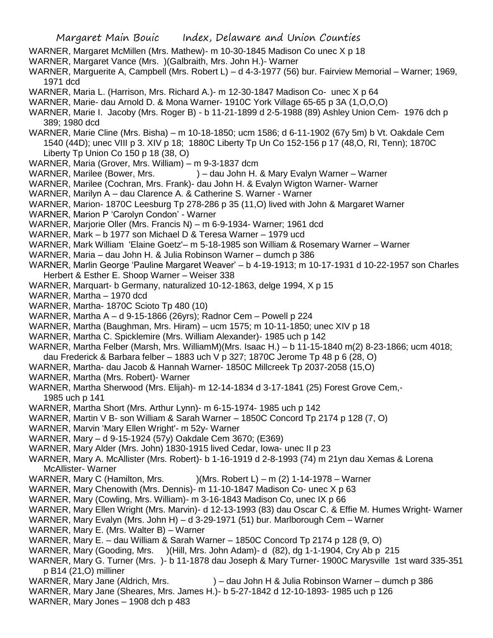- WARNER, Margaret McMillen (Mrs. Mathew)- m 10-30-1845 Madison Co unec X p 18
- WARNER, Margaret Vance (Mrs. )(Galbraith, Mrs. John H.)- Warner
- WARNER, Marguerite A, Campbell (Mrs. Robert L) d 4-3-1977 (56) bur. Fairview Memorial Warner; 1969, 1971 dcd
- WARNER, Maria L. (Harrison, Mrs. Richard A.)- m 12-30-1847 Madison Co- unec X p 64
- WARNER, Marie- dau Arnold D. & Mona Warner- 1910C York Village 65-65 p 3A (1,O,O,O)
- WARNER, Marie I. Jacoby (Mrs. Roger B) b 11-21-1899 d 2-5-1988 (89) Ashley Union Cem- 1976 dch p 389; 1980 dcd
- WARNER, Marie Cline (Mrs. Bisha) m 10-18-1850; ucm 1586; d 6-11-1902 (67y 5m) b Vt. Oakdale Cem 1540 (44D); unec VIII p 3. XIV p 18; 1880C Liberty Tp Un Co 152-156 p 17 (48,O, RI, Tenn); 1870C Liberty Tp Union Co 150 p 18 (38, O)
- WARNER, Maria (Grover, Mrs. William) m 9-3-1837 dcm
- WARNER, Marilee (Bower, Mrs. ) dau John H. & Mary Evalyn Warner Warner
- WARNER, Marilee (Cochran, Mrs. Frank)- dau John H. & Evalyn Wigton Warner- Warner
- WARNER, Marilyn A dau Clarence A. & Catherine S. Warner Warner
- WARNER, Marion- 1870C Leesburg Tp 278-286 p 35 (11,O) lived with John & Margaret Warner
- WARNER, Marion P 'Carolyn Condon' Warner
- WARNER, Marjorie Oller (Mrs. Francis N) m 6-9-1934- Warner; 1961 dcd
- WARNER, Mark b 1977 son Michael D & Teresa Warner 1979 ucd
- WARNER, Mark William 'Elaine Goetz'– m 5-18-1985 son William & Rosemary Warner Warner
- WARNER, Maria dau John H. & Julia Robinson Warner dumch p 386
- WARNER, Marlin George 'Pauline Margaret Weaver' b 4-19-1913; m 10-17-1931 d 10-22-1957 son Charles Herbert & Esther E. Shoop Warner – Weiser 338
- WARNER, Marquart- b Germany, naturalized 10-12-1863, delge 1994, X p 15
- WARNER, Martha 1970 dcd
- WARNER, Martha- 1870C Scioto Tp 480 (10)
- WARNER, Martha A d 9-15-1866 (26yrs); Radnor Cem Powell p 224
- WARNER, Martha (Baughman, Mrs. Hiram) ucm 1575; m 10-11-1850; unec XIV p 18
- WARNER, Martha C. Spicklemire (Mrs. William Alexander)- 1985 uch p 142
- WARNER, Martha Felber (Marsh, Mrs. WilliamM)(Mrs. Isaac H.) b 11-15-1840 m(2) 8-23-1866; ucm 4018;
- dau Frederick & Barbara felber 1883 uch V p 327; 1870C Jerome Tp 48 p 6 (28, O)
- WARNER, Martha- dau Jacob & Hannah Warner- 1850C Millcreek Tp 2037-2058 (15,O)
- WARNER, Martha (Mrs. Robert)- Warner
- WARNER, Martha Sherwood (Mrs. Elijah)- m 12-14-1834 d 3-17-1841 (25) Forest Grove Cem,- 1985 uch p 141
- WARNER, Martha Short (Mrs. Arthur Lynn)- m 6-15-1974- 1985 uch p 142
- WARNER, Martin V B- son William & Sarah Warner 1850C Concord Tp 2174 p 128 (7, O)
- WARNER, Marvin 'Mary Ellen Wright'- m 52y- Warner
- WARNER, Mary d 9-15-1924 (57y) Oakdale Cem 3670; (E369)
- WARNER, Mary Alder (Mrs. John) 1830-1915 lived Cedar, Iowa- unec II p 23
- WARNER, Mary A. McAllister (Mrs. Robert)- b 1-16-1919 d 2-8-1993 (74) m 21yn dau Xemas & Lorena McAllister- Warner
- WARNER, Mary C (Hamilton, Mrs. )(Mrs. Robert L) m (2) 1-14-1978 Warner
- WARNER, Mary Chenowith (Mrs. Dennis)- m 11-10-1847 Madison Co- unec X p 63
- WARNER, Mary (Cowling, Mrs. William)- m 3-16-1843 Madison Co, unec IX p 66
- WARNER, Mary Ellen Wright (Mrs. Marvin)- d 12-13-1993 (83) dau Oscar C. & Effie M. Humes Wright- Warner
- WARNER, Mary Evalyn (Mrs. John H) d 3-29-1971 (51) bur. Marlborough Cem Warner
- WARNER, Mary E. (Mrs. Walter B) Warner
- WARNER, Mary E. dau William & Sarah Warner 1850C Concord Tp 2174 p 128 (9, O)
- WARNER, Mary (Gooding, Mrs. )(Hill, Mrs. John Adam)- d (82), dg 1-1-1904, Cry Ab p 215
- WARNER, Mary G. Turner (Mrs. )- b 11-1878 dau Joseph & Mary Turner- 1900C Marysville 1st ward 335-351 p B14 (21,O) milliner
- WARNER, Mary Jane (Aldrich, Mrs. ) dau John H & Julia Robinson Warner dumch p 386
- WARNER, Mary Jane (Sheares, Mrs. James H.)- b 5-27-1842 d 12-10-1893- 1985 uch p 126
- WARNER, Mary Jones 1908 dch p 483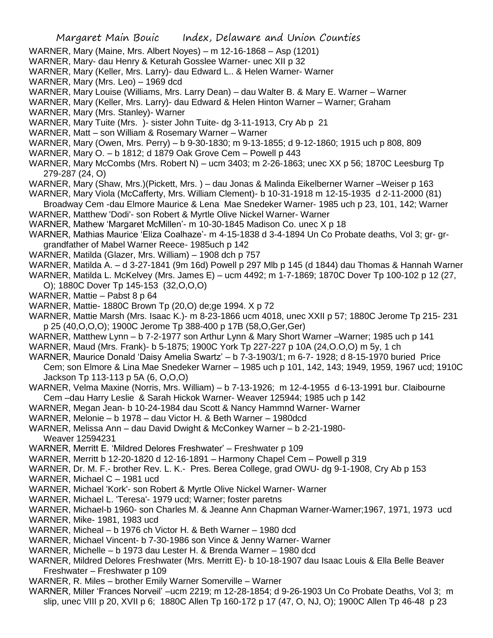- WARNER, Mary (Maine, Mrs. Albert Noyes) m 12-16-1868 Asp (1201)
- WARNER, Mary- dau Henry & Keturah Gosslee Warner- unec XII p 32
- WARNER, Mary (Keller, Mrs. Larry)- dau Edward L.. & Helen Warner- Warner
- WARNER, Mary (Mrs. Leo) 1969 dcd
- WARNER, Mary Louise (Williams, Mrs. Larry Dean) dau Walter B. & Mary E. Warner Warner
- WARNER, Mary (Keller, Mrs. Larry)- dau Edward & Helen Hinton Warner Warner; Graham
- WARNER, Mary (Mrs. Stanley)- Warner
- WARNER, Mary Tuite (Mrs. )- sister John Tuite- dg 3-11-1913, Cry Ab p 21
- WARNER, Matt son William & Rosemary Warner Warner
- WARNER, Mary (Owen, Mrs. Perry) b 9-30-1830; m 9-13-1855; d 9-12-1860; 1915 uch p 808, 809
- WARNER, Mary O. b 1812; d 1879 Oak Grove Cem Powell p 443
- WARNER, Mary McCombs (Mrs. Robert N) ucm 3403; m 2-26-1863; unec XX p 56; 1870C Leesburg Tp 279-287 (24, O)
- WARNER, Mary (Shaw, Mrs.)(Pickett, Mrs. ) dau Jonas & Malinda Eikelberner Warner –Weiser p 163
- WARNER, Mary Viola (McCafferty, Mrs. William Clement)- b 10-31-1918 m 12-15-1935 d 2-11-2000 (81)
- Broadway Cem -dau Elmore Maurice & Lena Mae Snedeker Warner- 1985 uch p 23, 101, 142; Warner WARNER, Matthew 'Dodi'- son Robert & Myrtle Olive Nickel Warner- Warner
- WARNER, Mathew 'Margaret McMillen'- m 10-30-1845 Madison Co. unec X p 18
- WARNER, Mathias Maurice 'Eliza Coalhaze'- m 4-15-1838 d 3-4-1894 Un Co Probate deaths, Vol 3; gr- grgrandfather of Mabel Warner Reece- 1985uch p 142
- WARNER, Matilda (Glazer, Mrs. William) 1908 dch p 757
- WARNER, Matilda A. d 3-27-1841 (9m 16d) Powell p 297 Mlb p 145 (d 1844) dau Thomas & Hannah Warner
- WARNER, Matilda L. McKelvey (Mrs. James E) ucm 4492; m 1-7-1869; 1870C Dover Tp 100-102 p 12 (27, O); 1880C Dover Tp 145-153 (32,O,O,O)
- 
- WARNER, Mattie Pabst 8 p 64
- WARNER, Mattie- 1880C Brown Tp (20,O) de;ge 1994. X p 72
- WARNER, Mattie Marsh (Mrs. Isaac K.)- m 8-23-1866 ucm 4018, unec XXII p 57; 1880C Jerome Tp 215- 231 p 25 (40,O,O,O); 1900C Jerome Tp 388-400 p 17B (58,O,Ger,Ger)
- WARNER, Matthew Lynn b 7-2-1977 son Arthur Lynn & Mary Short Warner –Warner; 1985 uch p 141
- WARNER, Maud (Mrs. Frank)- b 5-1875; 1900C York Tp 227-227 p 10A (24,O.O,O) m 5y, 1 ch
- WARNER, Maurice Donald 'Daisy Amelia Swartz' b 7-3-1903/1; m 6-7- 1928; d 8-15-1970 buried Price Cem; son Elmore & Lina Mae Snedeker Warner – 1985 uch p 101, 142, 143; 1949, 1959, 1967 ucd; 1910C Jackson Tp 113-113 p 5A (6, O,O,O)
- WARNER, Velma Maxine (Norris, Mrs. William) b 7-13-1926; m 12-4-1955 d 6-13-1991 bur. Claibourne Cem –dau Harry Leslie & Sarah Hickok Warner- Weaver 125944; 1985 uch p 142
- WARNER, Megan Jean- b 10-24-1984 dau Scott & Nancy Hammnd Warner- Warner
- WARNER, Melonie b 1978 dau Victor H. & Beth Warner 1980dcd
- WARNER, Melissa Ann dau David Dwight & McConkey Warner b 2-21-1980- Weaver 12594231
- WARNER, Merritt E. 'Mildred Delores Freshwater' Freshwater p 109
- WARNER, Merritt b 12-20-1820 d 12-16-1891 Harmony Chapel Cem Powell p 319
- WARNER, Dr. M. F.- brother Rev. L. K.- Pres. Berea College, grad OWU- dg 9-1-1908, Cry Ab p 153
- WARNER, Michael C 1981 ucd
- WARNER, Michael 'Kork'- son Robert & Myrtle Olive Nickel Warner- Warner
- WARNER, Michael L. 'Teresa'- 1979 ucd; Warner; foster paretns
- WARNER, Michael-b 1960- son Charles M. & Jeanne Ann Chapman Warner-Warner;1967, 1971, 1973 ucd
- WARNER, Mike- 1981, 1983 ucd
- WARNER, Micheal b 1976 ch Victor H. & Beth Warner 1980 dcd
- WARNER, Michael Vincent- b 7-30-1986 son Vince & Jenny Warner- Warner
- WARNER, Michelle b 1973 dau Lester H. & Brenda Warner 1980 dcd
- WARNER, Mildred Delores Freshwater (Mrs. Merritt E)- b 10-18-1907 dau Isaac Louis & Ella Belle Beaver Freshwater – Freshwater p 109
- WARNER, R. Miles brother Emily Warner Somerville Warner
- WARNER, Miller 'Frances Norveil' –ucm 2219; m 12-28-1854; d 9-26-1903 Un Co Probate Deaths, Vol 3; m slip, unec VIII p 20, XVII p 6; 1880C Allen Tp 160-172 p 17 (47, O, NJ, O); 1900C Allen Tp 46-48 p 23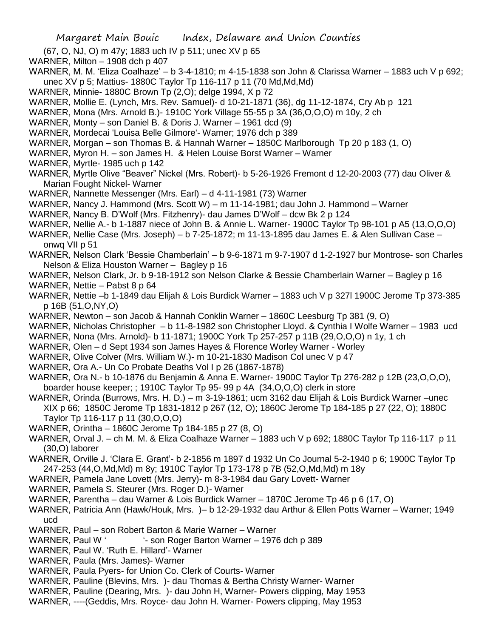- (67, O, NJ, O) m 47y; 1883 uch IV p 511; unec XV p 65
- WARNER, Milton 1908 dch p 407
- WARNER, M. M. 'Eliza Coalhaze' b 3-4-1810; m 4-15-1838 son John & Clarissa Warner 1883 uch V p 692; unec XV p 5; Mattius- 1880C Taylor Tp 116-117 p 11 (70 Md,Md,Md)
- WARNER, Minnie- 1880C Brown Tp (2,O); delge 1994, X p 72
- WARNER, Mollie E. (Lynch, Mrs. Rev. Samuel)- d 10-21-1871 (36), dg 11-12-1874, Cry Ab p 121
- WARNER, Mona (Mrs. Arnold B.)- 1910C York Village 55-55 p 3A (36,O,O,O) m 10y, 2 ch
- WARNER, Monty son Daniel B. & Doris J. Warner 1961 dcd (9)
- WARNER, Mordecai 'Louisa Belle Gilmore'- Warner; 1976 dch p 389
- WARNER, Morgan son Thomas B. & Hannah Warner 1850C Marlborough Tp 20 p 183 (1, O)
- WARNER, Myron H. son James H. & Helen Louise Borst Warner Warner
- WARNER, Myrtle- 1985 uch p 142
- WARNER, Myrtle Olive "Beaver" Nickel (Mrs. Robert)- b 5-26-1926 Fremont d 12-20-2003 (77) dau Oliver & Marian Fought Nickel- Warner
- WARNER, Nannette Messenger (Mrs. Earl) d 4-11-1981 (73) Warner
- WARNER, Nancy J. Hammond (Mrs. Scott W) m 11-14-1981; dau John J. Hammond Warner
- WARNER, Nancy B. D'Wolf (Mrs. Fitzhenry)- dau James D'Wolf dcw Bk 2 p 124
- WARNER, Nellie A.- b 1-1887 niece of John B. & Annie L. Warner- 1900C Taylor Tp 98-101 p A5 (13,O,O,O)
- WARNER, Nellie Case (Mrs. Joseph) b 7-25-1872; m 11-13-1895 dau James E. & Alen Sullivan Case onwq VII p 51
- WARNER, Nelson Clark 'Bessie Chamberlain' b 9-6-1871 m 9-7-1907 d 1-2-1927 bur Montrose- son Charles Nelson & Eliza Houston Warner – Bagley p 16
- WARNER, Nelson Clark, Jr. b 9-18-1912 son Nelson Clarke & Bessie Chamberlain Warner Bagley p 16
- WARNER, Nettie Pabst 8 p 64
- WARNER, Nettie –b 1-1849 dau Elijah & Lois Burdick Warner 1883 uch V p 327l 1900C Jerome Tp 373-385 p 16B (51,O,NY,O)
- WARNER, Newton son Jacob & Hannah Conklin Warner 1860C Leesburg Tp 381 (9, O)
- WARNER, Nicholas Christopher b 11-8-1982 son Christopher Lloyd. & Cynthia I Wolfe Warner 1983 ucd WARNER, Nona (Mrs. Arnold)- b 11-1871; 1900C York Tp 257-257 p 11B (29,O,O,O) n 1y, 1 ch
- WARNER, Olen d Sept 1934 son James Hayes & Florence Worley Warner Worley
- WARNER, Olive Colver (Mrs. William W.)- m 10-21-1830 Madison Col unec V p 47
- 
- WARNER, Ora A.- Un Co Probate Deaths Vol I p 26 (1867-1878)
- WARNER, Ora N.- b 10-1876 du Benjamin & Anna E. Warner- 1900C Taylor Tp 276-282 p 12B (23,O,O,O), boarder house keeper; ; 1910C Taylor Tp 95- 99 p 4A (34,O,O,O) clerk in store
- WARNER, Orinda (Burrows, Mrs. H. D.) m 3-19-1861; ucm 3162 dau Elijah & Lois Burdick Warner –unec XIX p 66; 1850C Jerome Tp 1831-1812 p 267 (12, O); 1860C Jerome Tp 184-185 p 27 (22, O); 1880C Taylor Tp 116-117 p 11 (30,O,O,O)
- WARNER, Orintha 1860C Jerome Tp 184-185 p 27 (8, O)
- WARNER, Orval J. ch M. M. & Eliza Coalhaze Warner 1883 uch V p 692; 1880C Taylor Tp 116-117 p 11 (30,O) laborer
- WARNER, Orville J. 'Clara E. Grant'- b 2-1856 m 1897 d 1932 Un Co Journal 5-2-1940 p 6; 1900C Taylor Tp 247-253 (44,O,Md,Md) m 8y; 1910C Taylor Tp 173-178 p 7B (52,O,Md,Md) m 18y
- WARNER, Pamela Jane Lovett (Mrs. Jerry)- m 8-3-1984 dau Gary Lovett- Warner
- WARNER, Pamela S. Steurer (Mrs. Roger D.)- Warner
- WARNER, Parentha dau Warner & Lois Burdick Warner 1870C Jerome Tp 46 p 6 (17, O)
- WARNER, Patricia Ann (Hawk/Houk, Mrs. )– b 12-29-1932 dau Arthur & Ellen Potts Warner Warner; 1949 ucd
- WARNER, Paul son Robert Barton & Marie Warner Warner
- WARNER, Paul W ' son Roger Barton Warner 1976 dch p 389
- WARNER, Paul W. 'Ruth E. Hillard'- Warner
- WARNER, Paula (Mrs. James)- Warner
- WARNER, Paula Pyers- for Union Co. Clerk of Courts- Warner
- WARNER, Pauline (Blevins, Mrs. )- dau Thomas & Bertha Christy Warner- Warner
- WARNER, Pauline (Dearing, Mrs. )- dau John H, Warner- Powers clipping, May 1953
- WARNER, ----(Geddis, Mrs. Royce- dau John H. Warner- Powers clipping, May 1953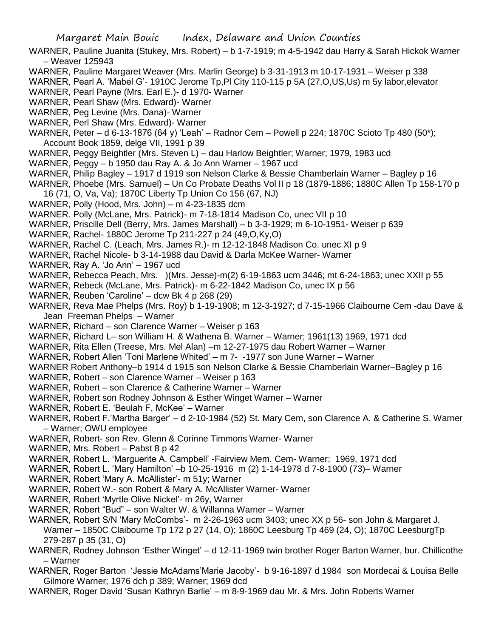WARNER, Pauline Juanita (Stukey, Mrs. Robert) – b 1-7-1919; m 4-5-1942 dau Harry & Sarah Hickok Warner – Weaver 125943

- WARNER, Pauline Margaret Weaver (Mrs. Marlin George) b 3-31-1913 m 10-17-1931 Weiser p 338
- WARNER, Pearl A. 'Mabel G'- 1910C Jerome Tp, PI City 110-115 p 5A (27, O, US, Us) m 5y labor, elevator
- WARNER, Pearl Payne (Mrs. Earl E.)- d 1970- Warner
- WARNER, Pearl Shaw (Mrs. Edward)- Warner
- WARNER, Peg Levine (Mrs. Dana)- Warner
- WARNER, Perl Shaw (Mrs. Edward)- Warner
- WARNER, Peter d 6-13-1876 (64 y) 'Leah' Radnor Cem Powell p 224; 1870C Scioto Tp 480 (50\*); Account Book 1859, delge VII, 1991 p 39
- WARNER, Peggy Beightler (Mrs. Steven L) dau Harlow Beightler; Warner; 1979, 1983 ucd
- WARNER, Peggy b 1950 dau Ray A. & Jo Ann Warner 1967 ucd
- WARNER, Philip Bagley 1917 d 1919 son Nelson Clarke & Bessie Chamberlain Warner Bagley p 16
- WARNER, Phoebe (Mrs. Samuel) Un Co Probate Deaths Vol II p 18 (1879-1886; 1880C Allen Tp 158-170 p 16 (71, O, Va, Va); 1870C Liberty Tp Union Co 156 (67, NJ)
- WARNER, Polly (Hood, Mrs. John) m 4-23-1835 dcm
- WARNER. Polly (McLane, Mrs. Patrick)- m 7-18-1814 Madison Co, unec VII p 10
- WARNER, Priscille Dell (Berry, Mrs. James Marshall) b 3-3-1929; m 6-10-1951- Weiser p 639
- WARNER, Rachel- 1880C Jerome Tp 211-227 p 24 (49,O,Ky,O)
- WARNER, Rachel C. (Leach, Mrs. James R.)- m 12-12-1848 Madison Co. unec XI p 9
- WARNER, Rachel Nicole- b 3-14-1988 dau David & Darla McKee Warner- Warner
- WARNER, Ray A. 'Jo Ann' 1967 ucd
- WARNER, Rebecca Peach, Mrs. )(Mrs. Jesse)-m(2) 6-19-1863 ucm 3446; mt 6-24-1863; unec XXII p 55
- WARNER, Rebeck (McLane, Mrs. Patrick)- m 6-22-1842 Madison Co, unec IX p 56
- WARNER, Reuben 'Caroline' dcw Bk 4 p 268 (29)
- WARNER, Reva Mae Phelps (Mrs. Roy) b 1-19-1908; m 12-3-1927; d 7-15-1966 Claibourne Cem -dau Dave & Jean Freeman Phelps – Warner
- WARNER, Richard son Clarence Warner Weiser p 163
- WARNER, Richard L– son William H. & Wathena B. Warner Warner; 1961(13) 1969, 1971 dcd
- WARNER, Rita Ellen (Treese, Mrs. Mel Alan) –m 12-27-1975 dau Robert Warner Warner
- WARNER, Robert Allen 'Toni Marlene Whited' m 7- -1977 son June Warner Warner
- WARNER Robert Anthony–b 1914 d 1915 son Nelson Clarke & Bessie Chamberlain Warner–Bagley p 16
- WARNER, Robert son Clarence Warner Weiser p 163
- WARNER, Robert son Clarence & Catherine Warner Warner
- WARNER, Robert son Rodney Johnson & Esther Winget Warner Warner
- WARNER, Robert E. 'Beulah F, McKee' Warner
- WARNER, Robert F.'Martha Barger' d 2-10-1984 (52) St. Mary Cem, son Clarence A. & Catherine S. Warner – Warner; OWU employee
- WARNER, Robert- son Rev. Glenn & Corinne Timmons Warner- Warner
- WARNER, Mrs. Robert Pabst 8 p 42
- WARNER, Robert L. 'Marguerite A. Campbell' -Fairview Mem. Cem- Warner; 1969, 1971 dcd
- WARNER, Robert L. 'Mary Hamilton' –b 10-25-1916 m (2) 1-14-1978 d 7-8-1900 (73)– Warner
- WARNER, Robert 'Mary A. McAllister'- m 51y; Warner
- WARNER, Robert W.- son Robert & Mary A. McAllister Warner- Warner
- WARNER, Robert 'Myrtle Olive Nickel'- m 26y, Warner
- WARNER, Robert "Bud" son Walter W. & Willanna Warner Warner
- WARNER, Robert S/N 'Mary McCombs'- m 2-26-1963 ucm 3403; unec XX p 56- son John & Margaret J. Warner – 1850C Claibourne Tp 172 p 27 (14, O); 1860C Leesburg Tp 469 (24, O); 1870C LeesburgTp 279-287 p 35 (31, O)
- WARNER, Rodney Johnson 'Esther Winget' d 12-11-1969 twin brother Roger Barton Warner, bur. Chillicothe – Warner
- WARNER, Roger Barton 'Jessie McAdams'Marie Jacoby'- b 9-16-1897 d 1984 son Mordecai & Louisa Belle Gilmore Warner; 1976 dch p 389; Warner; 1969 dcd
- WARNER, Roger David 'Susan Kathryn Barlie' m 8-9-1969 dau Mr. & Mrs. John Roberts Warner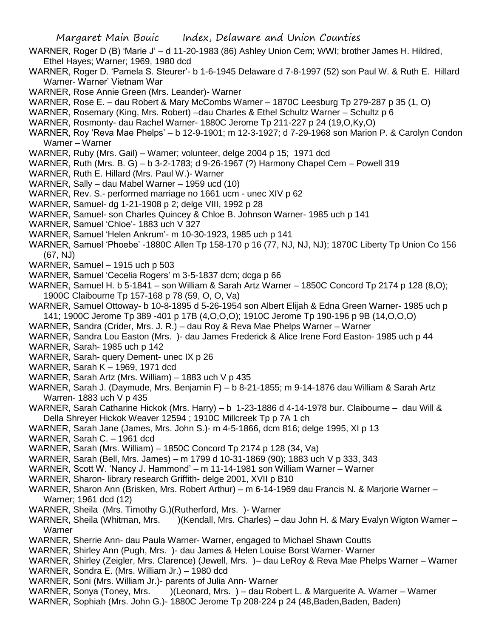- WARNER, Roger D (B) 'Marie J' d 11-20-1983 (86) Ashley Union Cem; WWI; brother James H. Hildred, Ethel Hayes; Warner; 1969, 1980 dcd
- WARNER, Roger D. 'Pamela S. Steurer'- b 1-6-1945 Delaware d 7-8-1997 (52) son Paul W. & Ruth E. Hillard Warner- Warner' Vietnam War
- WARNER, Rose Annie Green (Mrs. Leander)- Warner
- WARNER, Rose E. dau Robert & Mary McCombs Warner 1870C Leesburg Tp 279-287 p 35 (1, O)
- WARNER, Rosemary (King, Mrs. Robert) –dau Charles & Ethel Schultz Warner Schultz p 6
- WARNER, Rosmonty- dau Rachel Warner- 1880C Jerome Tp 211-227 p 24 (19,O,Ky,O)
- WARNER, Roy 'Reva Mae Phelps' b 12-9-1901; m 12-3-1927; d 7-29-1968 son Marion P. & Carolyn Condon Warner – Warner
- WARNER, Ruby (Mrs. Gail) Warner; volunteer, delge 2004 p 15; 1971 dcd
- WARNER, Ruth (Mrs. B. G) b 3-2-1783; d 9-26-1967 (?) Harmony Chapel Cem Powell 319
- WARNER, Ruth E. Hillard (Mrs. Paul W.)- Warner
- WARNER, Sally dau Mabel Warner 1959 ucd (10)
- WARNER, Rev. S.- performed marriage no 1661 ucm unec XIV p 62
- WARNER, Samuel- dg 1-21-1908 p 2; delge VIII, 1992 p 28
- WARNER, Samuel- son Charles Quincey & Chloe B. Johnson Warner- 1985 uch p 141
- WARNER, Samuel 'Chloe'- 1883 uch V 327
- WARNER, Samuel 'Helen Ankrum'- m 10-30-1923, 1985 uch p 141
- WARNER, Samuel 'Phoebe' -1880C Allen Tp 158-170 p 16 (77, NJ, NJ, NJ); 1870C Liberty Tp Union Co 156 (67, NJ)
- WARNER, Samuel 1915 uch p 503
- WARNER, Samuel 'Cecelia Rogers' m 3-5-1837 dcm; dcga p 66
- WARNER, Samuel H. b 5-1841 son William & Sarah Artz Warner 1850C Concord Tp 2174 p 128 (8,O); 1900C Claibourne Tp 157-168 p 78 (59, O, O, Va)
- WARNER, Samuel Ottoway- b 10-8-1895 d 5-26-1954 son Albert Elijah & Edna Green Warner- 1985 uch p 141; 1900C Jerome Tp 389 -401 p 17B (4,O,O,O); 1910C Jerome Tp 190-196 p 9B (14,O,O,O)
- WARNER, Sandra (Crider, Mrs. J. R.) dau Roy & Reva Mae Phelps Warner Warner
- WARNER, Sandra Lou Easton (Mrs. )- dau James Frederick & Alice Irene Ford Easton- 1985 uch p 44
- WARNER, Sarah- 1985 uch p 142
- WARNER, Sarah- query Dement- unec IX p 26
- WARNER, Sarah K 1969, 1971 dcd
- WARNER, Sarah Artz (Mrs. William) 1883 uch V p 435
- WARNER, Sarah J. (Daymude, Mrs. Benjamin F) b 8-21-1855; m 9-14-1876 dau William & Sarah Artz Warren- 1883 uch V p 435
- WARNER, Sarah Catharine Hickok (Mrs. Harry) b 1-23-1886 d 4-14-1978 bur. Claibourne dau Will & Della Shreyer Hickok Weaver 12594 ; 1910C Millcreek Tp p 7A 1 ch
- WARNER, Sarah Jane (James, Mrs. John S.)- m 4-5-1866, dcm 816; delge 1995, XI p 13
- WARNER, Sarah C. 1961 dcd
- WARNER, Sarah (Mrs. William) 1850C Concord Tp 2174 p 128 (34, Va)
- WARNER, Sarah (Bell, Mrs. James) m 1799 d 10-31-1869 (90); 1883 uch V p 333, 343
- WARNER, Scott W. 'Nancy J. Hammond' m 11-14-1981 son William Warner Warner
- WARNER, Sharon- library research Griffith- delge 2001, XVII p B10
- WARNER, Sharon Ann (Brisken, Mrs. Robert Arthur) m 6-14-1969 dau Francis N. & Marjorie Warner Warner; 1961 dcd (12)
- WARNER, Sheila (Mrs. Timothy G.)(Rutherford, Mrs. )- Warner
- WARNER, Sheila (Whitman, Mrs. )(Kendall, Mrs. Charles) dau John H. & Mary Evalyn Wigton Warner Warner
- WARNER, Sherrie Ann- dau Paula Warner- Warner, engaged to Michael Shawn Coutts
- WARNER, Shirley Ann (Pugh, Mrs. )- dau James & Helen Louise Borst Warner- Warner
- WARNER, Shirley (Zeigler, Mrs. Clarence) (Jewell, Mrs. )– dau LeRoy & Reva Mae Phelps Warner Warner
- WARNER, Sondra E. (Mrs. William Jr.) 1980 dcd
- WARNER, Soni (Mrs. William Jr.)- parents of Julia Ann- Warner
- WARNER, Sonya (Toney, Mrs. )(Leonard, Mrs. ) dau Robert L. & Marguerite A. Warner Warner
- WARNER, Sophiah (Mrs. John G.)- 1880C Jerome Tp 208-224 p 24 (48, Baden, Baden, Baden)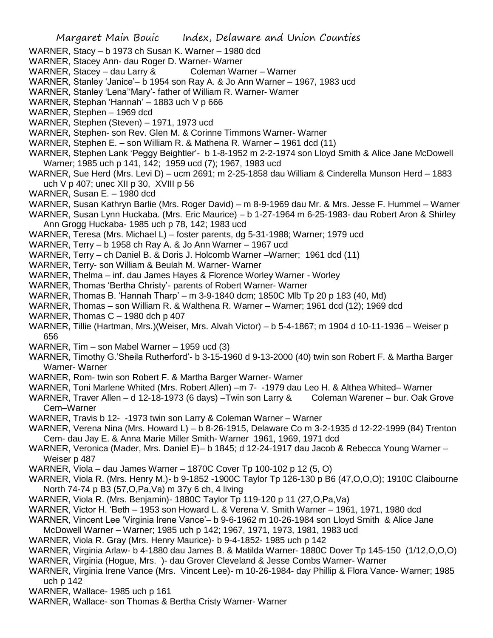- WARNER, Stacy b 1973 ch Susan K. Warner 1980 dcd
- WARNER, Stacey Ann- dau Roger D. Warner- Warner
- WARNER, Stacey dau Larry & Coleman Warner Warner
- WARNER, Stanley 'Janice'– b 1954 son Ray A. & Jo Ann Warner 1967, 1983 ucd
- WARNER, Stanley 'Lena''Mary'- father of William R. Warner- Warner
- WARNER, Stephan 'Hannah' 1883 uch V p 666
- WARNER, Stephen 1969 dcd
- WARNER, Stephen (Steven) 1971, 1973 ucd
- WARNER, Stephen- son Rev. Glen M. & Corinne Timmons Warner- Warner
- WARNER, Stephen E. son William R. & Mathena R. Warner 1961 dcd (11)
- WARNER, Stephen Lank 'Peggy Beightler'- b 1-8-1952 m 2-2-1974 son Lloyd Smith & Alice Jane McDowell Warner; 1985 uch p 141, 142; 1959 ucd (7); 1967, 1983 ucd
- WARNER, Sue Herd (Mrs. Levi D) ucm 2691; m 2-25-1858 dau William & Cinderella Munson Herd 1883 uch V p 407; unec XII p 30, XVIII p 56
- WARNER, Susan E. 1980 dcd
- WARNER, Susan Kathryn Barlie (Mrs. Roger David) m 8-9-1969 dau Mr. & Mrs. Jesse F. Hummel Warner
- WARNER, Susan Lynn Huckaba. (Mrs. Eric Maurice) b 1-27-1964 m 6-25-1983- dau Robert Aron & Shirley Ann Grogg Huckaba- 1985 uch p 78, 142; 1983 ucd
- WARNER, Teresa (Mrs. Michael L) foster parents, dg 5-31-1988; Warner; 1979 ucd
- WARNER, Terry b 1958 ch Ray A. & Jo Ann Warner 1967 ucd
- WARNER, Terry ch Daniel B. & Doris J. Holcomb Warner –Warner; 1961 dcd (11)
- WARNER, Terry- son William & Beulah M. Warner- Warner
- WARNER, Thelma inf. dau James Hayes & Florence Worley Warner Worley
- WARNER, Thomas 'Bertha Christy'- parents of Robert Warner- Warner
- WARNER, Thomas B. 'Hannah Tharp' m 3-9-1840 dcm; 1850C Mlb Tp 20 p 183 (40, Md)
- WARNER, Thomas son William R. & Walthena R. Warner Warner; 1961 dcd (12); 1969 dcd
- WARNER, Thomas  $C 1980$  dch p 407
- WARNER, Tillie (Hartman, Mrs.)(Weiser, Mrs. Alvah Victor) b 5-4-1867; m 1904 d 10-11-1936 Weiser p 656
- WARNER, Tim son Mabel Warner 1959 ucd (3)
- WARNER, Timothy G.'Sheila Rutherford'- b 3-15-1960 d 9-13-2000 (40) twin son Robert F. & Martha Barger Warner- Warner
- WARNER, Rom- twin son Robert F. & Martha Barger Warner- Warner
- WARNER, Toni Marlene Whited (Mrs. Robert Allen) –m 7- -1979 dau Leo H. & Althea Whited– Warner
- WARNER, Traver Allen d 12-18-1973 (6 days) –Twin son Larry & Coleman Warener bur. Oak Grove Cem–Warner
- WARNER, Travis b 12- -1973 twin son Larry & Coleman Warner Warner
- WARNER, Verena Nina (Mrs. Howard L) b 8-26-1915, Delaware Co m 3-2-1935 d 12-22-1999 (84) Trenton Cem- dau Jay E. & Anna Marie Miller Smith- Warner 1961, 1969, 1971 dcd
- WARNER, Veronica (Mader, Mrs. Daniel E)– b 1845; d 12-24-1917 dau Jacob & Rebecca Young Warner Weiser p 487
- WARNER, Viola dau James Warner 1870C Cover Tp 100-102 p 12 (5, O)
- WARNER, Viola R. (Mrs. Henry M.)- b 9-1852 -1900C Taylor Tp 126-130 p B6 (47,O,O,O); 1910C Claibourne North 74-74 p B3 (57,O,Pa,Va) m 37y 6 ch, 4 living
- WARNER, Viola R. (Mrs. Benjamin)- 1880C Taylor Tp 119-120 p 11 (27,O,Pa,Va)
- WARNER, Victor H. 'Beth 1953 son Howard L. & Verena V. Smith Warner 1961, 1971, 1980 dcd
- WARNER, Vincent Lee 'Virginia Irene Vance'– b 9-6-1962 m 10-26-1984 son Lloyd Smith & Alice Jane
- McDowell Warner Warner; 1985 uch p 142; 1967, 1971, 1973, 1981, 1983 ucd
- WARNER, Viola R. Gray (Mrs. Henry Maurice)- b 9-4-1852- 1985 uch p 142
- WARNER, Virginia Arlaw- b 4-1880 dau James B. & Matilda Warner- 1880C Dover Tp 145-150 (1/12,O,O,O)
- WARNER, Virginia (Hogue, Mrs. )- dau Grover Cleveland & Jesse Combs Warner- Warner
- WARNER, Virginia Irene Vance (Mrs. Vincent Lee)- m 10-26-1984- day Phillip & Flora Vance- Warner; 1985 uch p 142
- WARNER, Wallace- 1985 uch p 161
- WARNER, Wallace- son Thomas & Bertha Cristy Warner- Warner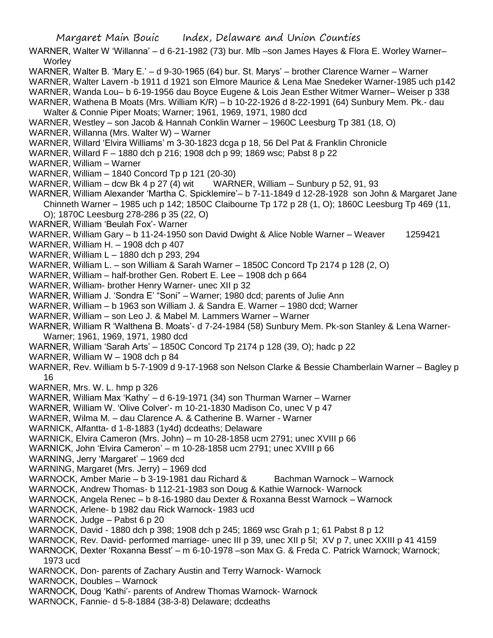WARNER, Walter W 'Willanna' – d 6-21-1982 (73) bur. Mlb –son James Hayes & Flora E. Worley Warner– **Worley** 

- WARNER, Walter B. 'Mary E.' d 9-30-1965 (64) bur. St. Marys' brother Clarence Warner Warner
- WARNER, Walter Lavern -b 1911 d 1921 son Elmore Maurice & Lena Mae Snedeker Warner-1985 uch p142
- WARNER, Wanda Lou– b 6-19-1956 dau Boyce Eugene & Lois Jean Esther Witmer Warner– Weiser p 338
- WARNER, Wathena B Moats (Mrs. William K/R) b 10-22-1926 d 8-22-1991 (64) Sunbury Mem. Pk.- dau
- Walter & Connie Piper Moats; Warner; 1961, 1969, 1971, 1980 dcd
- WARNER, Westley son Jacob & Hannah Conklin Warner 1960C Leesburg Tp 381 (18, O)
- WARNER, Willanna (Mrs. Walter W) Warner
- WARNER, Willard 'Elvira Williams' m 3-30-1823 dcga p 18, 56 Del Pat & Franklin Chronicle
- WARNER, Willard F 1880 dch p 216; 1908 dch p 99; 1869 wsc; Pabst 8 p 22
- WARNER, William Warner
- WARNER, William 1840 Concord Tp p 121 (20-30)
- WARNER, William dcw Bk 4 p 27 (4) wit WARNER, William Sunbury p 52, 91, 93
- WARNER, William Alexander 'Martha C. Spicklemire'– b 7-11-1849 d 12-28-1928 son John & Margaret Jane Chinneth Warner – 1985 uch p 142; 1850C Claibourne Tp 172 p 28 (1, O); 1860C Leesburg Tp 469 (11, O); 1870C Leesburg 278-286 p 35 (22, O)
- WARNER, William 'Beulah Fox'- Warner
- WARNER, William Gary b 11-24-1950 son David Dwight & Alice Noble Warner Weaver 1259421
- WARNER, William H. 1908 dch p 407
- WARNER, William L 1880 dch p 293, 294
- WARNER, William L. son William & Sarah Warner 1850C Concord Tp 2174 p 128 (2, O)
- WARNER, William half-brother Gen. Robert E. Lee 1908 dch p 664
- WARNER, William- brother Henry Warner- unec XII p 32
- WARNER, William J. 'Sondra E' "Soni" Warner; 1980 dcd; parents of Julie Ann
- WARNER, William b 1963 son William J. & Sandra E. Warner 1980 dcd; Warner
- WARNER, William son Leo J. & Mabel M. Lammers Warner Warner
- WARNER, William R 'Walthena B. Moats'- d 7-24-1984 (58) Sunbury Mem. Pk-son Stanley & Lena Warner-Warner; 1961, 1969, 1971, 1980 dcd
- WARNER, William 'Sarah Arts' 1850C Concord Tp 2174 p 128 (39, O); hadc p 22
- WARNER, William W 1908 dch p 84
- WARNER, Rev. William b 5-7-1909 d 9-17-1968 son Nelson Clarke & Bessie Chamberlain Warner Bagley p 16
- WARNER, Mrs. W. L. hmp p 326
- WARNER, William Max 'Kathy' d 6-19-1971 (34) son Thurman Warner Warner
- WARNER, William W. 'Olive Colver'- m 10-21-1830 Madison Co, unec V p 47
- WARNER, Wilma M. dau Clarence A. & Catherine B. Warner Warner
- WARNICK, Alfantta- d 1-8-1883 (1y4d) dcdeaths; Delaware
- WARNICK, Elvira Cameron (Mrs. John) m 10-28-1858 ucm 2791; unec XVIII p 66
- WARNICK, John 'Elvira Cameron' m 10-28-1858 ucm 2791; unec XVIII p 66
- WARNING, Jerry 'Margaret' 1969 dcd
- WARNING, Margaret (Mrs. Jerry) 1969 dcd
- WARNOCK, Amber Marie b 3-19-1981 dau Richard & Bachman Warnock Warnock
- WARNOCK, Andrew Thomas- b 112-21-1983 son Doug & Kathie Warnock- Warnock
- WARNOCK, Angela Renec b 8-16-1980 dau Dexter & Roxanna Besst Warnock Warnock
- WARNOCK, Arlene- b 1982 dau Rick Warnock- 1983 ucd
- WARNOCK, Judge Pabst 6 p 20
- WARNOCK, David 1880 dch p 398; 1908 dch p 245; 1869 wsc Grah p 1; 61 Pabst 8 p 12
- WARNOCK, Rev. David- performed marriage- unec III p 39, unec XII p 5I; XV p 7, unec XXIII p 41 4159
- WARNOCK, Dexter 'Roxanna Besst' m 6-10-1978 –son Max G. & Freda C. Patrick Warnock; Warnock; 1973 ucd
- WARNOCK, Don- parents of Zachary Austin and Terry Warnock- Warnock
- WARNOCK, Doubles Warnock
- WARNOCK, Doug 'Kathi'- parents of Andrew Thomas Warnock- Warnock
- WARNOCK, Fannie- d 5-8-1884 (38-3-8) Delaware; dcdeaths